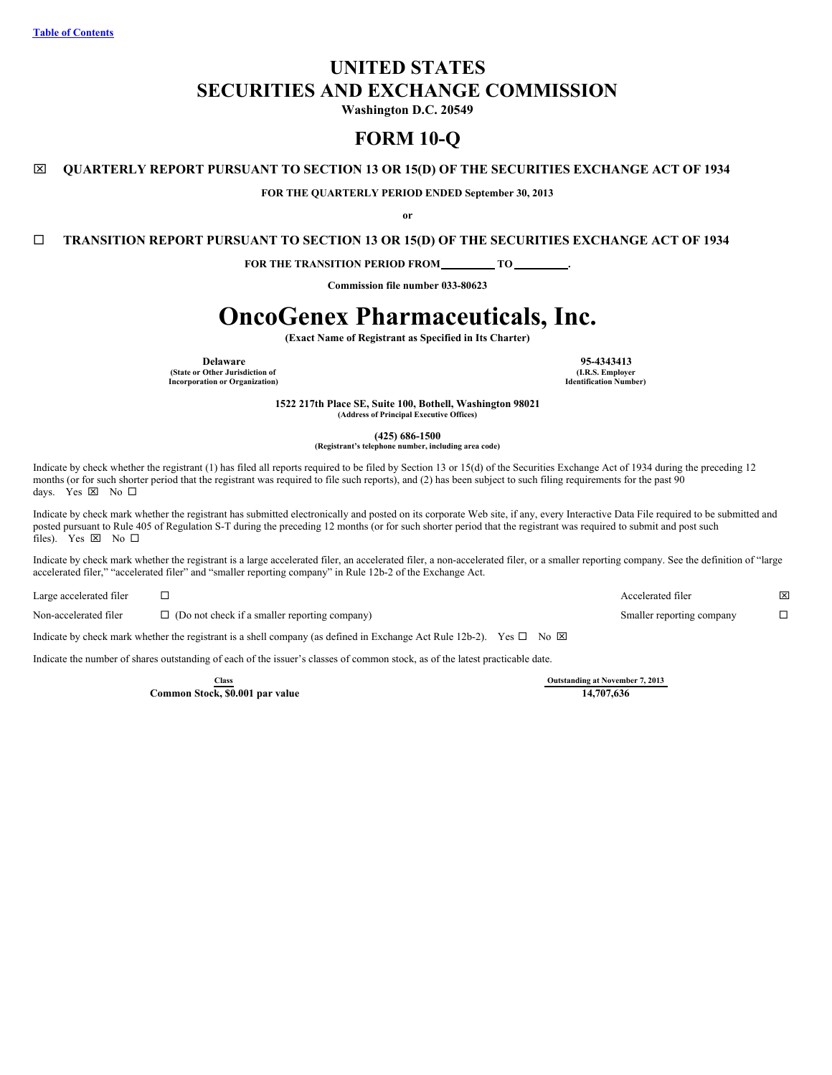# **UNITED STATES SECURITIES AND EXCHANGE COMMISSION**

**Washington D.C. 20549**

# **FORM 10-Q**

# x **QUARTERLY REPORT PURSUANT TO SECTION 13 OR 15(D) OF THE SECURITIES EXCHANGE ACT OF 1934**

**FOR THE QUARTERLY PERIOD ENDED September 30, 2013**

**or**

¨ **TRANSITION REPORT PURSUANT TO SECTION 13 OR 15(D) OF THE SECURITIES EXCHANGE ACT OF 1934**

**FOR THE TRANSITION PERIOD FROM TO .**

**Commission file number 033-80623**

# **OncoGenex Pharmaceuticals, Inc.**

**(Exact Name of Registrant as Specified in Its Charter)**

**Delaware 95-4343413 (State or Other Jurisdiction of Incorporation or Organization)**

**(I.R.S. Employer Identification Number)**

**1522 217th Place SE, Suite 100, Bothell, Washington 98021 (Address of Principal Executive Offices)**

**(425) 686-1500**

**(Registrant's telephone number, including area code)**

Indicate by check whether the registrant (1) has filed all reports required to be filed by Section 13 or 15(d) of the Securities Exchange Act of 1934 during the preceding 12 months (or for such shorter period that the registrant was required to file such reports), and (2) has been subject to such filing requirements for the past 90 days. Yes  $\times$  No  $\Box$ 

Indicate by check mark whether the registrant has submitted electronically and posted on its corporate Web site, if any, every Interactive Data File required to be submitted and posted pursuant to Rule 405 of Regulation S-T during the preceding 12 months (or for such shorter period that the registrant was required to submit and post such files). Yes  $\boxtimes$  No  $\square$ 

Indicate by check mark whether the registrant is a large accelerated filer, an accelerated filer, a non-accelerated filer, or a smaller reporting company. See the definition of "large accelerated filer," "accelerated filer" and "smaller reporting company" in Rule 12b-2 of the Exchange Act.

| Large accelerated filer |                                                      | Accelerated filer         | × |
|-------------------------|------------------------------------------------------|---------------------------|---|
| Non-accelerated filer   | $\Box$ (Do not check if a smaller reporting company) | Smaller reporting company |   |

Indicate by check mark whether the registrant is a shell company (as defined in Exchange Act Rule 12b-2). Yes  $\Box$  No  $\boxtimes$ 

Indicate the number of shares outstanding of each of the issuer's classes of common stock, as of the latest practicable date.

**Common Stock, \$0.001 par value** 

**Class Cutstanding at November 7, 2013**<br> **Cutstanding at November 7, 2013**<br> **Cutstanding at November 7, 2013**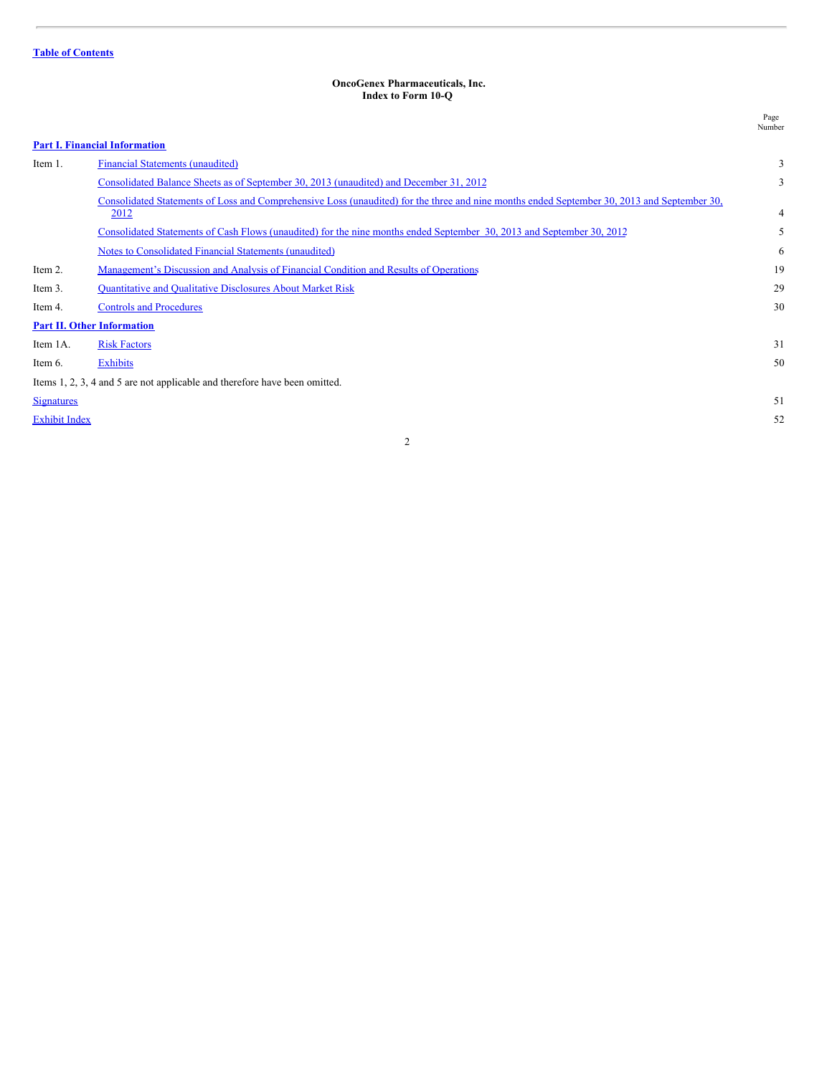#### <span id="page-1-0"></span>**OncoGenex Pharmaceuticals, Inc. Index to Form 10-Q**

|                      |                                                                                                                                                     | Page<br>Number |
|----------------------|-----------------------------------------------------------------------------------------------------------------------------------------------------|----------------|
|                      | <b>Part I. Financial Information</b>                                                                                                                |                |
| Item 1.              | <b>Financial Statements (unaudited)</b>                                                                                                             | 3              |
|                      | Consolidated Balance Sheets as of September 30, 2013 (unaudited) and December 31, 2012                                                              | 3              |
|                      | Consolidated Statements of Loss and Comprehensive Loss (unaudited) for the three and nine months ended September 30, 2013 and September 30,<br>2012 | 4              |
|                      | Consolidated Statements of Cash Flows (unaudited) for the nine months ended September 30, 2013 and September 30, 2012                               | 5              |
|                      | Notes to Consolidated Financial Statements (unaudited)                                                                                              | 6              |
| Item 2.              | Management's Discussion and Analysis of Financial Condition and Results of Operations                                                               | 19             |
| Item 3.              | <b>Quantitative and Qualitative Disclosures About Market Risk</b>                                                                                   | 29             |
| Item 4.              | <b>Controls and Procedures</b>                                                                                                                      | 30             |
|                      | <b>Part II. Other Information</b>                                                                                                                   |                |
| Item 1A.             | <b>Risk Factors</b>                                                                                                                                 | 31             |
| Item 6.              | <b>Exhibits</b>                                                                                                                                     | 50             |
|                      | Items 1, 2, 3, 4 and 5 are not applicable and therefore have been omitted.                                                                          |                |
| <b>Signatures</b>    |                                                                                                                                                     | 51             |
| <b>Exhibit Index</b> |                                                                                                                                                     | 52             |
|                      |                                                                                                                                                     |                |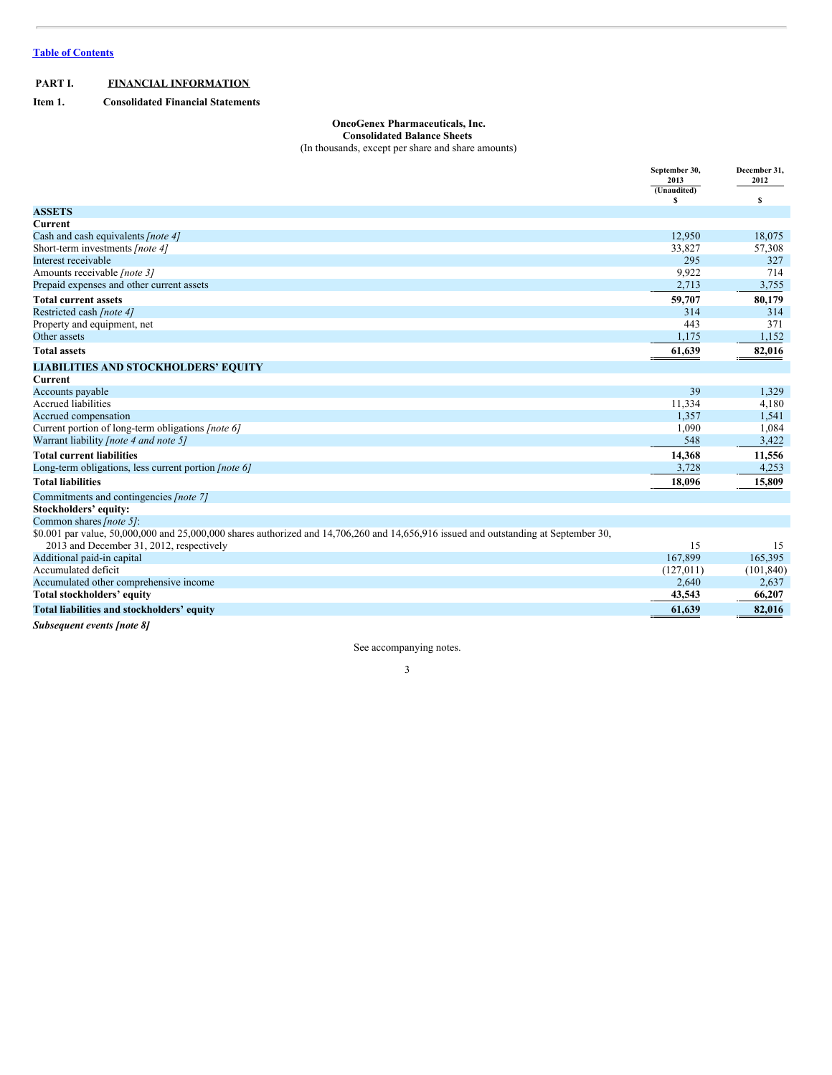# <span id="page-2-0"></span>**PART I. FINANCIAL INFORMATION**

<span id="page-2-1"></span>**Item 1. Consolidated Financial Statements**

# <span id="page-2-2"></span>**OncoGenex Pharmaceuticals, Inc. Consolidated Balance Sheets**

(In thousands, except per share and share amounts)

|                                                                                                                                      | September 30,<br>2013 | December 31,<br>2012 |
|--------------------------------------------------------------------------------------------------------------------------------------|-----------------------|----------------------|
|                                                                                                                                      | (Unaudited)           |                      |
|                                                                                                                                      | £.                    | s                    |
| <b>ASSETS</b>                                                                                                                        |                       |                      |
| Current                                                                                                                              |                       |                      |
| Cash and cash equivalents [note 4]                                                                                                   | 12.950                | 18.075               |
| Short-term investments [note 4]                                                                                                      | 33,827                | 57,308               |
| Interest receivable                                                                                                                  | 295                   | 327                  |
| Amounts receivable [note 3]                                                                                                          | 9,922                 | 714                  |
| Prepaid expenses and other current assets                                                                                            | 2,713                 | 3,755                |
| <b>Total current assets</b>                                                                                                          | 59,707                | 80,179               |
| Restricted cash [note 4]                                                                                                             | 314                   | 314                  |
| Property and equipment, net                                                                                                          | 443                   | 371                  |
| Other assets                                                                                                                         | 1,175                 | 1,152                |
| <b>Total assets</b>                                                                                                                  | 61,639                | 82,016               |
| <b>LIABILITIES AND STOCKHOLDERS' EQUITY</b>                                                                                          |                       |                      |
| Current                                                                                                                              |                       |                      |
| Accounts payable                                                                                                                     | 39                    | 1,329                |
| <b>Accrued liabilities</b>                                                                                                           | 11,334                | 4,180                |
| Accrued compensation                                                                                                                 | 1,357                 | 1,541                |
| Current portion of long-term obligations [note 6]                                                                                    | 1,090                 | 1,084                |
| Warrant liability <i>[note 4 and note 5]</i>                                                                                         | 548                   | 3,422                |
| <b>Total current liabilities</b>                                                                                                     | 14,368                | 11,556               |
| Long-term obligations, less current portion <i>[note 6]</i>                                                                          | 3,728                 | 4,253                |
| <b>Total liabilities</b>                                                                                                             | 18,096                | 15,809               |
| Commitments and contingencies [note 7]                                                                                               |                       |                      |
| Stockholders' equity:                                                                                                                |                       |                      |
| Common shares [note 5]:                                                                                                              |                       |                      |
| \$0.001 par value, 50,000,000 and 25,000,000 shares authorized and 14,706,260 and 14,656,916 issued and outstanding at September 30, |                       |                      |
| 2013 and December 31, 2012, respectively                                                                                             | 15                    | 15                   |
| Additional paid-in capital                                                                                                           | 167,899               | 165,395              |
| Accumulated deficit                                                                                                                  | (127, 011)            | (101, 840)           |
| Accumulated other comprehensive income                                                                                               | 2,640                 | 2,637                |
| Total stockholders' equity                                                                                                           | 43,543                | 66,207               |
| Total liabilities and stockholders' equity                                                                                           | 61,639                | 82,016               |
| <b>Subsequent events [note 8]</b>                                                                                                    |                       |                      |

See accompanying notes.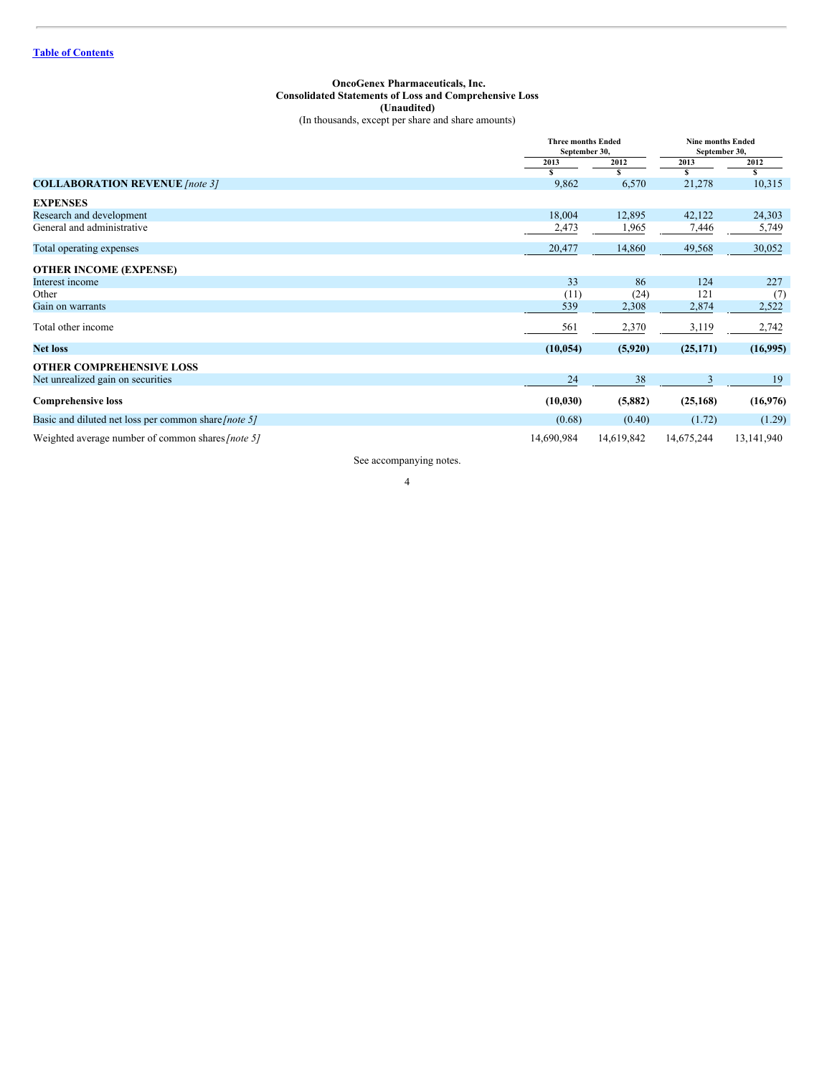#### <span id="page-3-0"></span>**OncoGenex Pharmaceuticals, Inc. Consolidated Statements of Loss and Comprehensive Loss (Unaudited)** (In thousands, except per share and share amounts)

|                                                          |            | <b>Three months Ended</b><br>September 30, |            | <b>Nine months Ended</b><br>September 30, |  |
|----------------------------------------------------------|------------|--------------------------------------------|------------|-------------------------------------------|--|
|                                                          | 2013       | 2012                                       |            | 2012                                      |  |
|                                                          |            | S                                          | S          | S                                         |  |
| <b>COLLABORATION REVENUE</b> [note 3]                    | 9,862      | 6,570                                      | 21,278     | 10,315                                    |  |
| <b>EXPENSES</b>                                          |            |                                            |            |                                           |  |
| Research and development                                 | 18,004     | 12,895                                     | 42,122     | 24,303                                    |  |
| General and administrative                               | 2,473      | 1,965                                      | 7,446      | 5,749                                     |  |
| Total operating expenses                                 | 20,477     | 14,860                                     | 49,568     | 30,052                                    |  |
| <b>OTHER INCOME (EXPENSE)</b>                            |            |                                            |            |                                           |  |
| Interest income                                          | 33         | 86                                         | 124        | 227                                       |  |
| Other                                                    | (11)       | (24)                                       | 121        | (7)                                       |  |
| Gain on warrants                                         | 539        | 2,308                                      | 2,874      | 2,522                                     |  |
| Total other income                                       | 561        | 2,370                                      | 3,119      | 2,742                                     |  |
| <b>Net loss</b>                                          | (10, 054)  | (5,920)                                    | (25,171)   | (16,995)                                  |  |
| <b>OTHER COMPREHENSIVE LOSS</b>                          |            |                                            |            |                                           |  |
| Net unrealized gain on securities                        | 24         | 38                                         |            | 19                                        |  |
| <b>Comprehensive loss</b>                                | (10, 030)  | (5,882)                                    | (25, 168)  | (16,976)                                  |  |
| Basic and diluted net loss per common share [note 5]     | (0.68)     | (0.40)                                     | (1.72)     | (1.29)                                    |  |
| Weighted average number of common shares <i>[note 5]</i> | 14,690,984 | 14,619,842                                 | 14,675,244 | 13,141,940                                |  |

See accompanying notes.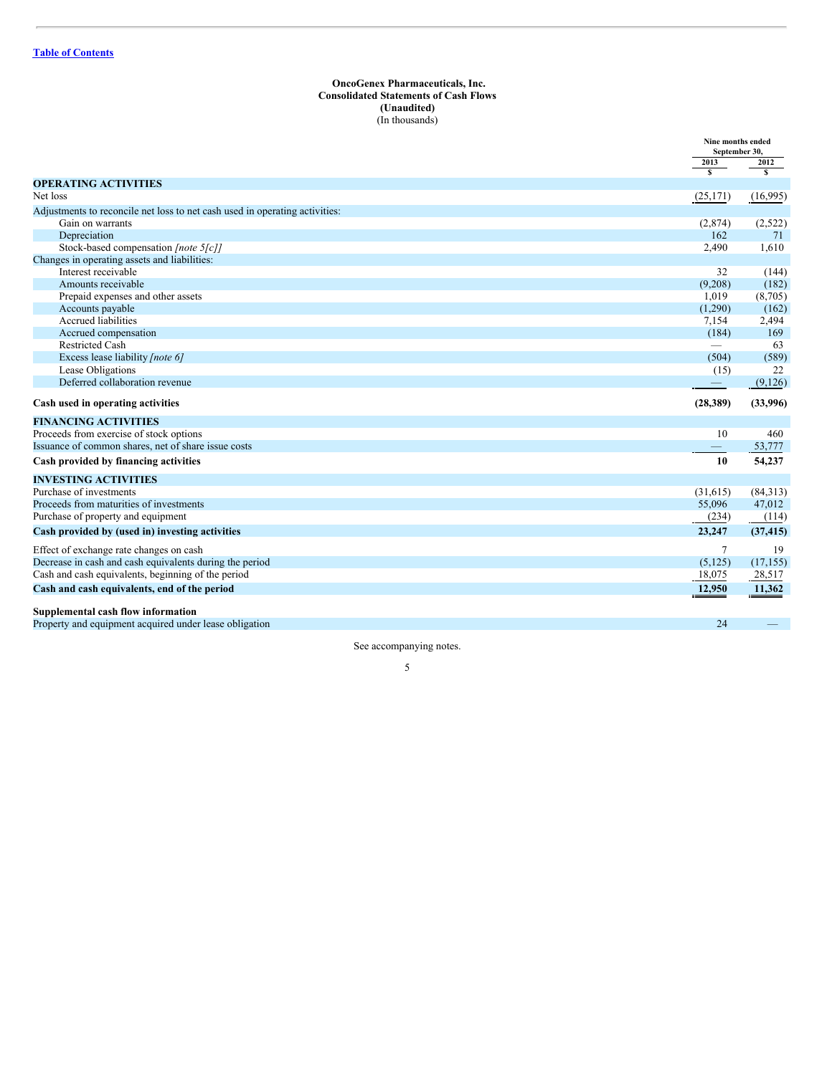#### <span id="page-4-0"></span>**OncoGenex Pharmaceuticals, Inc. Consolidated Statements of Cash Flows (Unaudited)** (In thousands)

|                                                                                                 |                         | Nine months ended<br>September 30, |
|-------------------------------------------------------------------------------------------------|-------------------------|------------------------------------|
|                                                                                                 | 2013                    | 2012                               |
| <b>OPERATING ACTIVITIES</b>                                                                     | $\overline{\mathbf{s}}$ | $\overline{\mathbf{s}}$            |
| Net loss                                                                                        | (25, 171)               | (16,995)                           |
|                                                                                                 |                         |                                    |
| Adjustments to reconcile net loss to net cash used in operating activities:<br>Gain on warrants | (2,874)                 |                                    |
| Depreciation                                                                                    | 162                     | (2,522)<br>71                      |
| Stock-based compensation [note 5[c]]                                                            | 2,490                   | 1,610                              |
| Changes in operating assets and liabilities:                                                    |                         |                                    |
| Interest receivable                                                                             | 32                      | (144)                              |
| Amounts receivable                                                                              | (9,208)                 | (182)                              |
| Prepaid expenses and other assets                                                               | 1,019                   | (8,705)                            |
| Accounts payable                                                                                | (1,290)                 | (162)                              |
| Accrued liabilities                                                                             | 7,154                   | 2,494                              |
| Accrued compensation                                                                            | (184)                   | 169                                |
| <b>Restricted Cash</b>                                                                          |                         | 63                                 |
| Excess lease liability [note 6]                                                                 | (504)                   | (589)                              |
| Lease Obligations                                                                               | (15)                    | 22                                 |
| Deferred collaboration revenue                                                                  |                         | (9,126)                            |
|                                                                                                 |                         |                                    |
| Cash used in operating activities                                                               | (28, 389)               | (33,996)                           |
| <b>FINANCING ACTIVITIES</b>                                                                     |                         |                                    |
| Proceeds from exercise of stock options                                                         | 10                      | 460                                |
| Issuance of common shares, net of share issue costs                                             |                         | 53,777                             |
| Cash provided by financing activities                                                           | 10                      | 54,237                             |
| <b>INVESTING ACTIVITIES</b>                                                                     |                         |                                    |
| Purchase of investments                                                                         | (31,615)                | (84,313)                           |
| Proceeds from maturities of investments                                                         | 55,096                  | 47,012                             |
| Purchase of property and equipment                                                              | (234)                   | (114)                              |
| Cash provided by (used in) investing activities                                                 | 23,247                  | (37, 415)                          |
| Effect of exchange rate changes on cash                                                         | $\tau$                  | 19                                 |
| Decrease in cash and cash equivalents during the period                                         | (5, 125)                | (17, 155)                          |
| Cash and cash equivalents, beginning of the period                                              | 18,075                  | 28,517                             |
| Cash and cash equivalents, end of the period                                                    | 12,950                  | 11,362                             |
| Supplemental cash flow information                                                              |                         |                                    |
| Property and equipment acquired under lease obligation                                          | 24                      |                                    |

See accompanying notes.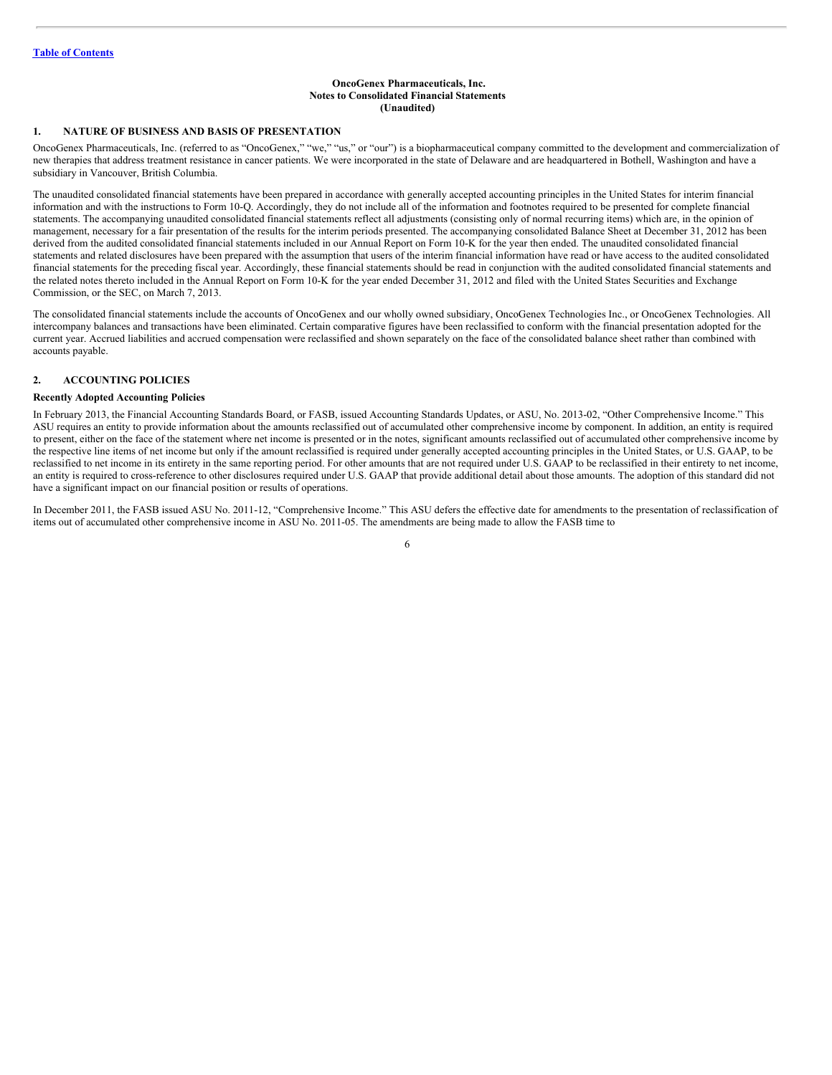#### <span id="page-5-0"></span>**OncoGenex Pharmaceuticals, Inc. Notes to Consolidated Financial Statements (Unaudited)**

#### **1. NATURE OF BUSINESS AND BASIS OF PRESENTATION**

OncoGenex Pharmaceuticals, Inc. (referred to as "OncoGenex," "we," "us," or "our") is a biopharmaceutical company committed to the development and commercialization of new therapies that address treatment resistance in cancer patients. We were incorporated in the state of Delaware and are headquartered in Bothell, Washington and have a subsidiary in Vancouver, British Columbia.

The unaudited consolidated financial statements have been prepared in accordance with generally accepted accounting principles in the United States for interim financial information and with the instructions to Form 10-Q. Accordingly, they do not include all of the information and footnotes required to be presented for complete financial statements. The accompanying unaudited consolidated financial statements reflect all adjustments (consisting only of normal recurring items) which are, in the opinion of management, necessary for a fair presentation of the results for the interim periods presented. The accompanying consolidated Balance Sheet at December 31, 2012 has been derived from the audited consolidated financial statements included in our Annual Report on Form 10-K for the year then ended. The unaudited consolidated financial statements and related disclosures have been prepared with the assumption that users of the interim financial information have read or have access to the audited consolidated financial statements for the preceding fiscal year. Accordingly, these financial statements should be read in conjunction with the audited consolidated financial statements and the related notes thereto included in the Annual Report on Form 10-K for the year ended December 31, 2012 and filed with the United States Securities and Exchange Commission, or the SEC, on March 7, 2013.

The consolidated financial statements include the accounts of OncoGenex and our wholly owned subsidiary, OncoGenex Technologies Inc., or OncoGenex Technologies. All intercompany balances and transactions have been eliminated. Certain comparative figures have been reclassified to conform with the financial presentation adopted for the current year. Accrued liabilities and accrued compensation were reclassified and shown separately on the face of the consolidated balance sheet rather than combined with accounts payable.

# **2. ACCOUNTING POLICIES**

#### **Recently Adopted Accounting Policies**

In February 2013, the Financial Accounting Standards Board, or FASB, issued Accounting Standards Updates, or ASU, No. 2013-02, "Other Comprehensive Income." This ASU requires an entity to provide information about the amounts reclassified out of accumulated other comprehensive income by component. In addition, an entity is required to present, either on the face of the statement where net income is presented or in the notes, significant amounts reclassified out of accumulated other comprehensive income by the respective line items of net income but only if the amount reclassified is required under generally accepted accounting principles in the United States, or U.S. GAAP, to be reclassified to net income in its entirety in the same reporting period. For other amounts that are not required under U.S. GAAP to be reclassified in their entirety to net income, an entity is required to cross-reference to other disclosures required under U.S. GAAP that provide additional detail about those amounts. The adoption of this standard did not have a significant impact on our financial position or results of operations.

In December 2011, the FASB issued ASU No. 2011-12, "Comprehensive Income." This ASU defers the effective date for amendments to the presentation of reclassification of items out of accumulated other comprehensive income in ASU No. 2011-05. The amendments are being made to allow the FASB time to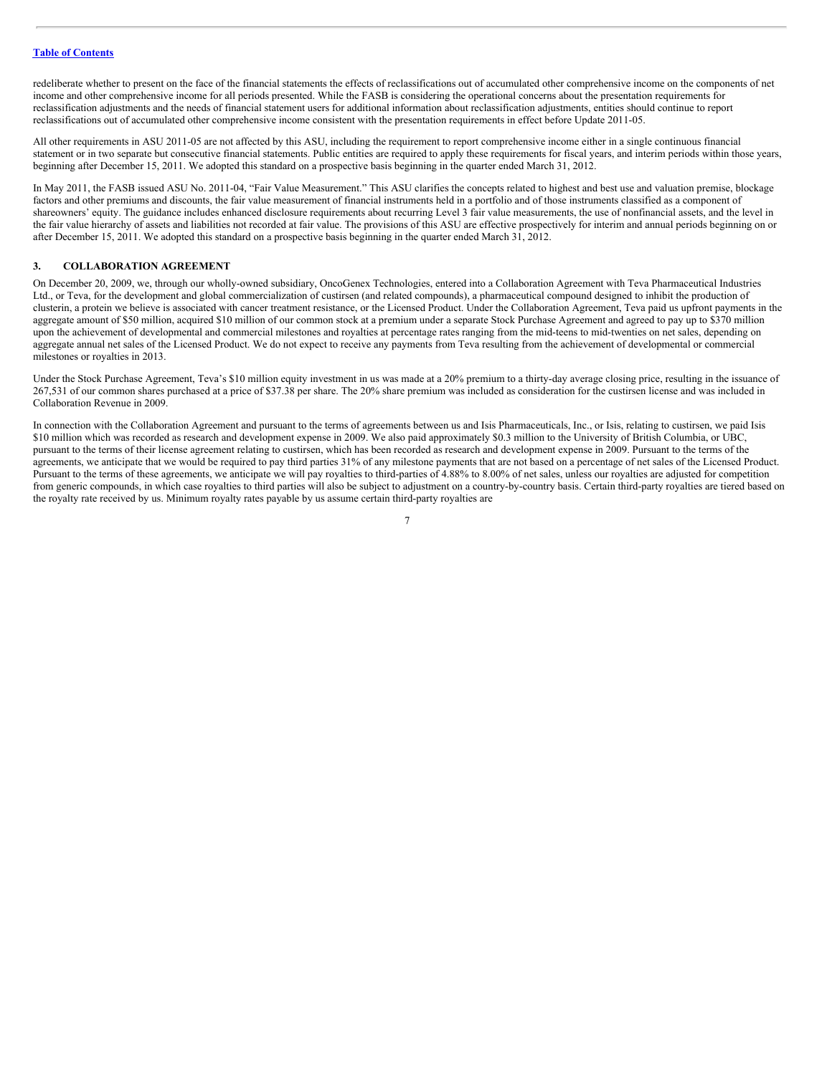redeliberate whether to present on the face of the financial statements the effects of reclassifications out of accumulated other comprehensive income on the components of net income and other comprehensive income for all periods presented. While the FASB is considering the operational concerns about the presentation requirements for reclassification adjustments and the needs of financial statement users for additional information about reclassification adjustments, entities should continue to report reclassifications out of accumulated other comprehensive income consistent with the presentation requirements in effect before Update 2011-05.

All other requirements in ASU 2011-05 are not affected by this ASU, including the requirement to report comprehensive income either in a single continuous financial statement or in two separate but consecutive financial statements. Public entities are required to apply these requirements for fiscal years, and interim periods within those years, beginning after December 15, 2011. We adopted this standard on a prospective basis beginning in the quarter ended March 31, 2012.

In May 2011, the FASB issued ASU No. 2011-04, "Fair Value Measurement." This ASU clarifies the concepts related to highest and best use and valuation premise, blockage factors and other premiums and discounts, the fair value measurement of financial instruments held in a portfolio and of those instruments classified as a component of shareowners' equity. The guidance includes enhanced disclosure requirements about recurring Level 3 fair value measurements, the use of nonfinancial assets, and the level in the fair value hierarchy of assets and liabilities not recorded at fair value. The provisions of this ASU are effective prospectively for interim and annual periods beginning on or after December 15, 2011. We adopted this standard on a prospective basis beginning in the quarter ended March 31, 2012.

## **3. COLLABORATION AGREEMENT**

On December 20, 2009, we, through our wholly-owned subsidiary, OncoGenex Technologies, entered into a Collaboration Agreement with Teva Pharmaceutical Industries Ltd., or Teva, for the development and global commercialization of custirsen (and related compounds), a pharmaceutical compound designed to inhibit the production of clusterin, a protein we believe is associated with cancer treatment resistance, or the Licensed Product. Under the Collaboration Agreement, Teva paid us upfront payments in the aggregate amount of \$50 million, acquired \$10 million of our common stock at a premium under a separate Stock Purchase Agreement and agreed to pay up to \$370 million upon the achievement of developmental and commercial milestones and royalties at percentage rates ranging from the mid-teens to mid-twenties on net sales, depending on aggregate annual net sales of the Licensed Product. We do not expect to receive any payments from Teva resulting from the achievement of developmental or commercial milestones or royalties in 2013.

Under the Stock Purchase Agreement, Teva's \$10 million equity investment in us was made at a 20% premium to a thirty-day average closing price, resulting in the issuance of 267,531 of our common shares purchased at a price of \$37.38 per share. The 20% share premium was included as consideration for the custirsen license and was included in Collaboration Revenue in 2009.

In connection with the Collaboration Agreement and pursuant to the terms of agreements between us and Isis Pharmaceuticals, Inc., or Isis, relating to custirsen, we paid Isis \$10 million which was recorded as research and development expense in 2009. We also paid approximately \$0.3 million to the University of British Columbia, or UBC, pursuant to the terms of their license agreement relating to custirsen, which has been recorded as research and development expense in 2009. Pursuant to the terms of the agreements, we anticipate that we would be required to pay third parties 31% of any milestone payments that are not based on a percentage of net sales of the Licensed Product. Pursuant to the terms of these agreements, we anticipate we will pay royalties to third-parties of 4.88% to 8.00% of net sales, unless our royalties are adjusted for competition from generic compounds, in which case royalties to third parties will also be subject to adjustment on a country-by-country basis. Certain third-party royalties are tiered based on the royalty rate received by us. Minimum royalty rates payable by us assume certain third-party royalties are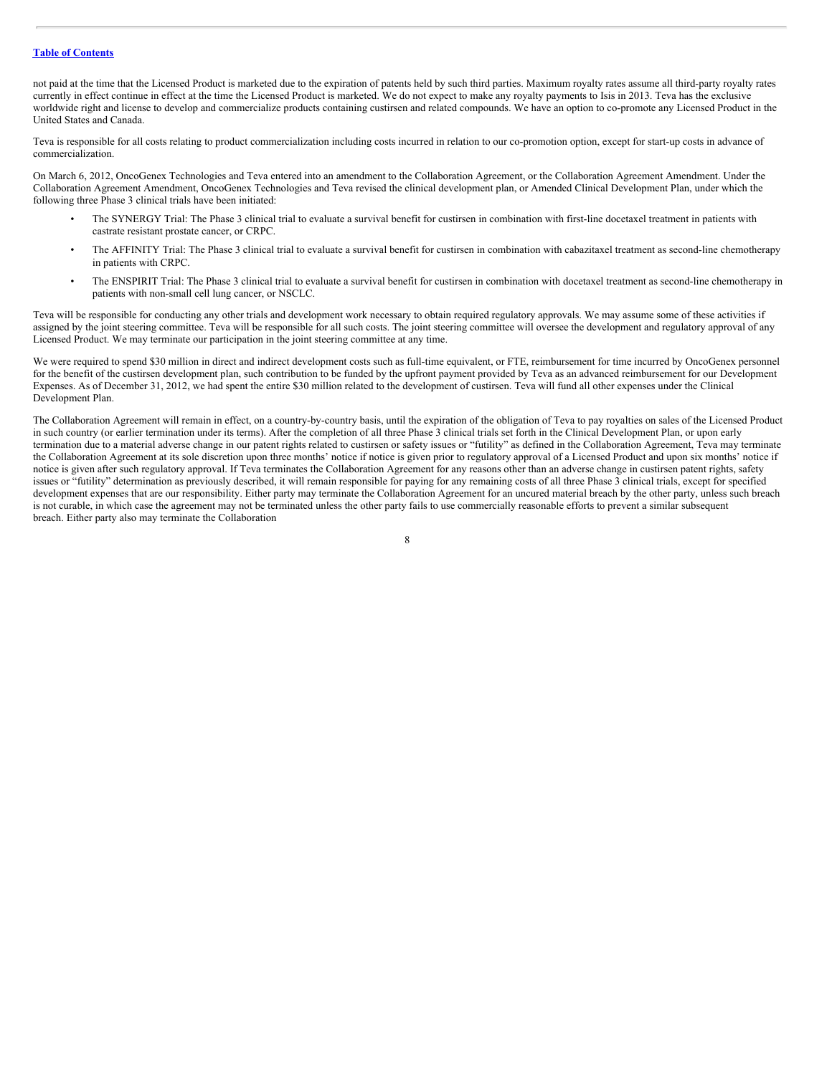not paid at the time that the Licensed Product is marketed due to the expiration of patents held by such third parties. Maximum royalty rates assume all third-party royalty rates currently in effect continue in effect at the time the Licensed Product is marketed. We do not expect to make any royalty payments to Isis in 2013. Teva has the exclusive worldwide right and license to develop and commercialize products containing custirsen and related compounds. We have an option to co-promote any Licensed Product in the United States and Canada.

Teva is responsible for all costs relating to product commercialization including costs incurred in relation to our co-promotion option, except for start-up costs in advance of commercialization.

On March 6, 2012, OncoGenex Technologies and Teva entered into an amendment to the Collaboration Agreement, or the Collaboration Agreement Amendment. Under the Collaboration Agreement Amendment, OncoGenex Technologies and Teva revised the clinical development plan, or Amended Clinical Development Plan, under which the following three Phase 3 clinical trials have been initiated:

- The SYNERGY Trial: The Phase 3 clinical trial to evaluate a survival benefit for custirsen in combination with first-line docetaxel treatment in patients with castrate resistant prostate cancer, or CRPC.
- The AFFINITY Trial: The Phase 3 clinical trial to evaluate a survival benefit for custirsen in combination with cabazitaxel treatment as second-line chemotherapy in patients with CRPC.
- The ENSPIRIT Trial: The Phase 3 clinical trial to evaluate a survival benefit for custirsen in combination with docetaxel treatment as second-line chemotherapy in patients with non-small cell lung cancer, or NSCLC.

Teva will be responsible for conducting any other trials and development work necessary to obtain required regulatory approvals. We may assume some of these activities if assigned by the joint steering committee. Teva will be responsible for all such costs. The joint steering committee will oversee the development and regulatory approval of any Licensed Product. We may terminate our participation in the joint steering committee at any time.

We were required to spend \$30 million in direct and indirect development costs such as full-time equivalent, or FTE, reimbursement for time incurred by OncoGenex personnel for the benefit of the custirsen development plan, such contribution to be funded by the upfront payment provided by Teva as an advanced reimbursement for our Development Expenses. As of December 31, 2012, we had spent the entire \$30 million related to the development of custirsen. Teva will fund all other expenses under the Clinical Development Plan.

The Collaboration Agreement will remain in effect, on a country-by-country basis, until the expiration of the obligation of Teva to pay royalties on sales of the Licensed Product in such country (or earlier termination under its terms). After the completion of all three Phase 3 clinical trials set forth in the Clinical Development Plan, or upon early termination due to a material adverse change in our patent rights related to custirsen or safety issues or "futility" as defined in the Collaboration Agreement, Teva may terminate the Collaboration Agreement at its sole discretion upon three months' notice if notice is given prior to regulatory approval of a Licensed Product and upon six months' notice if notice is given after such regulatory approval. If Teva terminates the Collaboration Agreement for any reasons other than an adverse change in custirsen patent rights, safety issues or "futility" determination as previously described, it will remain responsible for paying for any remaining costs of all three Phase 3 clinical trials, except for specified development expenses that are our responsibility. Either party may terminate the Collaboration Agreement for an uncured material breach by the other party, unless such breach is not curable, in which case the agreement may not be terminated unless the other party fails to use commercially reasonable efforts to prevent a similar subsequent breach. Either party also may terminate the Collaboration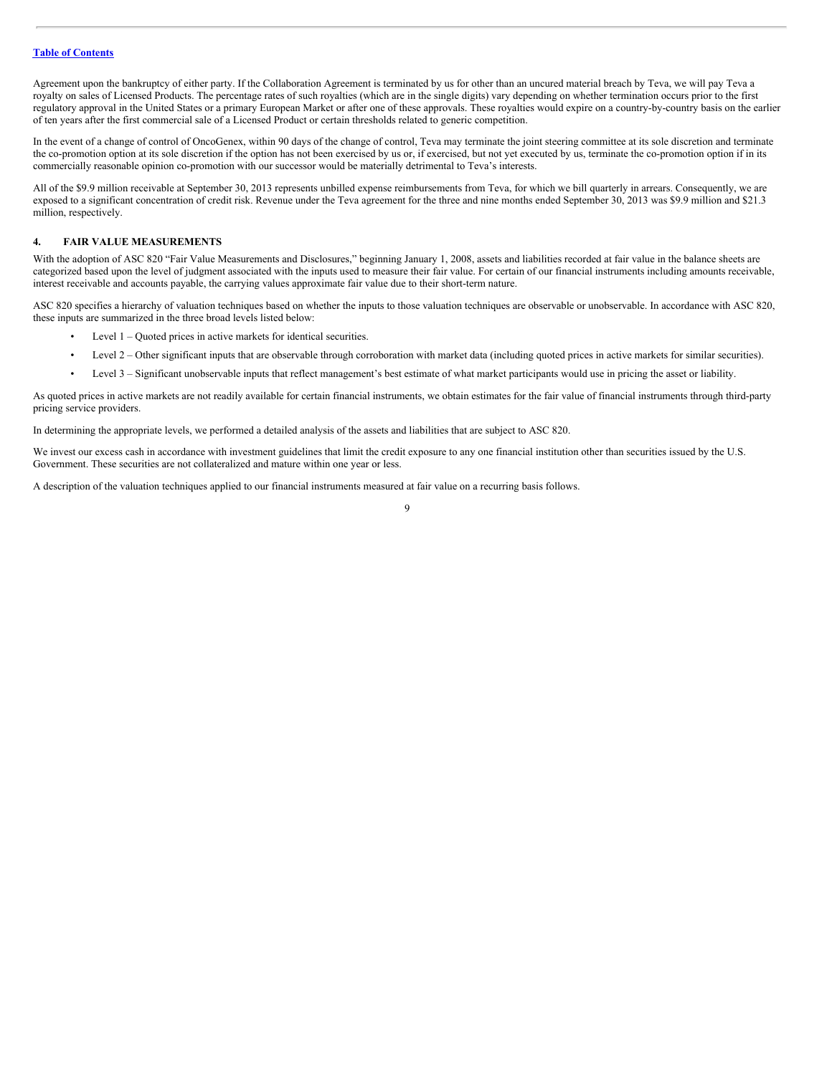Agreement upon the bankruptcy of either party. If the Collaboration Agreement is terminated by us for other than an uncured material breach by Teva, we will pay Teva a royalty on sales of Licensed Products. The percentage rates of such royalties (which are in the single digits) vary depending on whether termination occurs prior to the first regulatory approval in the United States or a primary European Market or after one of these approvals. These royalties would expire on a country-by-country basis on the earlier of ten years after the first commercial sale of a Licensed Product or certain thresholds related to generic competition.

In the event of a change of control of OncoGenex, within 90 days of the change of control, Teva may terminate the joint steering committee at its sole discretion and terminate the co-promotion option at its sole discretion if the option has not been exercised by us or, if exercised, but not yet executed by us, terminate the co-promotion option if in its commercially reasonable opinion co-promotion with our successor would be materially detrimental to Teva's interests.

All of the \$9.9 million receivable at September 30, 2013 represents unbilled expense reimbursements from Teva, for which we bill quarterly in arrears. Consequently, we are exposed to a significant concentration of credit risk. Revenue under the Teva agreement for the three and nine months ended September 30, 2013 was \$9.9 million and \$21.3 million, respectively.

# **4. FAIR VALUE MEASUREMENTS**

With the adoption of ASC 820 "Fair Value Measurements and Disclosures," beginning January 1, 2008, assets and liabilities recorded at fair value in the balance sheets are categorized based upon the level of judgment associated with the inputs used to measure their fair value. For certain of our financial instruments including amounts receivable, interest receivable and accounts payable, the carrying values approximate fair value due to their short-term nature.

ASC 820 specifies a hierarchy of valuation techniques based on whether the inputs to those valuation techniques are observable or unobservable. In accordance with ASC 820, these inputs are summarized in the three broad levels listed below:

- Level 1 Quoted prices in active markets for identical securities.
- Level 2 Other significant inputs that are observable through corroboration with market data (including quoted prices in active markets for similar securities).
- Level 3 Significant unobservable inputs that reflect management's best estimate of what market participants would use in pricing the asset or liability.

As quoted prices in active markets are not readily available for certain financial instruments, we obtain estimates for the fair value of financial instruments through third-party pricing service providers.

In determining the appropriate levels, we performed a detailed analysis of the assets and liabilities that are subject to ASC 820.

We invest our excess cash in accordance with investment guidelines that limit the credit exposure to any one financial institution other than securities issued by the U.S. Government. These securities are not collateralized and mature within one year or less.

A description of the valuation techniques applied to our financial instruments measured at fair value on a recurring basis follows.

 $\overline{Q}$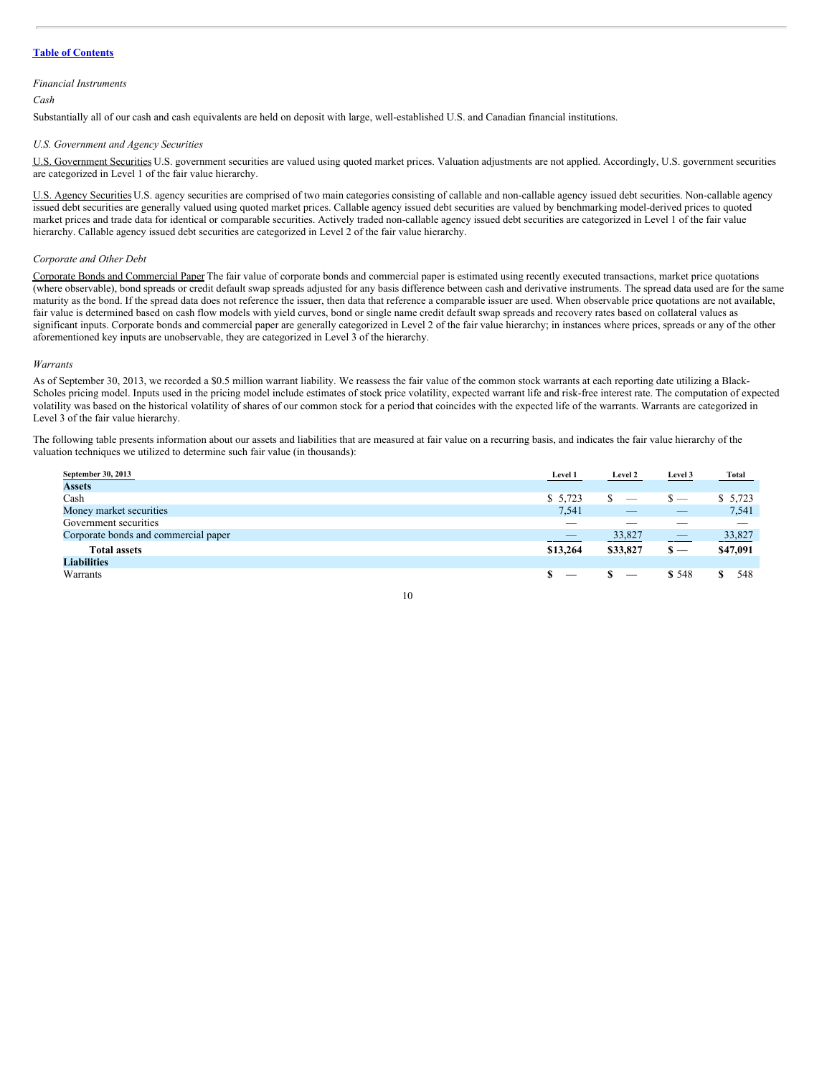#### *Financial Instruments*

#### *Cash*

Substantially all of our cash and cash equivalents are held on deposit with large, well-established U.S. and Canadian financial institutions.

#### *U.S. Government and Agency Securities*

U.S. Government Securities U.S. government securities are valued using quoted market prices. Valuation adjustments are not applied. Accordingly, U.S. government securities are categorized in Level 1 of the fair value hierarchy.

U.S. Agency Securities U.S. agency securities are comprised of two main categories consisting of callable and non-callable agency issued debt securities. Non-callable agency issued debt securities are generally valued using quoted market prices. Callable agency issued debt securities are valued by benchmarking model-derived prices to quoted market prices and trade data for identical or comparable securities. Actively traded non-callable agency issued debt securities are categorized in Level 1 of the fair value hierarchy. Callable agency issued debt securities are categorized in Level 2 of the fair value hierarchy.

#### *Corporate and Other Debt*

Corporate Bonds and Commercial Paper The fair value of corporate bonds and commercial paper is estimated using recently executed transactions, market price quotations (where observable), bond spreads or credit default swap spreads adjusted for any basis difference between cash and derivative instruments. The spread data used are for the same maturity as the bond. If the spread data does not reference the issuer, then data that reference a comparable issuer are used. When observable price quotations are not available, fair value is determined based on cash flow models with yield curves, bond or single name credit default swap spreads and recovery rates based on collateral values as significant inputs. Corporate bonds and commercial paper are generally categorized in Level 2 of the fair value hierarchy; in instances where prices, spreads or any of the other aforementioned key inputs are unobservable, they are categorized in Level 3 of the hierarchy.

#### *Warrants*

As of September 30, 2013, we recorded a \$0.5 million warrant liability. We reassess the fair value of the common stock warrants at each reporting date utilizing a Black-Scholes pricing model. Inputs used in the pricing model include estimates of stock price volatility, expected warrant life and risk-free interest rate. The computation of expected volatility was based on the historical volatility of shares of our common stock for a period that coincides with the expected life of the warrants. Warrants are categorized in Level 3 of the fair value hierarchy.

The following table presents information about our assets and liabilities that are measured at fair value on a recurring basis, and indicates the fair value hierarchy of the valuation techniques we utilized to determine such fair value (in thousands):

| September 30, 2013                   | Level 1  | Level 2                  | Level 3                        | <b>Total</b> |
|--------------------------------------|----------|--------------------------|--------------------------------|--------------|
| <b>Assets</b>                        |          |                          |                                |              |
| Cash                                 | \$5,723  | $\overline{\phantom{a}}$ | _                              | \$5,723      |
| Money market securities              | 7,541    | _                        | $\overline{\phantom{a}}$       | 7,541        |
| Government securities                | $-$      | _                        | $\sim$                         | -            |
| Corporate bonds and commercial paper | $-$      | 33,827                   | $\overbrace{\hspace{25mm}}^{}$ | 33,827       |
| <b>Total assets</b>                  | \$13,264 | \$33,827                 | $\mathbf{s}$ —                 | \$47,091     |
| <b>Liabilities</b>                   |          |                          |                                |              |
| Warrants                             |          |                          | \$548                          | 548          |

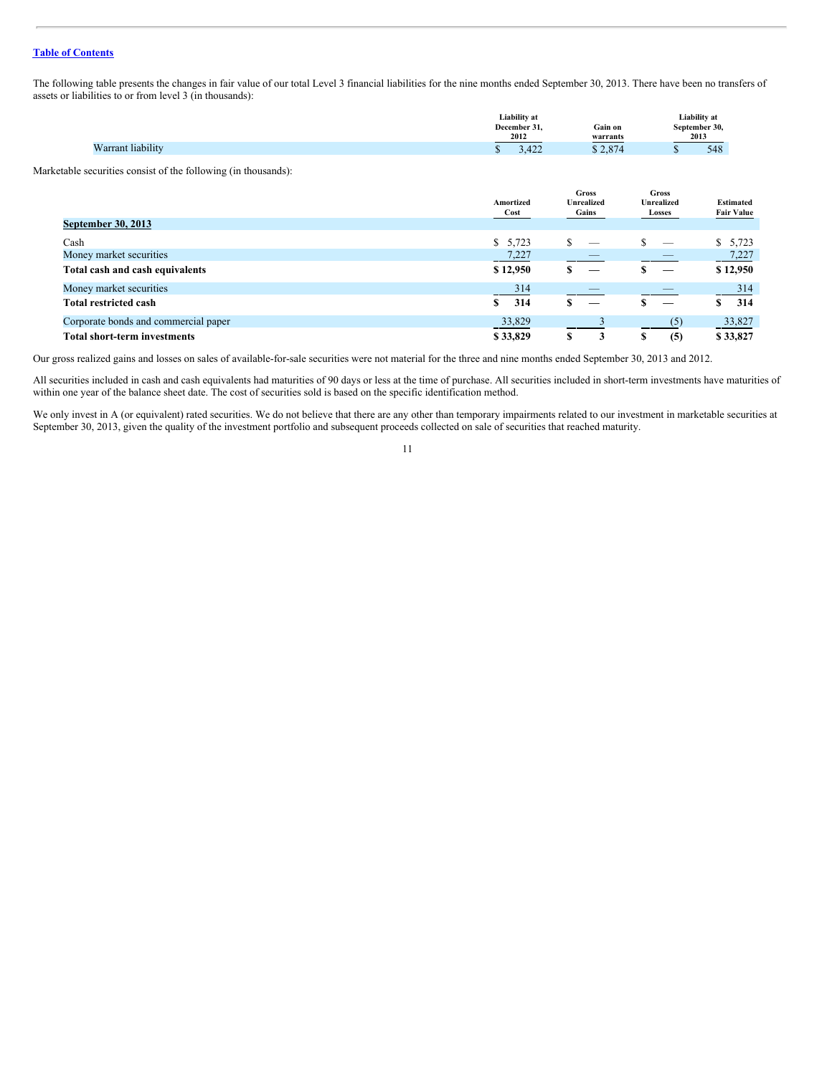The following table presents the changes in fair value of our total Level 3 financial liabilities for the nine months ended September 30, 2013. There have been no transfers of assets or liabilities to or from level 3 (in thousands):

|                   | Liability at |                   |               |
|-------------------|--------------|-------------------|---------------|
|                   | December 31. | Gain on           | September 30, |
|                   | 2012         | warrants          | 2013          |
| Varrant liabilitv | 122          | 0.2071            | 548           |
| $T$ $T$ $T$       | - 122        | $\sim$ 0 $\prime$ |               |

Marketable securities consist of the following (in thousands):

|                                      | Amortized<br>Cost | <b>Gross</b><br><b>Unrealized</b><br>Gains | Gross<br><b>Unrealized</b><br>Losses | <b>Estimated</b><br><b>Fair Value</b> |
|--------------------------------------|-------------------|--------------------------------------------|--------------------------------------|---------------------------------------|
| <b>September 30, 2013</b>            |                   |                                            |                                      |                                       |
| Cash                                 | \$5,723           | S<br>_                                     | _                                    | \$5,723                               |
| Money market securities              | 7,227             |                                            |                                      | 7,227                                 |
| Total cash and cash equivalents      | \$12,950          | S                                          |                                      | \$12,950                              |
| Money market securities              | 314               |                                            |                                      | 314                                   |
| <b>Total restricted cash</b>         | 314<br>S.         | –                                          |                                      | 314                                   |
| Corporate bonds and commercial paper | 33,829            |                                            | (5)                                  | 33,827                                |
| <b>Total short-term investments</b>  | \$33,829          | S<br>3                                     | (5)<br>Œ                             | \$33.827                              |

Our gross realized gains and losses on sales of available-for-sale securities were not material for the three and nine months ended September 30, 2013 and 2012.

All securities included in cash and cash equivalents had maturities of 90 days or less at the time of purchase. All securities included in short-term investments have maturities of within one year of the balance sheet date. The cost of securities sold is based on the specific identification method.

We only invest in A (or equivalent) rated securities. We do not believe that there are any other than temporary impairments related to our investment in marketable securities at September 30, 2013, given the quality of the investment portfolio and subsequent proceeds collected on sale of securities that reached maturity.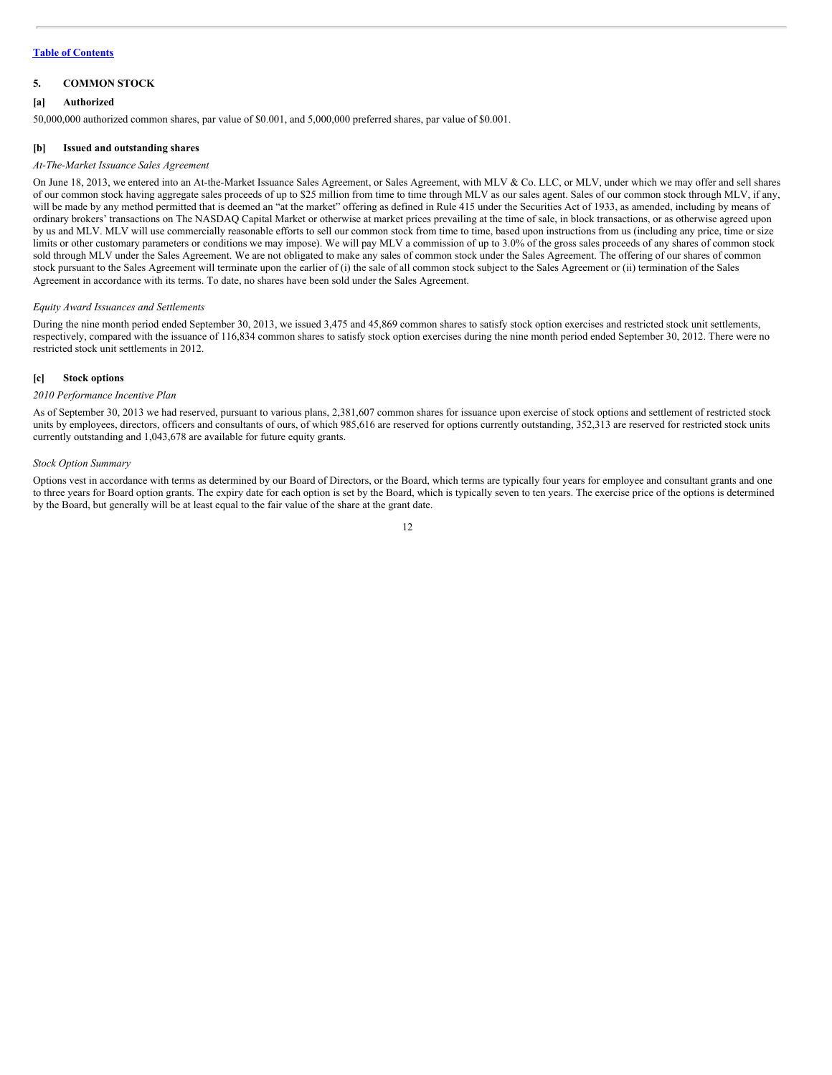# **5. COMMON STOCK**

#### **[a] Authorized**

50,000,000 authorized common shares, par value of \$0.001, and 5,000,000 preferred shares, par value of \$0.001.

#### **[b] Issued and outstanding shares**

#### *At-The-Market Issuance Sales Agreement*

On June 18, 2013, we entered into an At-the-Market Issuance Sales Agreement, or Sales Agreement, with MLV & Co. LLC, or MLV, under which we may offer and sell shares of our common stock having aggregate sales proceeds of up to \$25 million from time to time through MLV as our sales agent. Sales of our common stock through MLV, if any, will be made by any method permitted that is deemed an "at the market" offering as defined in Rule 415 under the Securities Act of 1933, as amended, including by means of ordinary brokers' transactions on The NASDAQ Capital Market or otherwise at market prices prevailing at the time of sale, in block transactions, or as otherwise agreed upon by us and MLV. MLV will use commercially reasonable efforts to sell our common stock from time to time, based upon instructions from us (including any price, time or size limits or other customary parameters or conditions we may impose). We will pay MLV a commission of up to 3.0% of the gross sales proceeds of any shares of common stock sold through MLV under the Sales Agreement. We are not obligated to make any sales of common stock under the Sales Agreement. The offering of our shares of common stock pursuant to the Sales Agreement will terminate upon the earlier of (i) the sale of all common stock subject to the Sales Agreement or (ii) termination of the Sales Agreement in accordance with its terms. To date, no shares have been sold under the Sales Agreement.

#### *Equity Award Issuances and Settlements*

During the nine month period ended September 30, 2013, we issued 3,475 and 45,869 common shares to satisfy stock option exercises and restricted stock unit settlements, respectively, compared with the issuance of 116,834 common shares to satisfy stock option exercises during the nine month period ended September 30, 2012. There were no restricted stock unit settlements in 2012.

#### **[c] Stock options**

#### *2010 Performance Incentive Plan*

As of September 30, 2013 we had reserved, pursuant to various plans, 2,381,607 common shares for issuance upon exercise of stock options and settlement of restricted stock units by employees, directors, officers and consultants of ours, of which 985,616 are reserved for options currently outstanding, 352,313 are reserved for restricted stock units currently outstanding and 1,043,678 are available for future equity grants.

#### *Stock Option Summary*

Options vest in accordance with terms as determined by our Board of Directors, or the Board, which terms are typically four years for employee and consultant grants and one to three years for Board option grants. The expiry date for each option is set by the Board, which is typically seven to ten years. The exercise price of the options is determined by the Board, but generally will be at least equal to the fair value of the share at the grant date.

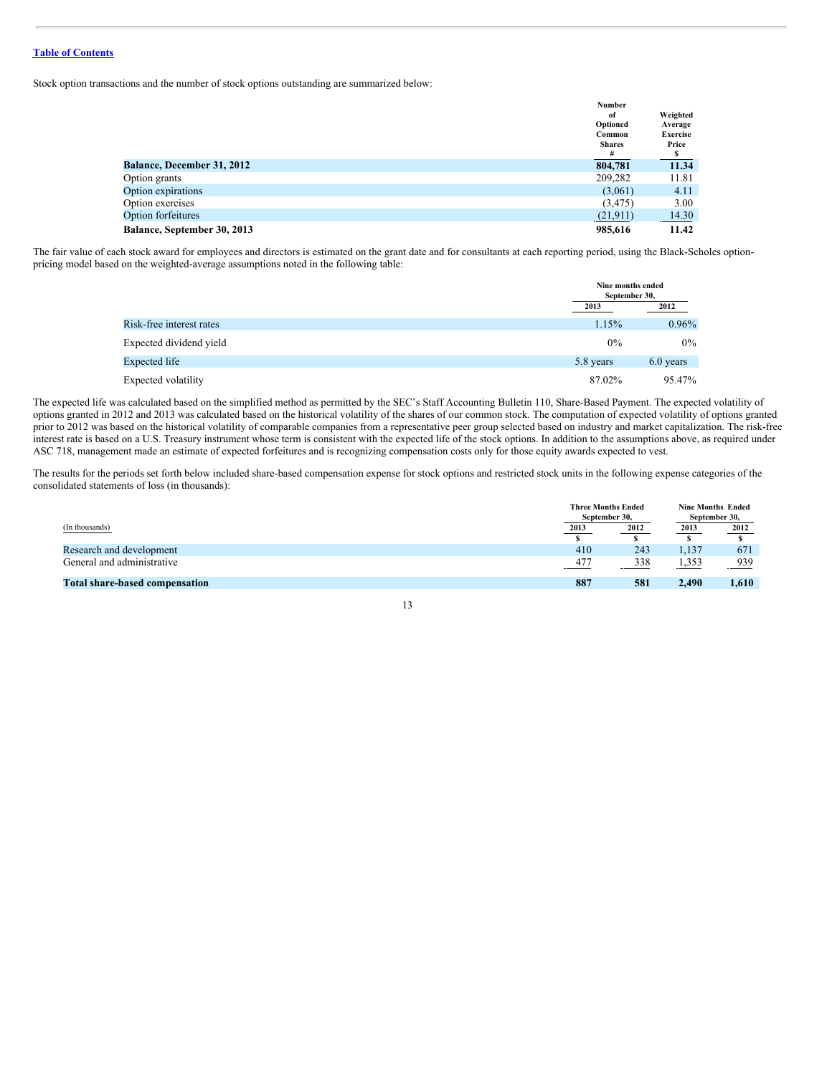Stock option transactions and the number of stock options outstanding are summarized below:

|                                   | <b>Number</b> |                 |
|-----------------------------------|---------------|-----------------|
|                                   | of            | Weighted        |
|                                   | Optioned      | Average         |
|                                   | Common        | <b>Exercise</b> |
|                                   | <b>Shares</b> | Price           |
|                                   | #             |                 |
| <b>Balance, December 31, 2012</b> | 804,781       | 11.34           |
| Option grants                     | 209,282       | 11.81           |
| Option expirations                | (3,061)       | 4.11            |
| Option exercises                  | (3, 475)      | 3.00            |
| <b>Option forfeitures</b>         | (21,911)      | 14.30           |
| Balance, September 30, 2013       | 985,616       | 11.42           |

The fair value of each stock award for employees and directors is estimated on the grant date and for consultants at each reporting period, using the Black-Scholes optionpricing model based on the weighted-average assumptions noted in the following table:

|                          |           | Nine months ended<br>September 30, |  |
|--------------------------|-----------|------------------------------------|--|
|                          | 2013      | 2012                               |  |
| Risk-free interest rates | 1.15%     | $0.96\%$                           |  |
| Expected dividend yield  | $0\%$     | $0\%$                              |  |
| Expected life            | 5.8 years | 6.0 years                          |  |
| Expected volatility      | 87.02%    | 95.47%                             |  |

The expected life was calculated based on the simplified method as permitted by the SEC's Staff Accounting Bulletin 110, Share-Based Payment. The expected volatility of options granted in 2012 and 2013 was calculated based on the historical volatility of the shares of our common stock. The computation of expected volatility of options granted prior to 2012 was based on the historical volatility of comparable companies from a representative peer group selected based on industry and market capitalization. The risk-free interest rate is based on a U.S. Treasury instrument whose term is consistent with the expected life of the stock options. In addition to the assumptions above, as required under ASC 718, management made an estimate of expected forfeitures and is recognizing compensation costs only for those equity awards expected to vest.

The results for the periods set forth below included share-based compensation expense for stock options and restricted stock units in the following expense categories of the consolidated statements of loss (in thousands):

|                                |      | <b>Three Months Ended</b><br>September 30. |       | <b>Nine Months Ended</b><br>September 30, |  |
|--------------------------------|------|--------------------------------------------|-------|-------------------------------------------|--|
| (In thousands)                 | 2013 | 2012                                       | 2013  | 2012                                      |  |
| Research and development       | 410  | 243                                        | 1,137 | 671                                       |  |
| General and administrative     | 477  | 338                                        | 1,353 | 939                                       |  |
| Total share-based compensation | 887  | 581                                        | 2.490 | 1,610                                     |  |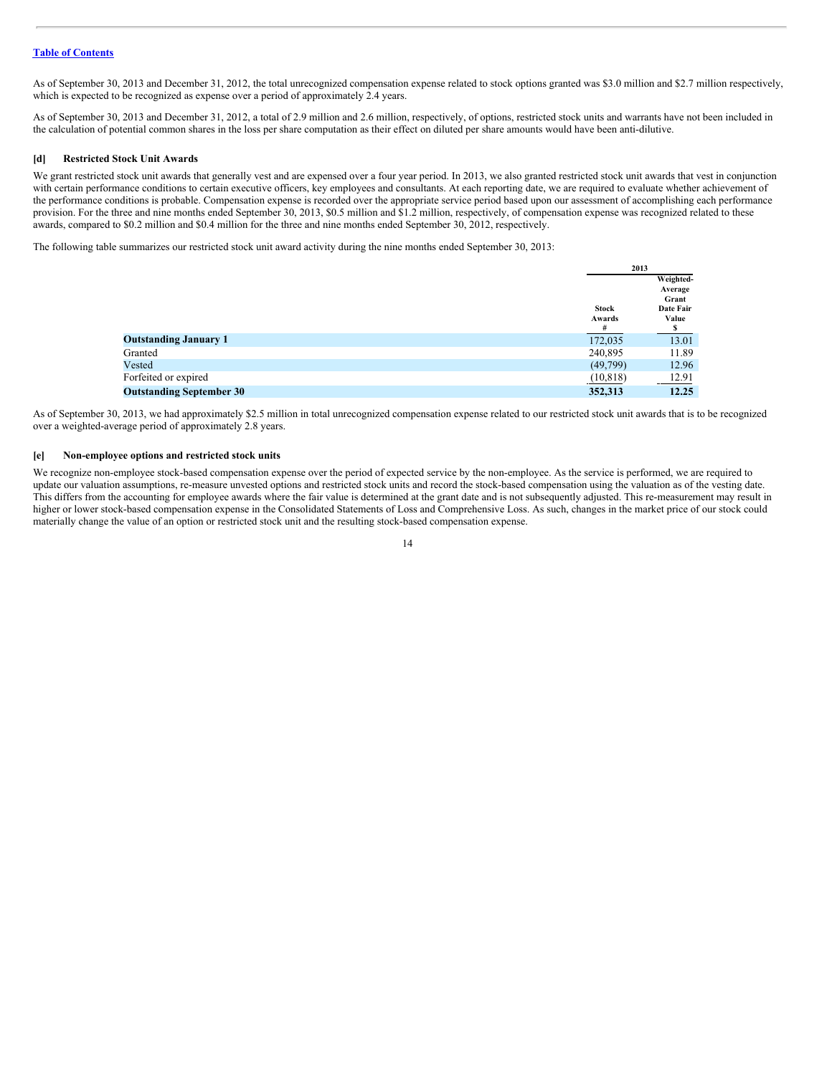As of September 30, 2013 and December 31, 2012, the total unrecognized compensation expense related to stock options granted was \$3.0 million and \$2.7 million respectively, which is expected to be recognized as expense over a period of approximately 2.4 years.

As of September 30, 2013 and December 31, 2012, a total of 2.9 million and 2.6 million, respectively, of options, restricted stock units and warrants have not been included in the calculation of potential common shares in the loss per share computation as their effect on diluted per share amounts would have been anti-dilutive.

#### **[d] Restricted Stock Unit Awards**

We grant restricted stock unit awards that generally vest and are expensed over a four year period. In 2013, we also granted restricted stock unit awards that vest in conjunction with certain performance conditions to certain executive officers, key employees and consultants. At each reporting date, we are required to evaluate whether achievement of the performance conditions is probable. Compensation expense is recorded over the appropriate service period based upon our assessment of accomplishing each performance provision. For the three and nine months ended September 30, 2013, \$0.5 million and \$1.2 million, respectively, of compensation expense was recognized related to these awards, compared to \$0.2 million and \$0.4 million for the three and nine months ended September 30, 2012, respectively.

The following table summarizes our restricted stock unit award activity during the nine months ended September 30, 2013:

|                                 | 2013      |           |
|---------------------------------|-----------|-----------|
|                                 |           | Weighted- |
|                                 |           | Average   |
|                                 |           | Grant     |
|                                 | Stock     | Date Fair |
|                                 | Awards    | Value     |
|                                 | #         |           |
| <b>Outstanding January 1</b>    | 172,035   | 13.01     |
| Granted                         | 240,895   | 11.89     |
| Vested                          | (49,799)  | 12.96     |
| Forfeited or expired            | (10, 818) | 12.91     |
| <b>Outstanding September 30</b> | 352,313   | 12.25     |

As of September 30, 2013, we had approximately \$2.5 million in total unrecognized compensation expense related to our restricted stock unit awards that is to be recognized over a weighted-average period of approximately 2.8 years.

# **[e] Non-employee options and restricted stock units**

We recognize non-employee stock-based compensation expense over the period of expected service by the non-employee. As the service is performed, we are required to update our valuation assumptions, re-measure unvested options and restricted stock units and record the stock-based compensation using the valuation as of the vesting date. This differs from the accounting for employee awards where the fair value is determined at the grant date and is not subsequently adjusted. This re-measurement may result in higher or lower stock-based compensation expense in the Consolidated Statements of Loss and Comprehensive Loss. As such, changes in the market price of our stock could materially change the value of an option or restricted stock unit and the resulting stock-based compensation expense.

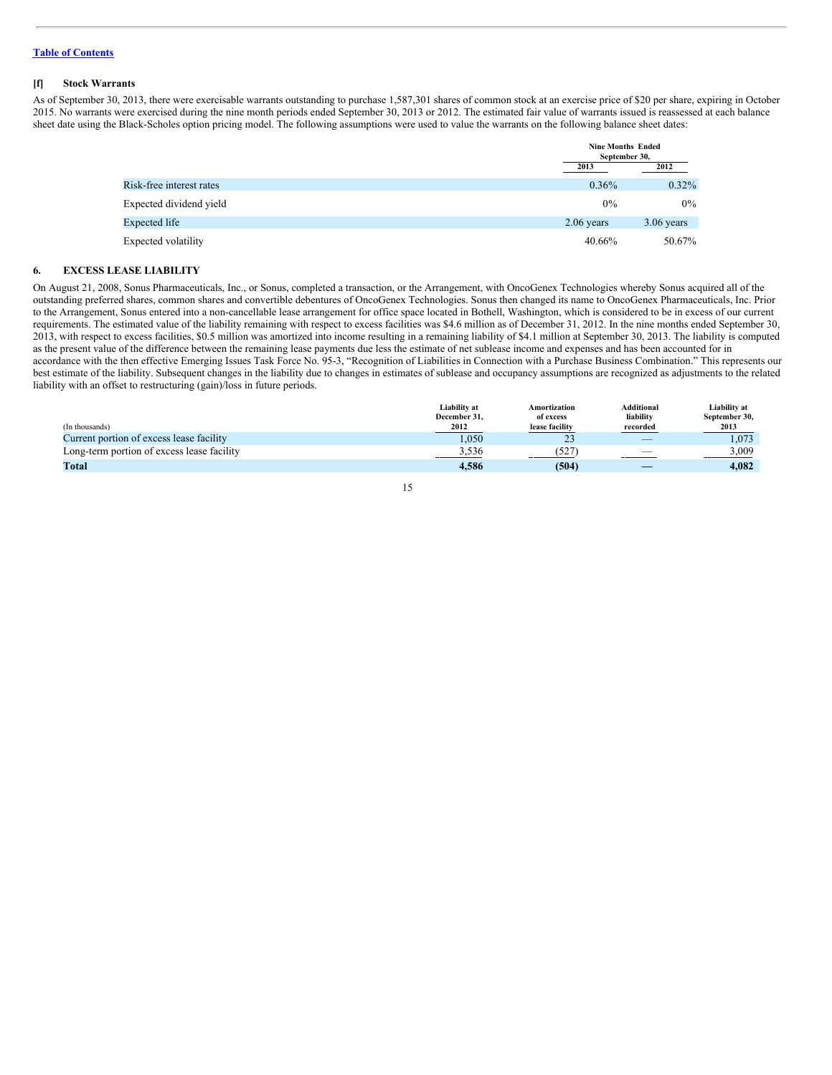#### **[f] Stock Warrants**

As of September 30, 2013, there were exercisable warrants outstanding to purchase 1,587,301 shares of common stock at an exercise price of \$20 per share, expiring in October 2015. No warrants were exercised during the nine month periods ended September 30, 2013 or 2012. The estimated fair value of warrants issued is reassessed at each balance sheet date using the Black-Scholes option pricing model. The following assumptions were used to value the warrants on the following balance sheet dates:

|                          |              | <b>Nine Months Ended</b><br>September 30, |  |
|--------------------------|--------------|-------------------------------------------|--|
|                          | 2013         | 2012                                      |  |
| Risk-free interest rates | $0.36\%$     | $0.32\%$                                  |  |
| Expected dividend yield  | $0\%$        | $0\%$                                     |  |
| Expected life            | $2.06$ years | $3.06$ years                              |  |
| Expected volatility      | 40.66%       | 50.67%                                    |  |

# **6. EXCESS LEASE LIABILITY**

On August 21, 2008, Sonus Pharmaceuticals, Inc., or Sonus, completed a transaction, or the Arrangement, with OncoGenex Technologies whereby Sonus acquired all of the outstanding preferred shares, common shares and convertible debentures of OncoGenex Technologies. Sonus then changed its name to OncoGenex Pharmaceuticals, Inc. Prior to the Arrangement, Sonus entered into a non-cancellable lease arrangement for office space located in Bothell, Washington, which is considered to be in excess of our current requirements. The estimated value of the liability remaining with respect to excess facilities was \$4.6 million as of December 31, 2012. In the nine months ended September 30, 2013, with respect to excess facilities, \$0.5 million was amortized into income resulting in a remaining liability of \$4.1 million at September 30, 2013. The liability is computed as the present value of the difference between the remaining lease payments due less the estimate of net sublease income and expenses and has been accounted for in accordance with the then effective Emerging Issues Task Force No. 95-3, "Recognition of Liabilities in Connection with a Purchase Business Combination." This represents our best estimate of the liability. Subsequent changes in the liability due to changes in estimates of sublease and occupancy assumptions are recognized as adjustments to the related liability with an offset to restructuring (gain)/loss in future periods.

|                                            | Liability at         | Amortization         | Additional               | Liability at  |
|--------------------------------------------|----------------------|----------------------|--------------------------|---------------|
|                                            | December 31.<br>2012 | of excess            | liability                | September 30, |
| (In thousands)                             |                      | lease facility       | recorded                 | 2013          |
| Current portion of excess lease facility   | 1.050                | 2 <sub>2</sub><br>رے | $\overline{\phantom{a}}$ | .073          |
| Long-term portion of excess lease facility | 3.536                | 527                  |                          | 3.009         |
| Total                                      | 4.586                | (504)                |                          | 4.082         |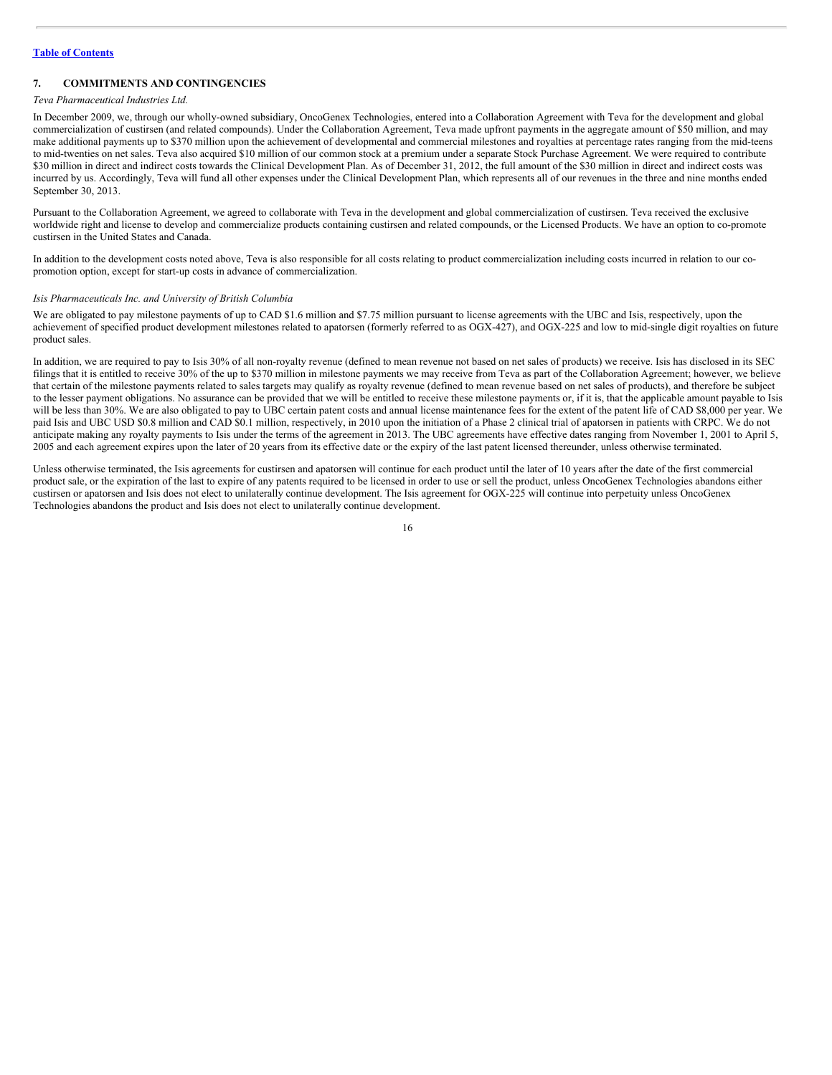# **7. COMMITMENTS AND CONTINGENCIES**

#### *Teva Pharmaceutical Industries Ltd.*

In December 2009, we, through our wholly-owned subsidiary, OncoGenex Technologies, entered into a Collaboration Agreement with Teva for the development and global commercialization of custirsen (and related compounds). Under the Collaboration Agreement, Teva made upfront payments in the aggregate amount of \$50 million, and may make additional payments up to \$370 million upon the achievement of developmental and commercial milestones and royalties at percentage rates ranging from the mid-teens to mid-twenties on net sales. Teva also acquired \$10 million of our common stock at a premium under a separate Stock Purchase Agreement. We were required to contribute \$30 million in direct and indirect costs towards the Clinical Development Plan. As of December 31, 2012, the full amount of the \$30 million in direct and indirect costs was incurred by us. Accordingly, Teva will fund all other expenses under the Clinical Development Plan, which represents all of our revenues in the three and nine months ended September 30, 2013.

Pursuant to the Collaboration Agreement, we agreed to collaborate with Teva in the development and global commercialization of custirsen. Teva received the exclusive worldwide right and license to develop and commercialize products containing custirsen and related compounds, or the Licensed Products. We have an option to co-promote custirsen in the United States and Canada.

In addition to the development costs noted above, Teva is also responsible for all costs relating to product commercialization including costs incurred in relation to our copromotion option, except for start-up costs in advance of commercialization.

#### *Isis Pharmaceuticals Inc. and University of British Columbia*

We are obligated to pay milestone payments of up to CAD \$1.6 million and \$7.75 million pursuant to license agreements with the UBC and Isis, respectively, upon the achievement of specified product development milestones related to apatorsen (formerly referred to as OGX-427), and OGX-225 and low to mid-single digit royalties on future product sales.

In addition, we are required to pay to Isis 30% of all non-royalty revenue (defined to mean revenue not based on net sales of products) we receive. Isis has disclosed in its SEC filings that it is entitled to receive 30% of the up to \$370 million in milestone payments we may receive from Teva as part of the Collaboration Agreement; however, we believe that certain of the milestone payments related to sales targets may qualify as royalty revenue (defined to mean revenue based on net sales of products), and therefore be subject to the lesser payment obligations. No assurance can be provided that we will be entitled to receive these milestone payments or, if it is, that the applicable amount payable to Isis will be less than 30%. We are also obligated to pay to UBC certain patent costs and annual license maintenance fees for the extent of the patent life of CAD \$8,000 per year. We paid Isis and UBC USD \$0.8 million and CAD \$0.1 million, respectively, in 2010 upon the initiation of a Phase 2 clinical trial of apatorsen in patients with CRPC. We do not anticipate making any royalty payments to Isis under the terms of the agreement in 2013. The UBC agreements have effective dates ranging from November 1, 2001 to April 5, 2005 and each agreement expires upon the later of 20 years from its effective date or the expiry of the last patent licensed thereunder, unless otherwise terminated.

Unless otherwise terminated, the Isis agreements for custirsen and apatorsen will continue for each product until the later of 10 years after the date of the first commercial product sale, or the expiration of the last to expire of any patents required to be licensed in order to use or sell the product, unless OncoGenex Technologies abandons either custirsen or apatorsen and Isis does not elect to unilaterally continue development. The Isis agreement for OGX-225 will continue into perpetuity unless OncoGenex Technologies abandons the product and Isis does not elect to unilaterally continue development.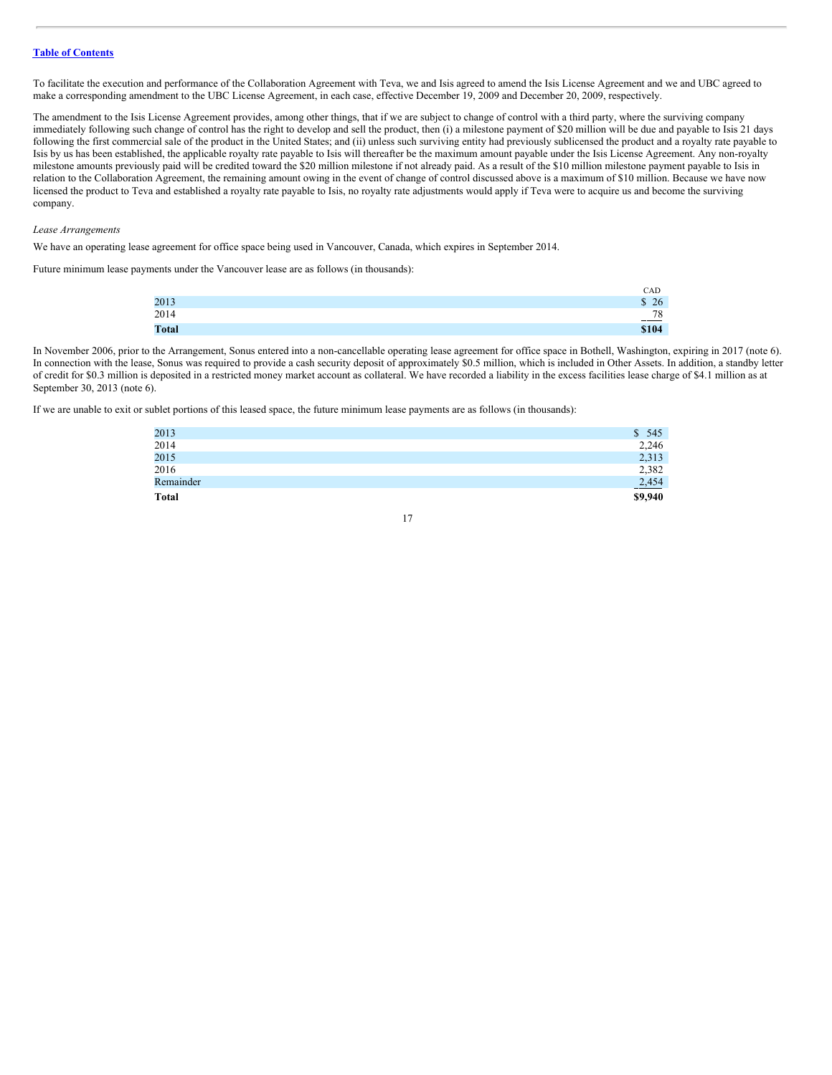To facilitate the execution and performance of the Collaboration Agreement with Teva, we and Isis agreed to amend the Isis License Agreement and we and UBC agreed to make a corresponding amendment to the UBC License Agreement, in each case, effective December 19, 2009 and December 20, 2009, respectively.

The amendment to the Isis License Agreement provides, among other things, that if we are subject to change of control with a third party, where the surviving company immediately following such change of control has the right to develop and sell the product, then (i) a milestone payment of \$20 million will be due and payable to Isis 21 days following the first commercial sale of the product in the United States; and (ii) unless such surviving entity had previously sublicensed the product and a royalty rate payable to Isis by us has been established, the applicable royalty rate payable to Isis will thereafter be the maximum amount payable under the Isis License Agreement. Any non-royalty milestone amounts previously paid will be credited toward the \$20 million milestone if not already paid. As a result of the \$10 million milestone payment payable to Isis in relation to the Collaboration Agreement, the remaining amount owing in the event of change of control discussed above is a maximum of \$10 million. Because we have now licensed the product to Teva and established a royalty rate payable to Isis, no royalty rate adjustments would apply if Teva were to acquire us and become the surviving company.

*Lease Arrangements*

We have an operating lease agreement for office space being used in Vancouver, Canada, which expires in September 2014.

Future minimum lease payments under the Vancouver lease are as follows (in thousands):

|              | CAD          |
|--------------|--------------|
| 2013         | 26<br>ጡ<br>Ф |
| 2014         | 78<br>___    |
| <b>Total</b> | \$104        |

In November 2006, prior to the Arrangement, Sonus entered into a non-cancellable operating lease agreement for office space in Bothell, Washington, expiring in 2017 (note 6). In connection with the lease, Sonus was required to provide a cash security deposit of approximately \$0.5 million, which is included in Other Assets. In addition, a standby letter of credit for \$0.3 million is deposited in a restricted money market account as collateral. We have recorded a liability in the excess facilities lease charge of \$4.1 million as at September 30, 2013 (note 6).

If we are unable to exit or sublet portions of this leased space, the future minimum lease payments are as follows (in thousands):

| 2013         | 545<br>$\mathbb{S}^-$ |
|--------------|-----------------------|
| 2014         | 2,246                 |
| 2015         | 2,313                 |
| 2016         | 2,382                 |
| Remainder    | 2,454                 |
| <b>Total</b> | \$9,940               |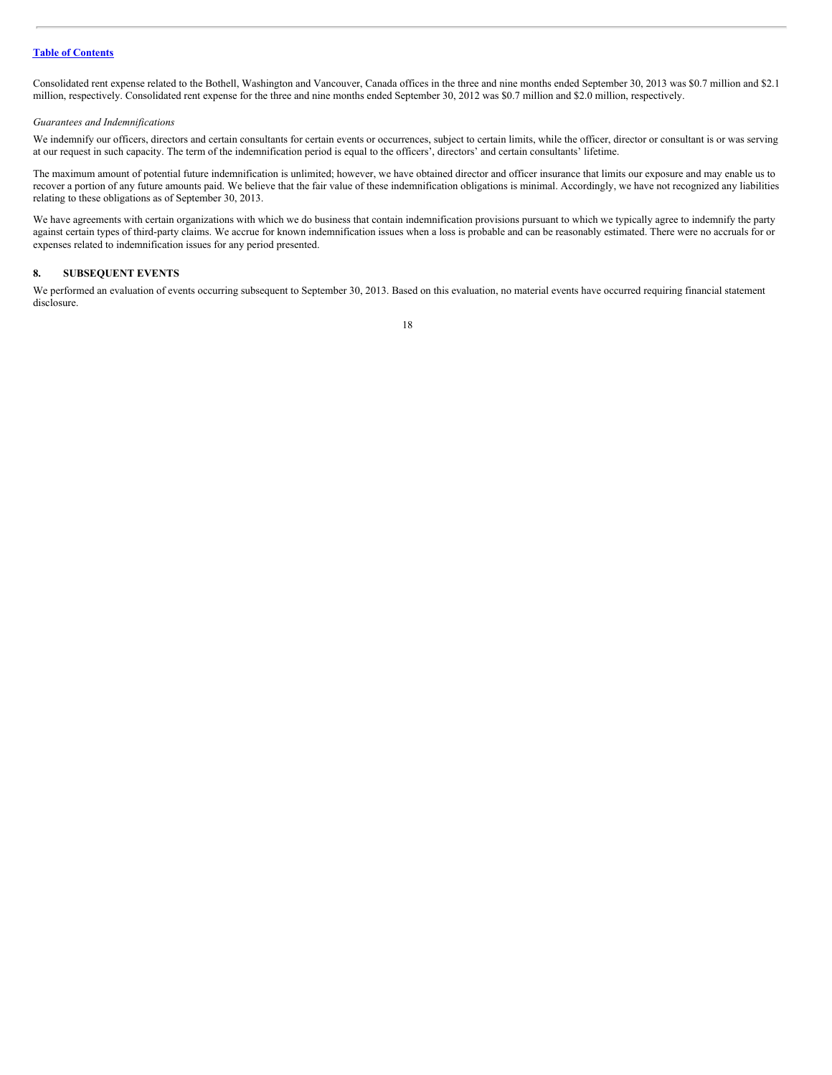Consolidated rent expense related to the Bothell, Washington and Vancouver, Canada offices in the three and nine months ended September 30, 2013 was \$0.7 million and \$2.1 million, respectively. Consolidated rent expense for the three and nine months ended September 30, 2012 was \$0.7 million and \$2.0 million, respectively.

#### *Guarantees and Indemnifications*

We indemnify our officers, directors and certain consultants for certain events or occurrences, subject to certain limits, while the officer, director or consultant is or was serving at our request in such capacity. The term of the indemnification period is equal to the officers', directors' and certain consultants' lifetime.

The maximum amount of potential future indemnification is unlimited; however, we have obtained director and officer insurance that limits our exposure and may enable us to recover a portion of any future amounts paid. We believe that the fair value of these indemnification obligations is minimal. Accordingly, we have not recognized any liabilities relating to these obligations as of September 30, 2013.

We have agreements with certain organizations with which we do business that contain indemnification provisions pursuant to which we typically agree to indemnify the party against certain types of third-party claims. We accrue for known indemnification issues when a loss is probable and can be reasonably estimated. There were no accruals for or expenses related to indemnification issues for any period presented.

# **8. SUBSEQUENT EVENTS**

We performed an evaluation of events occurring subsequent to September 30, 2013. Based on this evaluation, no material events have occurred requiring financial statement disclosure.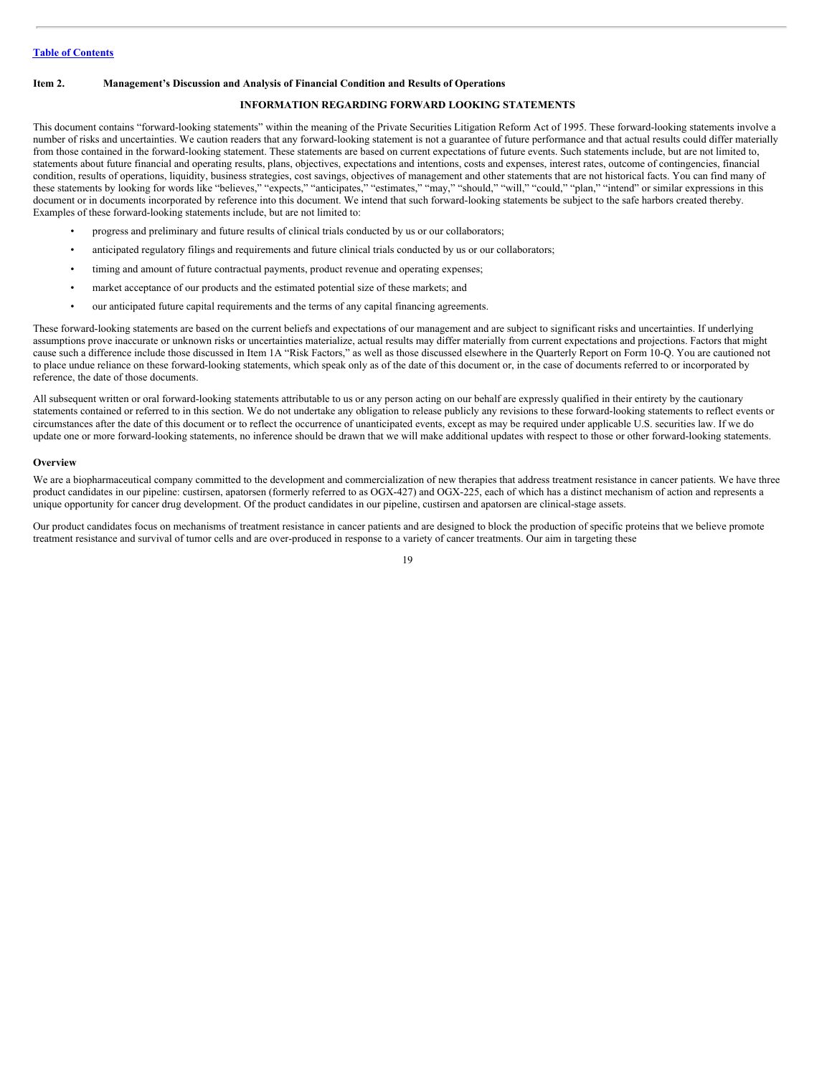#### <span id="page-18-0"></span>**Item 2. Management's Discussion and Analysis of Financial Condition and Results of Operations**

# **INFORMATION REGARDING FORWARD LOOKING STATEMENTS**

This document contains "forward-looking statements" within the meaning of the Private Securities Litigation Reform Act of 1995. These forward-looking statements involve a number of risks and uncertainties. We caution readers that any forward-looking statement is not a guarantee of future performance and that actual results could differ materially from those contained in the forward-looking statement. These statements are based on current expectations of future events. Such statements include, but are not limited to, statements about future financial and operating results, plans, objectives, expectations and intentions, costs and expenses, interest rates, outcome of contingencies, financial condition, results of operations, liquidity, business strategies, cost savings, objectives of management and other statements that are not historical facts. You can find many of these statements by looking for words like "believes," "expects," "anticipates," "estimates," "may," "should," "will," "could," "plan," "intend" or similar expressions in this document or in documents incorporated by reference into this document. We intend that such forward-looking statements be subject to the safe harbors created thereby. Examples of these forward-looking statements include, but are not limited to:

- progress and preliminary and future results of clinical trials conducted by us or our collaborators;
- anticipated regulatory filings and requirements and future clinical trials conducted by us or our collaborators;
- timing and amount of future contractual payments, product revenue and operating expenses;
- market acceptance of our products and the estimated potential size of these markets; and
- our anticipated future capital requirements and the terms of any capital financing agreements.

These forward-looking statements are based on the current beliefs and expectations of our management and are subject to significant risks and uncertainties. If underlying assumptions prove inaccurate or unknown risks or uncertainties materialize, actual results may differ materially from current expectations and projections. Factors that might cause such a difference include those discussed in Item 1A "Risk Factors," as well as those discussed elsewhere in the Quarterly Report on Form 10-Q. You are cautioned not to place undue reliance on these forward-looking statements, which speak only as of the date of this document or, in the case of documents referred to or incorporated by reference, the date of those documents.

All subsequent written or oral forward-looking statements attributable to us or any person acting on our behalf are expressly qualified in their entirety by the cautionary statements contained or referred to in this section. We do not undertake any obligation to release publicly any revisions to these forward-looking statements to reflect events or circumstances after the date of this document or to reflect the occurrence of unanticipated events, except as may be required under applicable U.S. securities law. If we do update one or more forward-looking statements, no inference should be drawn that we will make additional updates with respect to those or other forward-looking statements.

#### **Overview**

We are a biopharmaceutical company committed to the development and commercialization of new therapies that address treatment resistance in cancer patients. We have three product candidates in our pipeline: custirsen, apatorsen (formerly referred to as OGX-427) and OGX-225, each of which has a distinct mechanism of action and represents a unique opportunity for cancer drug development. Of the product candidates in our pipeline, custirsen and apatorsen are clinical-stage assets.

Our product candidates focus on mechanisms of treatment resistance in cancer patients and are designed to block the production of specific proteins that we believe promote treatment resistance and survival of tumor cells and are over-produced in response to a variety of cancer treatments. Our aim in targeting these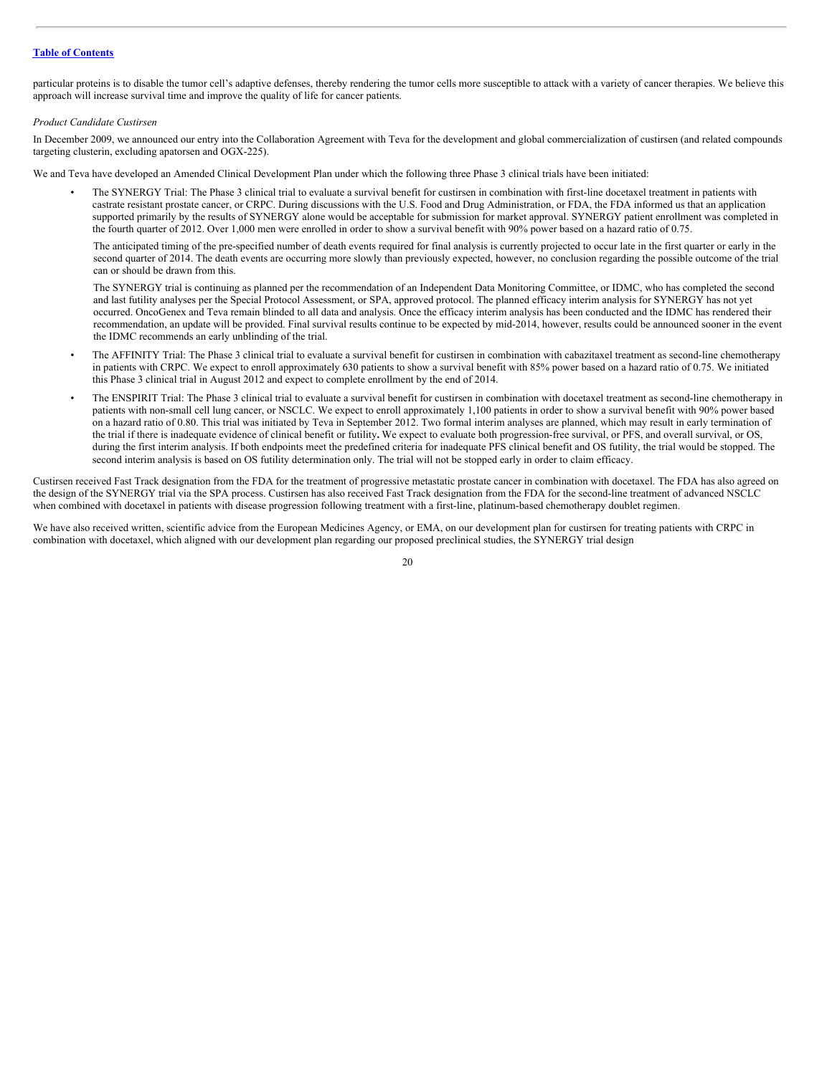particular proteins is to disable the tumor cell's adaptive defenses, thereby rendering the tumor cells more susceptible to attack with a variety of cancer therapies. We believe this approach will increase survival time and improve the quality of life for cancer patients.

#### *Product Candidate Custirsen*

In December 2009, we announced our entry into the Collaboration Agreement with Teva for the development and global commercialization of custirsen (and related compounds targeting clusterin, excluding apatorsen and OGX-225).

We and Teva have developed an Amended Clinical Development Plan under which the following three Phase 3 clinical trials have been initiated:

• The SYNERGY Trial: The Phase 3 clinical trial to evaluate a survival benefit for custirsen in combination with first-line docetaxel treatment in patients with castrate resistant prostate cancer, or CRPC. During discussions with the U.S. Food and Drug Administration, or FDA, the FDA informed us that an application supported primarily by the results of SYNERGY alone would be acceptable for submission for market approval. SYNERGY patient enrollment was completed in the fourth quarter of 2012. Over 1,000 men were enrolled in order to show a survival benefit with 90% power based on a hazard ratio of 0.75.

The anticipated timing of the pre-specified number of death events required for final analysis is currently projected to occur late in the first quarter or early in the second quarter of 2014. The death events are occurring more slowly than previously expected, however, no conclusion regarding the possible outcome of the trial can or should be drawn from this.

The SYNERGY trial is continuing as planned per the recommendation of an Independent Data Monitoring Committee, or IDMC, who has completed the second and last futility analyses per the Special Protocol Assessment, or SPA, approved protocol. The planned efficacy interim analysis for SYNERGY has not yet occurred. OncoGenex and Teva remain blinded to all data and analysis. Once the efficacy interim analysis has been conducted and the IDMC has rendered their recommendation, an update will be provided. Final survival results continue to be expected by mid-2014, however, results could be announced sooner in the event the IDMC recommends an early unblinding of the trial.

- The AFFINITY Trial: The Phase 3 clinical trial to evaluate a survival benefit for custirsen in combination with cabazitaxel treatment as second-line chemotherapy in patients with CRPC. We expect to enroll approximately 630 patients to show a survival benefit with 85% power based on a hazard ratio of 0.75. We initiated this Phase 3 clinical trial in August 2012 and expect to complete enrollment by the end of 2014.
- The ENSPIRIT Trial: The Phase 3 clinical trial to evaluate a survival benefit for custirsen in combination with docetaxel treatment as second-line chemotherapy in patients with non-small cell lung cancer, or NSCLC. We expect to enroll approximately 1,100 patients in order to show a survival benefit with 90% power based on a hazard ratio of 0.80. This trial was initiated by Teva in September 2012. Two formal interim analyses are planned, which may result in early termination of the trial if there is inadequate evidence of clinical benefit or futility**.** We expect to evaluate both progression-free survival, or PFS, and overall survival, or OS, during the first interim analysis. If both endpoints meet the predefined criteria for inadequate PFS clinical benefit and OS futility, the trial would be stopped. The second interim analysis is based on OS futility determination only. The trial will not be stopped early in order to claim efficacy.

Custirsen received Fast Track designation from the FDA for the treatment of progressive metastatic prostate cancer in combination with docetaxel. The FDA has also agreed on the design of the SYNERGY trial via the SPA process. Custirsen has also received Fast Track designation from the FDA for the second-line treatment of advanced NSCLC when combined with docetaxel in patients with disease progression following treatment with a first-line, platinum-based chemotherapy doublet regimen.

We have also received written, scientific advice from the European Medicines Agency, or EMA, on our development plan for custirsen for treating patients with CRPC in combination with docetaxel, which aligned with our development plan regarding our proposed preclinical studies, the SYNERGY trial design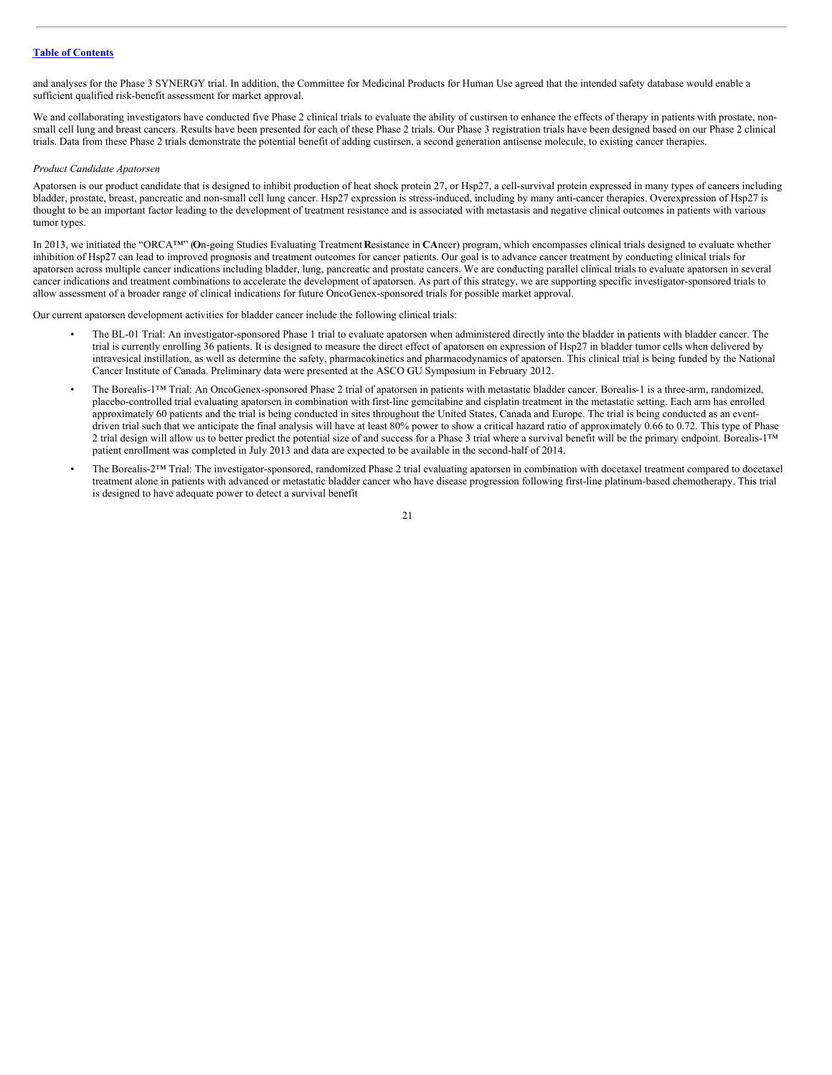and analyses for the Phase 3 SYNERGY trial. In addition, the Committee for Medicinal Products for Human Use agreed that the intended safety database would enable a sufficient qualified risk-benefit assessment for market approval.

We and collaborating investigators have conducted five Phase 2 clinical trials to evaluate the ability of custirsen to enhance the effects of therapy in patients with prostate, nonsmall cell lung and breast cancers. Results have been presented for each of these Phase 2 trials. Our Phase 3 registration trials have been designed based on our Phase 2 clinical trials. Data from these Phase 2 trials demonstrate the potential benefit of adding custirsen, a second generation antisense molecule, to existing cancer therapies.

#### *Product Candidate Apatorsen*

Apatorsen is our product candidate that is designed to inhibit production of heat shock protein 27, or Hsp27, a cell-survival protein expressed in many types of cancers including bladder, prostate, breast, pancreatic and non-small cell lung cancer. Hsp27 expression is stress-induced, including by many anti-cancer therapies. Overexpression of Hsp27 is thought to be an important factor leading to the development of treatment resistance and is associated with metastasis and negative clinical outcomes in patients with various tumor types.

In 2013, we initiated the "ORCA™" (**O**n-going Studies Evaluating Treatment **R**esistance in **CA**ncer) program, which encompasses clinical trials designed to evaluate whether inhibition of Hsp27 can lead to improved prognosis and treatment outcomes for cancer patients. Our goal is to advance cancer treatment by conducting clinical trials for apatorsen across multiple cancer indications including bladder, lung, pancreatic and prostate cancers. We are conducting parallel clinical trials to evaluate apatorsen in several cancer indications and treatment combinations to accelerate the development of apatorsen. As part of this strategy, we are supporting specific investigator-sponsored trials to allow assessment of a broader range of clinical indications for future OncoGenex-sponsored trials for possible market approval.

Our current apatorsen development activities for bladder cancer include the following clinical trials:

- The BL-01 Trial: An investigator-sponsored Phase 1 trial to evaluate apatorsen when administered directly into the bladder in patients with bladder cancer. The trial is currently enrolling 36 patients. It is designed to measure the direct effect of apatorsen on expression of Hsp27 in bladder tumor cells when delivered by intravesical instillation, as well as determine the safety, pharmacokinetics and pharmacodynamics of apatorsen. This clinical trial is being funded by the National Cancer Institute of Canada. Preliminary data were presented at the ASCO GU Symposium in February 2012.
- The Borealis-1™ Trial: An OncoGenex-sponsored Phase 2 trial of apatorsen in patients with metastatic bladder cancer. Borealis-1 is a three-arm, randomized, placebo-controlled trial evaluating apatorsen in combination with first-line gemcitabine and cisplatin treatment in the metastatic setting. Each arm has enrolled approximately 60 patients and the trial is being conducted in sites throughout the United States, Canada and Europe. The trial is being conducted as an eventdriven trial such that we anticipate the final analysis will have at least 80% power to show a critical hazard ratio of approximately 0.66 to 0.72. This type of Phase 2 trial design will allow us to better predict the potential size of and success for a Phase 3 trial where a survival benefit will be the primary endpoint. Borealis-1<sup>™</sup> patient enrollment was completed in July 2013 and data are expected to be available in the second-half of 2014.
- The Borealis-2™ Trial: The investigator-sponsored, randomized Phase 2 trial evaluating apatorsen in combination with docetaxel treatment compared to docetaxel treatment alone in patients with advanced or metastatic bladder cancer who have disease progression following first-line platinum-based chemotherapy. This trial is designed to have adequate power to detect a survival benefit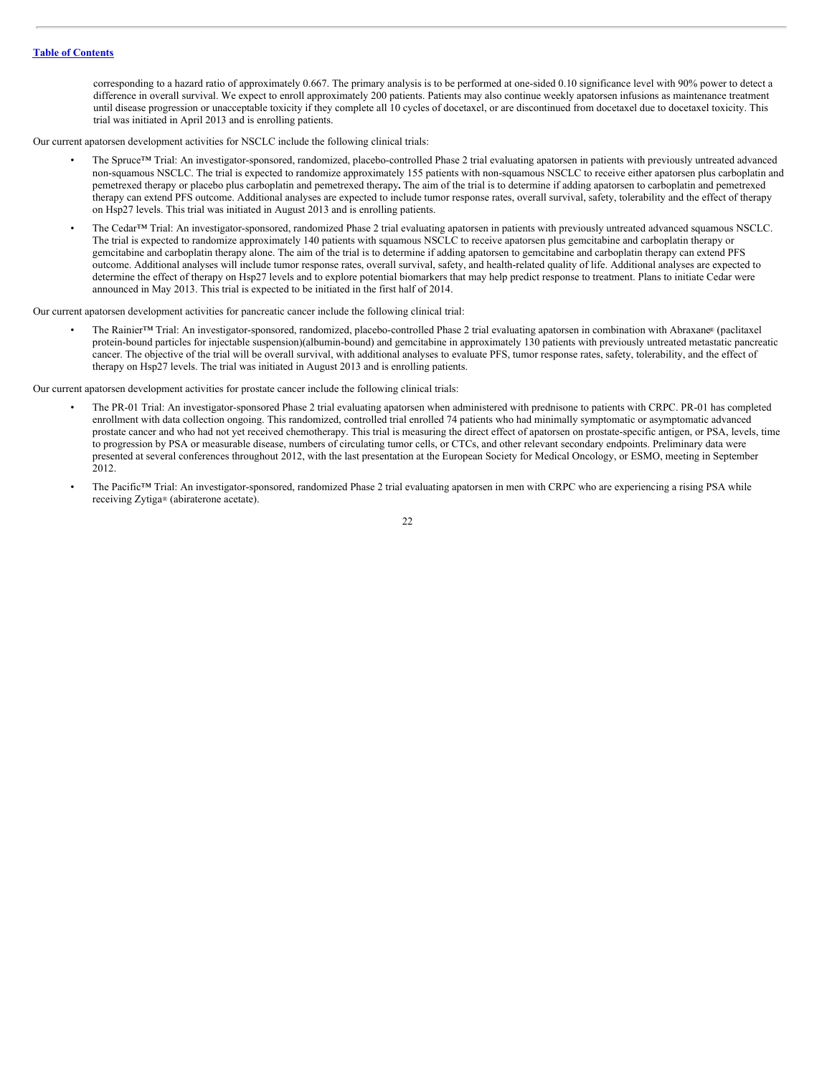corresponding to a hazard ratio of approximately 0.667. The primary analysis is to be performed at one-sided 0.10 significance level with 90% power to detect a difference in overall survival. We expect to enroll approximately 200 patients. Patients may also continue weekly apatorsen infusions as maintenance treatment until disease progression or unacceptable toxicity if they complete all 10 cycles of docetaxel, or are discontinued from docetaxel due to docetaxel toxicity. This trial was initiated in April 2013 and is enrolling patients.

Our current apatorsen development activities for NSCLC include the following clinical trials:

- The Spruce™ Trial: An investigator-sponsored, randomized, placebo-controlled Phase 2 trial evaluating apatorsen in patients with previously untreated advanced non-squamous NSCLC. The trial is expected to randomize approximately 155 patients with non-squamous NSCLC to receive either apatorsen plus carboplatin and pemetrexed therapy or placebo plus carboplatin and pemetrexed therapy**.** The aim of the trial is to determine if adding apatorsen to carboplatin and pemetrexed therapy can extend PFS outcome. Additional analyses are expected to include tumor response rates, overall survival, safety, tolerability and the effect of therapy on Hsp27 levels. This trial was initiated in August 2013 and is enrolling patients.
- The Cedar™ Trial: An investigator-sponsored, randomized Phase 2 trial evaluating apatorsen in patients with previously untreated advanced squamous NSCLC. The trial is expected to randomize approximately 140 patients with squamous NSCLC to receive apatorsen plus gemcitabine and carboplatin therapy or gemcitabine and carboplatin therapy alone. The aim of the trial is to determine if adding apatorsen to gemcitabine and carboplatin therapy can extend PFS outcome. Additional analyses will include tumor response rates, overall survival, safety, and health-related quality of life. Additional analyses are expected to determine the effect of therapy on Hsp27 levels and to explore potential biomarkers that may help predict response to treatment. Plans to initiate Cedar were announced in May 2013. This trial is expected to be initiated in the first half of 2014.

Our current apatorsen development activities for pancreatic cancer include the following clinical trial:

• The Rainier™ Trial: An investigator-sponsored, randomized, placebo-controlled Phase 2 trial evaluating apatorsen in combination with Abraxane® (paclitaxel protein-bound particles for injectable suspension)(albumin-bound) and gemcitabine in approximately 130 patients with previously untreated metastatic pancreatic cancer. The objective of the trial will be overall survival, with additional analyses to evaluate PFS, tumor response rates, safety, tolerability, and the effect of therapy on Hsp27 levels. The trial was initiated in August 2013 and is enrolling patients.

Our current apatorsen development activities for prostate cancer include the following clinical trials:

- The PR-01 Trial: An investigator-sponsored Phase 2 trial evaluating apatorsen when administered with prednisone to patients with CRPC. PR-01 has completed enrollment with data collection ongoing. This randomized, controlled trial enrolled 74 patients who had minimally symptomatic or asymptomatic advanced prostate cancer and who had not yet received chemotherapy. This trial is measuring the direct effect of apatorsen on prostate-specific antigen, or PSA, levels, time to progression by PSA or measurable disease, numbers of circulating tumor cells, or CTCs, and other relevant secondary endpoints. Preliminary data were presented at several conferences throughout 2012, with the last presentation at the European Society for Medical Oncology, or ESMO, meeting in September 2012.
- The Pacific™ Trial: An investigator-sponsored, randomized Phase 2 trial evaluating apatorsen in men with CRPC who are experiencing a rising PSA while receiving Zytiga® (abiraterone acetate).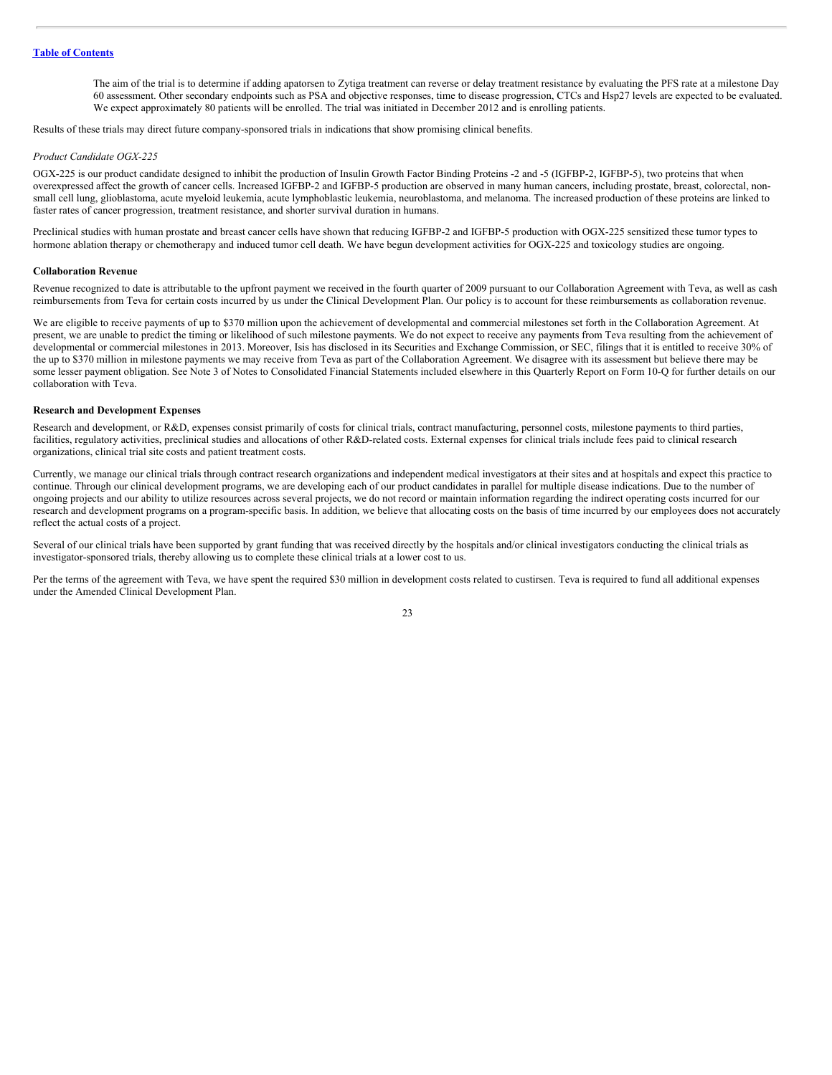The aim of the trial is to determine if adding apatorsen to Zytiga treatment can reverse or delay treatment resistance by evaluating the PFS rate at a milestone Day 60 assessment. Other secondary endpoints such as PSA and objective responses, time to disease progression, CTCs and Hsp27 levels are expected to be evaluated. We expect approximately 80 patients will be enrolled. The trial was initiated in December 2012 and is enrolling patients.

Results of these trials may direct future company-sponsored trials in indications that show promising clinical benefits.

#### *Product Candidate OGX-225*

OGX-225 is our product candidate designed to inhibit the production of Insulin Growth Factor Binding Proteins -2 and -5 (IGFBP-2, IGFBP-5), two proteins that when overexpressed affect the growth of cancer cells. Increased IGFBP-2 and IGFBP-5 production are observed in many human cancers, including prostate, breast, colorectal, nonsmall cell lung, glioblastoma, acute myeloid leukemia, acute lymphoblastic leukemia, neuroblastoma, and melanoma. The increased production of these proteins are linked to faster rates of cancer progression, treatment resistance, and shorter survival duration in humans.

Preclinical studies with human prostate and breast cancer cells have shown that reducing IGFBP-2 and IGFBP-5 production with OGX-225 sensitized these tumor types to hormone ablation therapy or chemotherapy and induced tumor cell death. We have begun development activities for OGX-225 and toxicology studies are ongoing.

#### **Collaboration Revenue**

Revenue recognized to date is attributable to the upfront payment we received in the fourth quarter of 2009 pursuant to our Collaboration Agreement with Teva, as well as cash reimbursements from Teva for certain costs incurred by us under the Clinical Development Plan. Our policy is to account for these reimbursements as collaboration revenue.

We are eligible to receive payments of up to \$370 million upon the achievement of developmental and commercial milestones set forth in the Collaboration Agreement. At present, we are unable to predict the timing or likelihood of such milestone payments. We do not expect to receive any payments from Teva resulting from the achievement of developmental or commercial milestones in 2013. Moreover, Isis has disclosed in its Securities and Exchange Commission, or SEC, filings that it is entitled to receive 30% of the up to \$370 million in milestone payments we may receive from Teva as part of the Collaboration Agreement. We disagree with its assessment but believe there may be some lesser payment obligation. See Note 3 of Notes to Consolidated Financial Statements included elsewhere in this Quarterly Report on Form 10-Q for further details on our collaboration with Teva.

#### **Research and Development Expenses**

Research and development, or R&D, expenses consist primarily of costs for clinical trials, contract manufacturing, personnel costs, milestone payments to third parties, facilities, regulatory activities, preclinical studies and allocations of other R&D-related costs. External expenses for clinical trials include fees paid to clinical research organizations, clinical trial site costs and patient treatment costs.

Currently, we manage our clinical trials through contract research organizations and independent medical investigators at their sites and at hospitals and expect this practice to continue. Through our clinical development programs, we are developing each of our product candidates in parallel for multiple disease indications. Due to the number of ongoing projects and our ability to utilize resources across several projects, we do not record or maintain information regarding the indirect operating costs incurred for our research and development programs on a program-specific basis. In addition, we believe that allocating costs on the basis of time incurred by our employees does not accurately reflect the actual costs of a project.

Several of our clinical trials have been supported by grant funding that was received directly by the hospitals and/or clinical investigators conducting the clinical trials as investigator-sponsored trials, thereby allowing us to complete these clinical trials at a lower cost to us.

Per the terms of the agreement with Teva, we have spent the required \$30 million in development costs related to custirsen. Teva is required to fund all additional expenses under the Amended Clinical Development Plan.

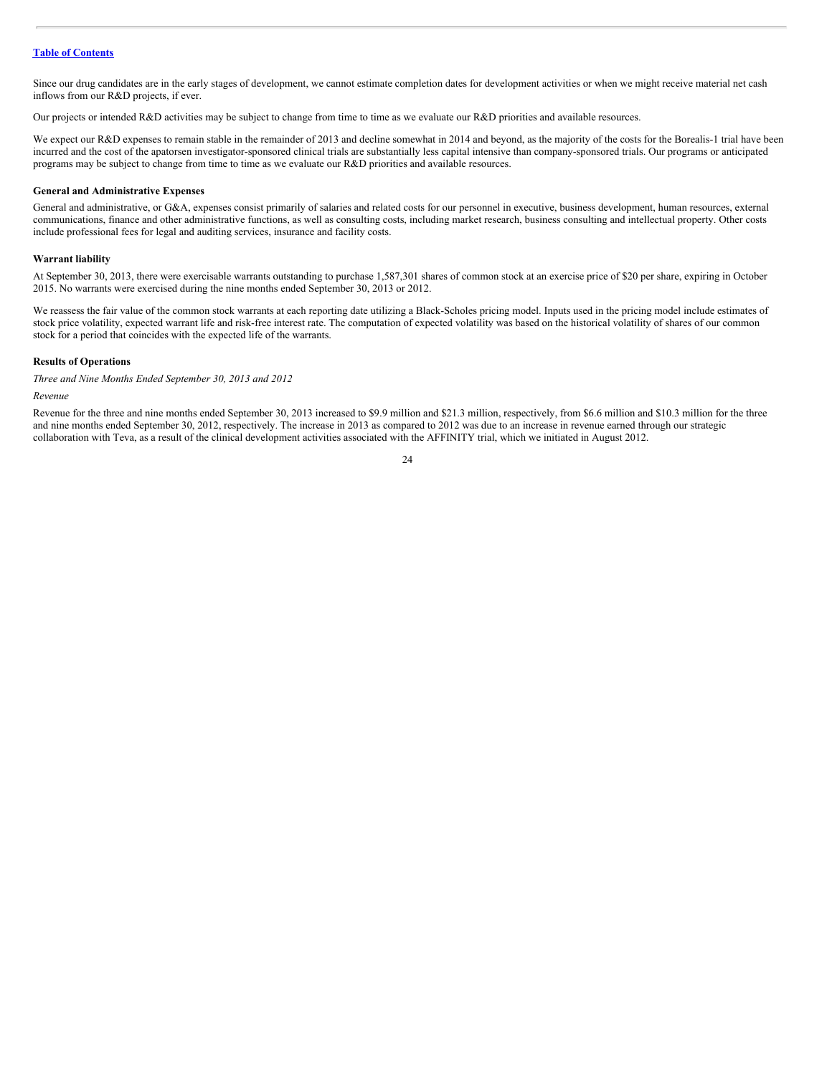Since our drug candidates are in the early stages of development, we cannot estimate completion dates for development activities or when we might receive material net cash inflows from our R&D projects, if ever.

Our projects or intended R&D activities may be subject to change from time to time as we evaluate our R&D priorities and available resources.

We expect our R&D expenses to remain stable in the remainder of 2013 and decline somewhat in 2014 and beyond, as the majority of the costs for the Borealis-1 trial have been incurred and the cost of the apatorsen investigator-sponsored clinical trials are substantially less capital intensive than company-sponsored trials. Our programs or anticipated programs may be subject to change from time to time as we evaluate our R&D priorities and available resources.

#### **General and Administrative Expenses**

General and administrative, or G&A, expenses consist primarily of salaries and related costs for our personnel in executive, business development, human resources, external communications, finance and other administrative functions, as well as consulting costs, including market research, business consulting and intellectual property. Other costs include professional fees for legal and auditing services, insurance and facility costs.

#### **Warrant liability**

At September 30, 2013, there were exercisable warrants outstanding to purchase 1,587,301 shares of common stock at an exercise price of \$20 per share, expiring in October 2015. No warrants were exercised during the nine months ended September 30, 2013 or 2012.

We reassess the fair value of the common stock warrants at each reporting date utilizing a Black-Scholes pricing model. Inputs used in the pricing model include estimates of stock price volatility, expected warrant life and risk-free interest rate. The computation of expected volatility was based on the historical volatility of shares of our common stock for a period that coincides with the expected life of the warrants.

# **Results of Operations**

*Three and Nine Months Ended September 30, 2013 and 2012*

#### *Revenue*

Revenue for the three and nine months ended September 30, 2013 increased to \$9.9 million and \$21.3 million, respectively, from \$6.6 million and \$10.3 million for the three and nine months ended September 30, 2012, respectively. The increase in 2013 as compared to 2012 was due to an increase in revenue earned through our strategic collaboration with Teva, as a result of the clinical development activities associated with the AFFINITY trial, which we initiated in August 2012.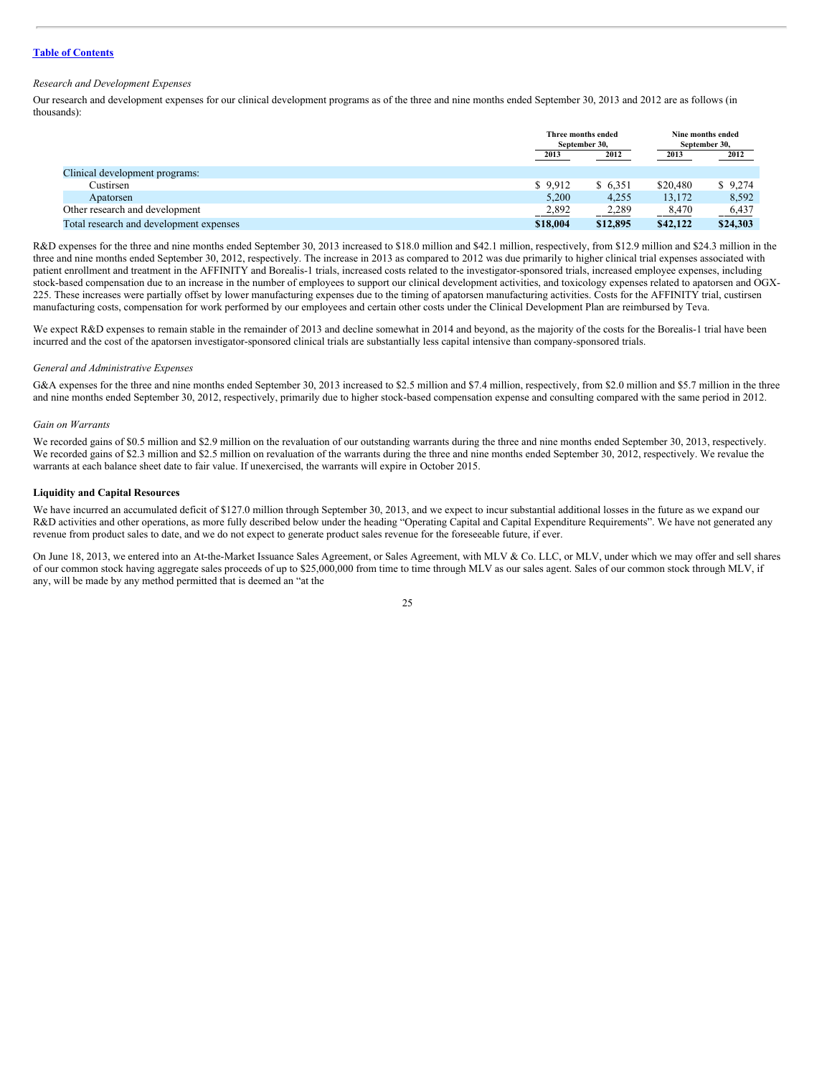#### *Research and Development Expenses*

Our research and development expenses for our clinical development programs as of the three and nine months ended September 30, 2013 and 2012 are as follows (in thousands):

|                                         |          | Three months ended<br>September 30, |          | Nine months ended<br>September 30, |  |
|-----------------------------------------|----------|-------------------------------------|----------|------------------------------------|--|
|                                         | 2013     | 2012                                | 2013     | 2012                               |  |
| Clinical development programs:          |          |                                     |          |                                    |  |
| Custirsen                               | \$9.912  | \$ 6,351                            | \$20,480 | \$9,274                            |  |
| Apatorsen                               | 5,200    | 4,255                               | 13,172   | 8,592                              |  |
| Other research and development          | 2,892    | 2,289                               | 8,470    | 6,437                              |  |
| Total research and development expenses | \$18,004 | \$12,895                            | \$42,122 | \$24,303                           |  |

R&D expenses for the three and nine months ended September 30, 2013 increased to \$18.0 million and \$42.1 million, respectively, from \$12.9 million and \$24.3 million in the three and nine months ended September 30, 2012, respectively. The increase in 2013 as compared to 2012 was due primarily to higher clinical trial expenses associated with patient enrollment and treatment in the AFFINITY and Borealis-1 trials, increased costs related to the investigator-sponsored trials, increased employee expenses, including stock-based compensation due to an increase in the number of employees to support our clinical development activities, and toxicology expenses related to apatorsen and OGX-225. These increases were partially offset by lower manufacturing expenses due to the timing of apatorsen manufacturing activities. Costs for the AFFINITY trial, custirsen manufacturing costs, compensation for work performed by our employees and certain other costs under the Clinical Development Plan are reimbursed by Teva.

We expect R&D expenses to remain stable in the remainder of 2013 and decline somewhat in 2014 and beyond, as the majority of the costs for the Borealis-1 trial have been incurred and the cost of the apatorsen investigator-sponsored clinical trials are substantially less capital intensive than company-sponsored trials.

#### *General and Administrative Expenses*

G&A expenses for the three and nine months ended September 30, 2013 increased to \$2.5 million and \$7.4 million, respectively, from \$2.0 million and \$5.7 million in the three and nine months ended September 30, 2012, respectively, primarily due to higher stock-based compensation expense and consulting compared with the same period in 2012.

#### *Gain on Warrants*

We recorded gains of \$0.5 million and \$2.9 million on the revaluation of our outstanding warrants during the three and nine months ended September 30, 2013, respectively. We recorded gains of \$2.3 million and \$2.5 million on revaluation of the warrants during the three and nine months ended September 30, 2012, respectively. We revalue the warrants at each balance sheet date to fair value. If unexercised, the warrants will expire in October 2015.

#### **Liquidity and Capital Resources**

We have incurred an accumulated deficit of \$127.0 million through September 30, 2013, and we expect to incur substantial additional losses in the future as we expand our R&D activities and other operations, as more fully described below under the heading "Operating Capital and Capital Expenditure Requirements". We have not generated any revenue from product sales to date, and we do not expect to generate product sales revenue for the foreseeable future, if ever.

On June 18, 2013, we entered into an At-the-Market Issuance Sales Agreement, or Sales Agreement, with MLV & Co. LLC, or MLV, under which we may offer and sell shares of our common stock having aggregate sales proceeds of up to \$25,000,000 from time to time through MLV as our sales agent. Sales of our common stock through MLV, if any, will be made by any method permitted that is deemed an "at the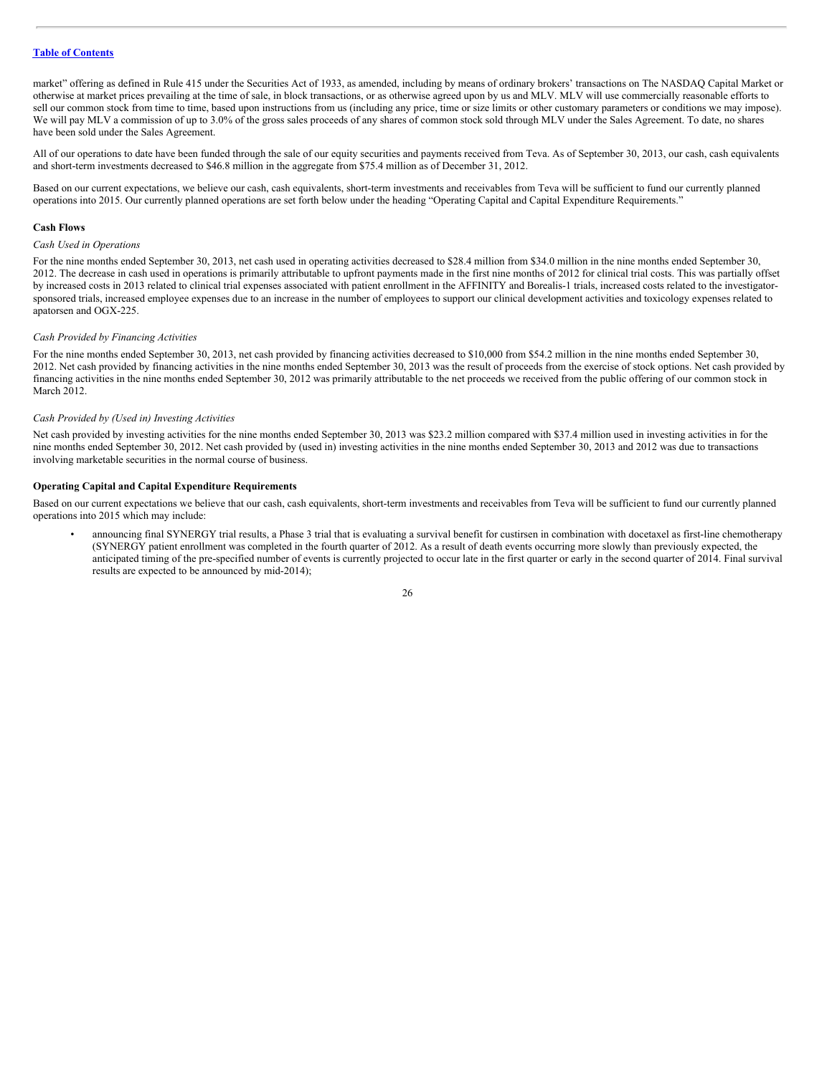market" offering as defined in Rule 415 under the Securities Act of 1933, as amended, including by means of ordinary brokers' transactions on The NASDAQ Capital Market or otherwise at market prices prevailing at the time of sale, in block transactions, or as otherwise agreed upon by us and MLV. MLV will use commercially reasonable efforts to sell our common stock from time to time, based upon instructions from us (including any price, time or size limits or other customary parameters or conditions we may impose). We will pay MLV a commission of up to 3.0% of the gross sales proceeds of any shares of common stock sold through MLV under the Sales Agreement. To date, no shares have been sold under the Sales Agreement.

All of our operations to date have been funded through the sale of our equity securities and payments received from Teva. As of September 30, 2013, our cash, cash equivalents and short-term investments decreased to \$46.8 million in the aggregate from \$75.4 million as of December 31, 2012.

Based on our current expectations, we believe our cash, cash equivalents, short-term investments and receivables from Teva will be sufficient to fund our currently planned operations into 2015. Our currently planned operations are set forth below under the heading "Operating Capital and Capital Expenditure Requirements."

#### **Cash Flows**

#### *Cash Used in Operations*

For the nine months ended September 30, 2013, net cash used in operating activities decreased to \$28.4 million from \$34.0 million in the nine months ended September 30, 2012. The decrease in cash used in operations is primarily attributable to upfront payments made in the first nine months of 2012 for clinical trial costs. This was partially offset by increased costs in 2013 related to clinical trial expenses associated with patient enrollment in the AFFINITY and Borealis-1 trials, increased costs related to the investigatorsponsored trials, increased employee expenses due to an increase in the number of employees to support our clinical development activities and toxicology expenses related to apatorsen and OGX-225.

#### *Cash Provided by Financing Activities*

For the nine months ended September 30, 2013, net cash provided by financing activities decreased to \$10,000 from \$54.2 million in the nine months ended September 30, 2012. Net cash provided by financing activities in the nine months ended September 30, 2013 was the result of proceeds from the exercise of stock options. Net cash provided by financing activities in the nine months ended September 30, 2012 was primarily attributable to the net proceeds we received from the public offering of our common stock in March 2012.

#### *Cash Provided by (Used in) Investing Activities*

Net cash provided by investing activities for the nine months ended September 30, 2013 was \$23.2 million compared with \$37.4 million used in investing activities in for the nine months ended September 30, 2012. Net cash provided by (used in) investing activities in the nine months ended September 30, 2013 and 2012 was due to transactions involving marketable securities in the normal course of business.

#### **Operating Capital and Capital Expenditure Requirements**

Based on our current expectations we believe that our cash, cash equivalents, short-term investments and receivables from Teva will be sufficient to fund our currently planned operations into 2015 which may include:

• announcing final SYNERGY trial results, a Phase 3 trial that is evaluating a survival benefit for custirsen in combination with docetaxel as first-line chemotherapy (SYNERGY patient enrollment was completed in the fourth quarter of 2012. As a result of death events occurring more slowly than previously expected, the anticipated timing of the pre-specified number of events is currently projected to occur late in the first quarter or early in the second quarter of 2014. Final survival results are expected to be announced by mid-2014);

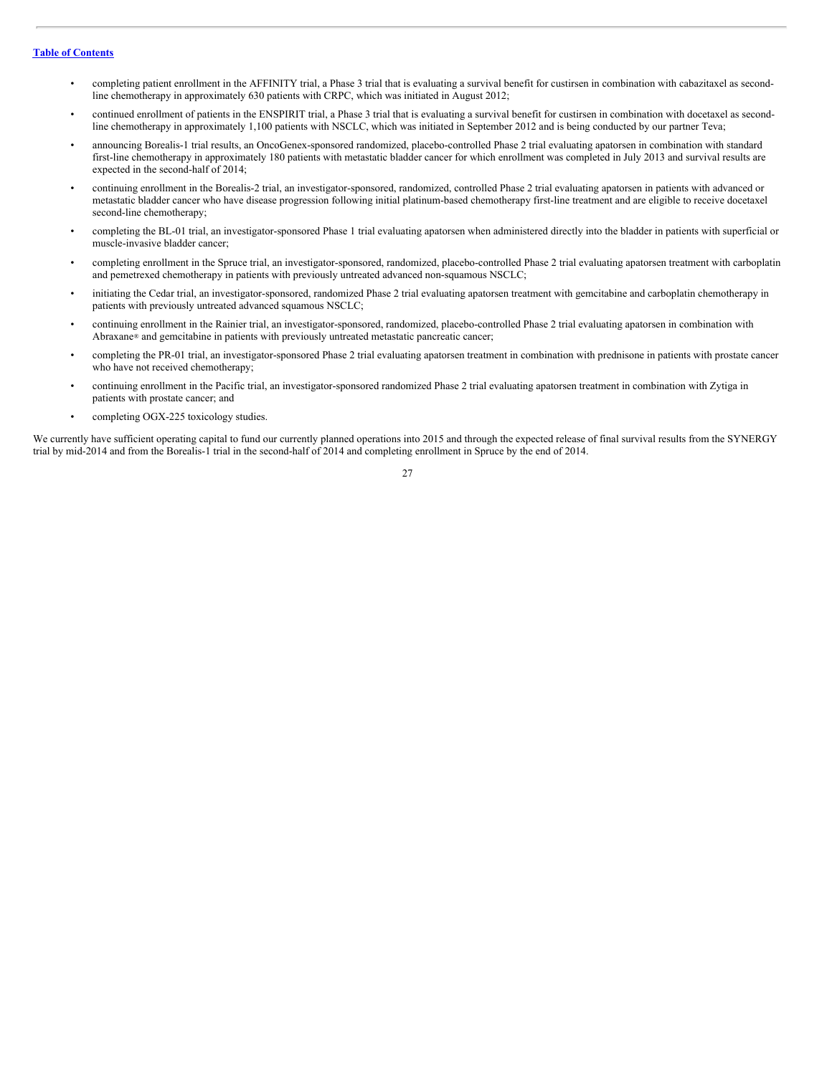- completing patient enrollment in the AFFINITY trial, a Phase 3 trial that is evaluating a survival benefit for custirsen in combination with cabazitaxel as secondline chemotherapy in approximately 630 patients with CRPC, which was initiated in August 2012;
- continued enrollment of patients in the ENSPIRIT trial, a Phase 3 trial that is evaluating a survival benefit for custirsen in combination with docetaxel as secondline chemotherapy in approximately 1,100 patients with NSCLC, which was initiated in September 2012 and is being conducted by our partner Teva;
- announcing Borealis-1 trial results, an OncoGenex-sponsored randomized, placebo-controlled Phase 2 trial evaluating apatorsen in combination with standard first-line chemotherapy in approximately 180 patients with metastatic bladder cancer for which enrollment was completed in July 2013 and survival results are expected in the second-half of 2014;
- continuing enrollment in the Borealis-2 trial, an investigator-sponsored, randomized, controlled Phase 2 trial evaluating apatorsen in patients with advanced or metastatic bladder cancer who have disease progression following initial platinum-based chemotherapy first-line treatment and are eligible to receive docetaxel second-line chemotherany:
- completing the BL-01 trial, an investigator-sponsored Phase 1 trial evaluating apatorsen when administered directly into the bladder in patients with superficial or muscle-invasive bladder cancer;
- completing enrollment in the Spruce trial, an investigator-sponsored, randomized, placebo-controlled Phase 2 trial evaluating apatorsen treatment with carboplatin and pemetrexed chemotherapy in patients with previously untreated advanced non-squamous NSCLC;
- initiating the Cedar trial, an investigator-sponsored, randomized Phase 2 trial evaluating apatorsen treatment with gemcitabine and carboplatin chemotherapy in patients with previously untreated advanced squamous NSCLC;
- continuing enrollment in the Rainier trial, an investigator-sponsored, randomized, placebo-controlled Phase 2 trial evaluating apatorsen in combination with Abraxane® and gemcitabine in patients with previously untreated metastatic pancreatic cancer;
- completing the PR-01 trial, an investigator-sponsored Phase 2 trial evaluating apatorsen treatment in combination with prednisone in patients with prostate cancer who have not received chemotherapy;
- continuing enrollment in the Pacific trial, an investigator-sponsored randomized Phase 2 trial evaluating apatorsen treatment in combination with Zytiga in patients with prostate cancer; and
- completing OGX-225 toxicology studies.

We currently have sufficient operating capital to fund our currently planned operations into 2015 and through the expected release of final survival results from the SYNERGY trial by mid-2014 and from the Borealis-1 trial in the second-half of 2014 and completing enrollment in Spruce by the end of 2014.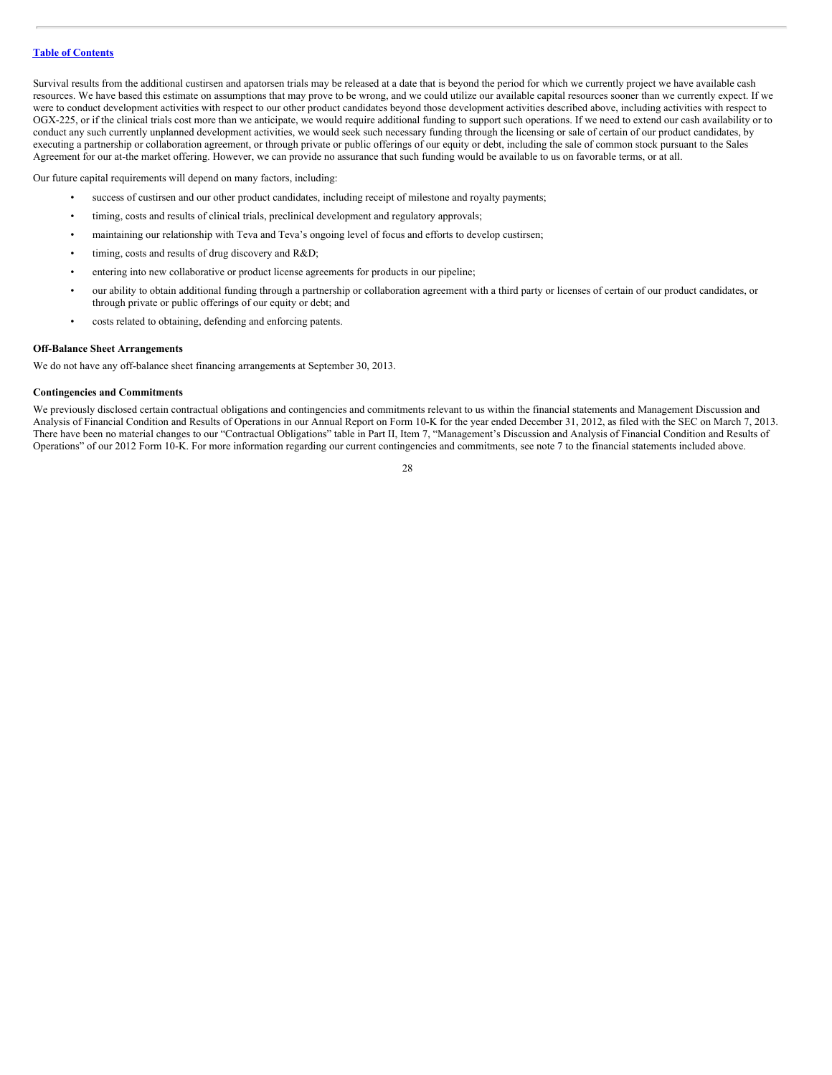Survival results from the additional custirsen and apatorsen trials may be released at a date that is beyond the period for which we currently project we have available cash resources. We have based this estimate on assumptions that may prove to be wrong, and we could utilize our available capital resources sooner than we currently expect. If we were to conduct development activities with respect to our other product candidates beyond those development activities described above, including activities with respect to OGX-225, or if the clinical trials cost more than we anticipate, we would require additional funding to support such operations. If we need to extend our cash availability or to conduct any such currently unplanned development activities, we would seek such necessary funding through the licensing or sale of certain of our product candidates, by executing a partnership or collaboration agreement, or through private or public offerings of our equity or debt, including the sale of common stock pursuant to the Sales Agreement for our at-the market offering. However, we can provide no assurance that such funding would be available to us on favorable terms, or at all.

Our future capital requirements will depend on many factors, including:

- success of custirsen and our other product candidates, including receipt of milestone and royalty payments;
- timing, costs and results of clinical trials, preclinical development and regulatory approvals;
- maintaining our relationship with Teva and Teva's ongoing level of focus and efforts to develop custirsen;
- timing, costs and results of drug discovery and R&D;
- entering into new collaborative or product license agreements for products in our pipeline;
- our ability to obtain additional funding through a partnership or collaboration agreement with a third party or licenses of certain of our product candidates, or through private or public offerings of our equity or debt; and
- costs related to obtaining, defending and enforcing patents.

#### **Off-Balance Sheet Arrangements**

We do not have any off-balance sheet financing arrangements at September 30, 2013.

#### **Contingencies and Commitments**

We previously disclosed certain contractual obligations and contingencies and commitments relevant to us within the financial statements and Management Discussion and Analysis of Financial Condition and Results of Operations in our Annual Report on Form 10-K for the year ended December 31, 2012, as filed with the SEC on March 7, 2013. There have been no material changes to our "Contractual Obligations" table in Part II, Item 7, "Management's Discussion and Analysis of Financial Condition and Results of Operations" of our 2012 Form 10-K. For more information regarding our current contingencies and commitments, see note 7 to the financial statements included above.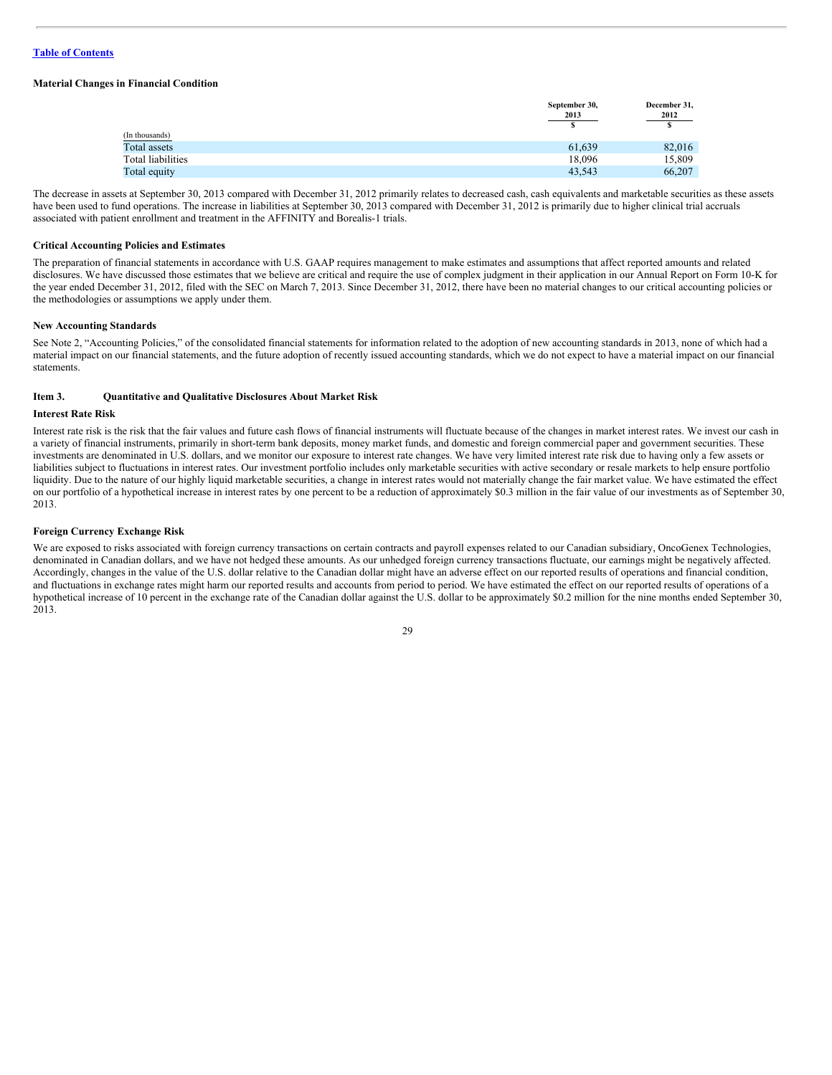#### **Material Changes in Financial Condition**

|                   | September 30,<br>2013 | December 31,<br>2012 |  |
|-------------------|-----------------------|----------------------|--|
|                   | s                     |                      |  |
| (In thousands)    |                       |                      |  |
| Total assets      | 61,639                | 82,016               |  |
| Total liabilities | 18,096                | 15,809               |  |
| Total equity      | 43,543                | 66,207               |  |

The decrease in assets at September 30, 2013 compared with December 31, 2012 primarily relates to decreased cash, cash equivalents and marketable securities as these assets have been used to fund operations. The increase in liabilities at September 30, 2013 compared with December 31, 2012 is primarily due to higher clinical trial accruals associated with patient enrollment and treatment in the AFFINITY and Borealis-1 trials.

#### **Critical Accounting Policies and Estimates**

The preparation of financial statements in accordance with U.S. GAAP requires management to make estimates and assumptions that affect reported amounts and related disclosures. We have discussed those estimates that we believe are critical and require the use of complex judgment in their application in our Annual Report on Form 10-K for the year ended December 31, 2012, filed with the SEC on March 7, 2013. Since December 31, 2012, there have been no material changes to our critical accounting policies or the methodologies or assumptions we apply under them.

#### **New Accounting Standards**

See Note 2, "Accounting Policies," of the consolidated financial statements for information related to the adoption of new accounting standards in 2013, none of which had a material impact on our financial statements, and the future adoption of recently issued accounting standards, which we do not expect to have a material impact on our financial statements.

#### <span id="page-28-0"></span>**Item 3. Quantitative and Qualitative Disclosures About Market Risk**

#### **Interest Rate Risk**

Interest rate risk is the risk that the fair values and future cash flows of financial instruments will fluctuate because of the changes in market interest rates. We invest our cash in a variety of financial instruments, primarily in short-term bank deposits, money market funds, and domestic and foreign commercial paper and government securities. These investments are denominated in U.S. dollars, and we monitor our exposure to interest rate changes. We have very limited interest rate risk due to having only a few assets or liabilities subject to fluctuations in interest rates. Our investment portfolio includes only marketable securities with active secondary or resale markets to help ensure portfolio liquidity. Due to the nature of our highly liquid marketable securities, a change in interest rates would not materially change the fair market value. We have estimated the effect on our portfolio of a hypothetical increase in interest rates by one percent to be a reduction of approximately \$0.3 million in the fair value of our investments as of September 30, 2013.

#### **Foreign Currency Exchange Risk**

We are exposed to risks associated with foreign currency transactions on certain contracts and payroll expenses related to our Canadian subsidiary, OncoGenex Technologies, denominated in Canadian dollars, and we have not hedged these amounts. As our unhedged foreign currency transactions fluctuate, our earnings might be negatively affected. Accordingly, changes in the value of the U.S. dollar relative to the Canadian dollar might have an adverse effect on our reported results of operations and financial condition, and fluctuations in exchange rates might harm our reported results and accounts from period to period. We have estimated the effect on our reported results of operations of a hypothetical increase of 10 percent in the exchange rate of the Canadian dollar against the U.S. dollar to be approximately \$0.2 million for the nine months ended September 30, 2013.

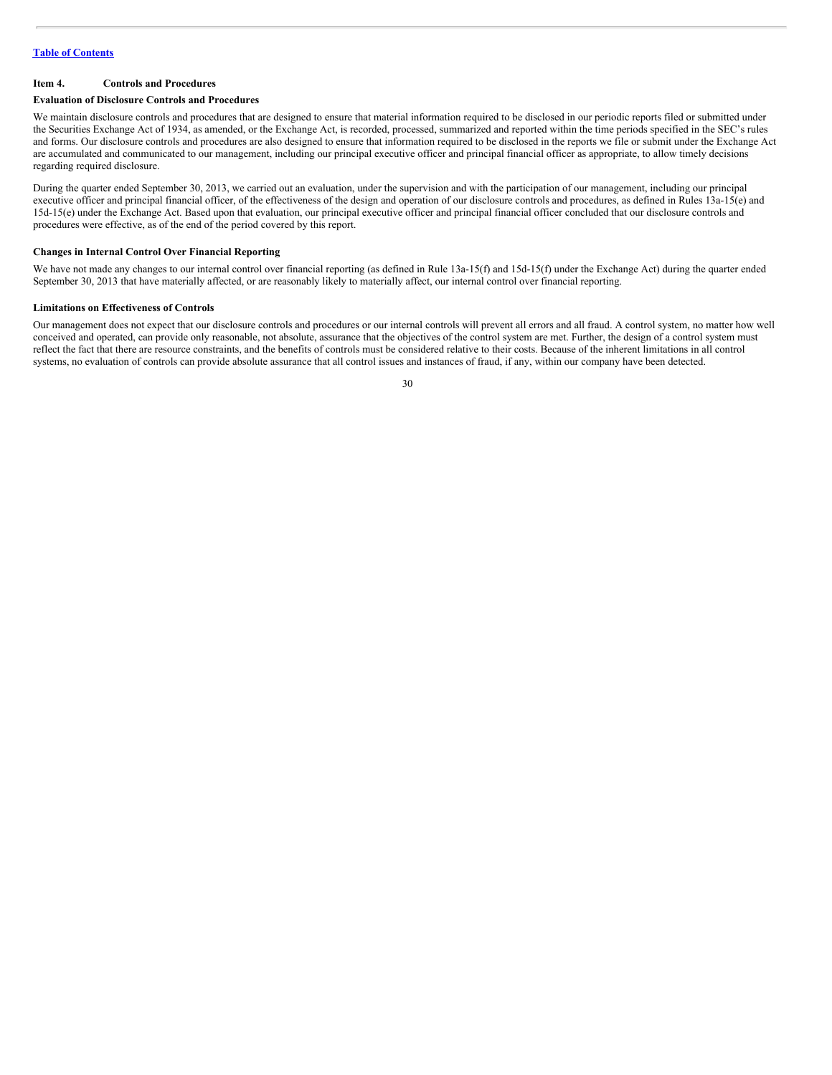#### <span id="page-29-0"></span>**Item 4. Controls and Procedures**

#### **Evaluation of Disclosure Controls and Procedures**

We maintain disclosure controls and procedures that are designed to ensure that material information required to be disclosed in our periodic reports filed or submitted under the Securities Exchange Act of 1934, as amended, or the Exchange Act, is recorded, processed, summarized and reported within the time periods specified in the SEC's rules and forms. Our disclosure controls and procedures are also designed to ensure that information required to be disclosed in the reports we file or submit under the Exchange Act are accumulated and communicated to our management, including our principal executive officer and principal financial officer as appropriate, to allow timely decisions regarding required disclosure.

During the quarter ended September 30, 2013, we carried out an evaluation, under the supervision and with the participation of our management, including our principal executive officer and principal financial officer, of the effectiveness of the design and operation of our disclosure controls and procedures, as defined in Rules 13a-15(e) and 15d-15(e) under the Exchange Act. Based upon that evaluation, our principal executive officer and principal financial officer concluded that our disclosure controls and procedures were effective, as of the end of the period covered by this report.

#### **Changes in Internal Control Over Financial Reporting**

We have not made any changes to our internal control over financial reporting (as defined in Rule 13a-15(f) and 15d-15(f) under the Exchange Act) during the quarter ended September 30, 2013 that have materially affected, or are reasonably likely to materially affect, our internal control over financial reporting.

#### **Limitations on Effectiveness of Controls**

Our management does not expect that our disclosure controls and procedures or our internal controls will prevent all errors and all fraud. A control system, no matter how well conceived and operated, can provide only reasonable, not absolute, assurance that the objectives of the control system are met. Further, the design of a control system must reflect the fact that there are resource constraints, and the benefits of controls must be considered relative to their costs. Because of the inherent limitations in all control systems, no evaluation of controls can provide absolute assurance that all control issues and instances of fraud, if any, within our company have been detected.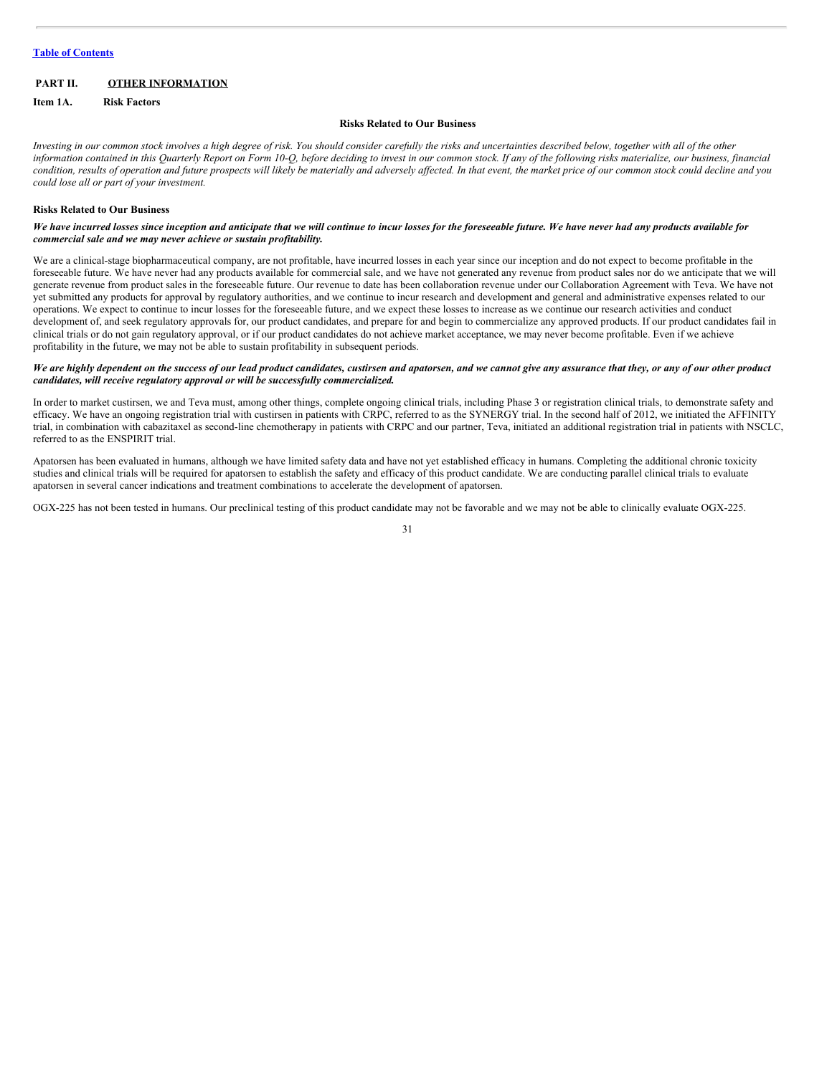# <span id="page-30-0"></span>**PART II. OTHER INFORMATION**

<span id="page-30-1"></span>**Item 1A. Risk Factors**

#### **Risks Related to Our Business**

Investing in our common stock involves a high degree of risk. You should consider carefully the risks and uncertainties described below, together with all of the other information contained in this Quarterly Report on Form 10-Q, before deciding to invest in our common stock. If any of the following risks materialize, our business, financial condition, results of operation and future prospects will likely be materially and adversely affected. In that event, the market price of our common stock could decline and you *could lose all or part of your investment.*

#### **Risks Related to Our Business**

We have incurred losses since inception and anticipate that we will continue to incur losses for the foreseeable future. We have never had any products available for *commercial sale and we may never achieve or sustain profitability.*

We are a clinical-stage biopharmaceutical company, are not profitable, have incurred losses in each year since our inception and do not expect to become profitable in the foreseeable future. We have never had any products available for commercial sale, and we have not generated any revenue from product sales nor do we anticipate that we will generate revenue from product sales in the foreseeable future. Our revenue to date has been collaboration revenue under our Collaboration Agreement with Teva. We have not yet submitted any products for approval by regulatory authorities, and we continue to incur research and development and general and administrative expenses related to our operations. We expect to continue to incur losses for the foreseeable future, and we expect these losses to increase as we continue our research activities and conduct development of, and seek regulatory approvals for, our product candidates, and prepare for and begin to commercialize any approved products. If our product candidates fail in clinical trials or do not gain regulatory approval, or if our product candidates do not achieve market acceptance, we may never become profitable. Even if we achieve profitability in the future, we may not be able to sustain profitability in subsequent periods.

#### We are highly dependent on the success of our lead product candidates, custirsen and apatorsen, and we cannot give any assurance that they, or any of our other product *candidates, will receive regulatory approval or will be successfully commercialized.*

In order to market custirsen, we and Teva must, among other things, complete ongoing clinical trials, including Phase 3 or registration clinical trials, to demonstrate safety and efficacy. We have an ongoing registration trial with custirsen in patients with CRPC, referred to as the SYNERGY trial. In the second half of 2012, we initiated the AFFINITY trial, in combination with cabazitaxel as second-line chemotherapy in patients with CRPC and our partner, Teva, initiated an additional registration trial in patients with NSCLC, referred to as the ENSPIRIT trial.

Apatorsen has been evaluated in humans, although we have limited safety data and have not yet established efficacy in humans. Completing the additional chronic toxicity studies and clinical trials will be required for apatorsen to establish the safety and efficacy of this product candidate. We are conducting parallel clinical trials to evaluate apatorsen in several cancer indications and treatment combinations to accelerate the development of apatorsen.

OGX-225 has not been tested in humans. Our preclinical testing of this product candidate may not be favorable and we may not be able to clinically evaluate OGX-225.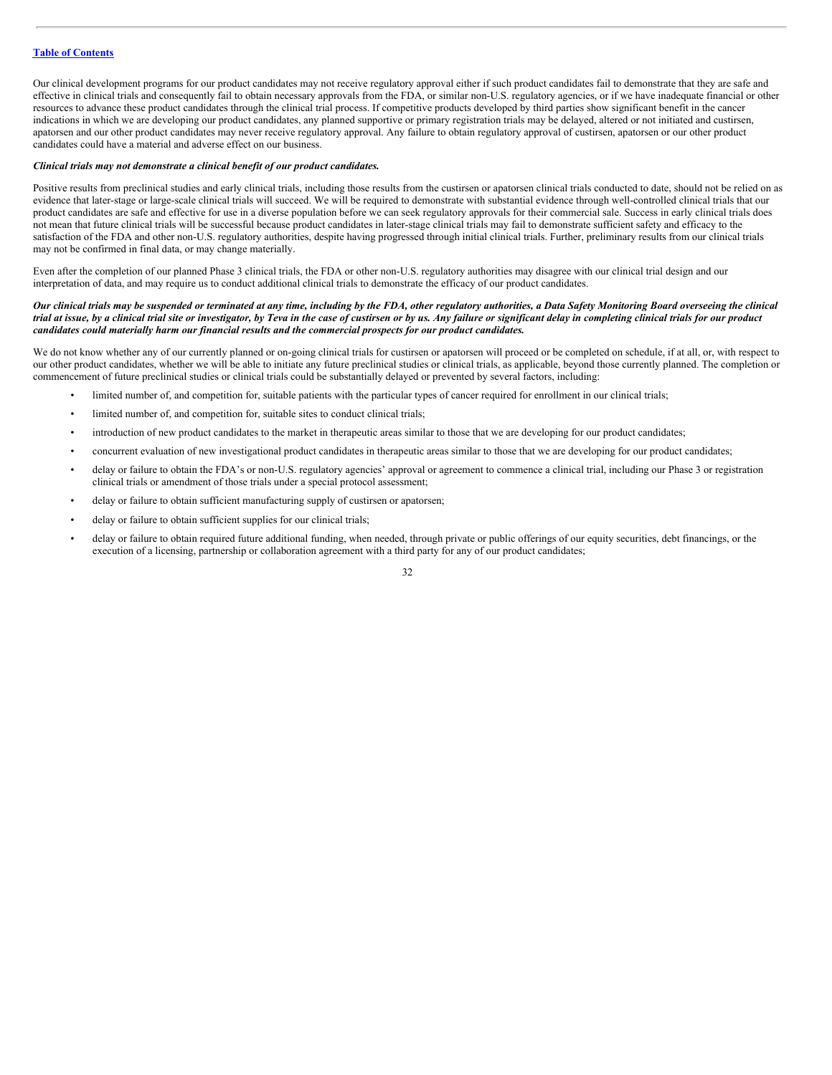Our clinical development programs for our product candidates may not receive regulatory approval either if such product candidates fail to demonstrate that they are safe and effective in clinical trials and consequently fail to obtain necessary approvals from the FDA, or similar non-U.S. regulatory agencies, or if we have inadequate financial or other resources to advance these product candidates through the clinical trial process. If competitive products developed by third parties show significant benefit in the cancer indications in which we are developing our product candidates, any planned supportive or primary registration trials may be delayed, altered or not initiated and custirsen, apatorsen and our other product candidates may never receive regulatory approval. Any failure to obtain regulatory approval of custirsen, apatorsen or our other product candidates could have a material and adverse effect on our business.

#### *Clinical trials may not demonstrate a clinical benefit of our product candidates.*

Positive results from preclinical studies and early clinical trials, including those results from the custirsen or apatorsen clinical trials conducted to date, should not be relied on as evidence that later-stage or large-scale clinical trials will succeed. We will be required to demonstrate with substantial evidence through well-controlled clinical trials that our product candidates are safe and effective for use in a diverse population before we can seek regulatory approvals for their commercial sale. Success in early clinical trials does not mean that future clinical trials will be successful because product candidates in later-stage clinical trials may fail to demonstrate sufficient safety and efficacy to the satisfaction of the FDA and other non-U.S. regulatory authorities, despite having progressed through initial clinical trials. Further, preliminary results from our clinical trials may not be confirmed in final data, or may change materially.

Even after the completion of our planned Phase 3 clinical trials, the FDA or other non-U.S. regulatory authorities may disagree with our clinical trial design and our interpretation of data, and may require us to conduct additional clinical trials to demonstrate the efficacy of our product candidates.

#### Our clinical trials may be suspended or terminated at any time, including by the FDA, other regulatory authorities, a Data Safety Monitoring Board overseeing the clinical trial at issue, by a clinical trial site or investigator, by Teva in the case of custirsen or by us. Any failure or significant delay in completing clinical trials for our product *candidates could materially harm our financial results and the commercial prospects for our product candidates.*

We do not know whether any of our currently planned or on-going clinical trials for custirsen or apatorsen will proceed or be completed on schedule, if at all, or, with respect to our other product candidates, whether we will be able to initiate any future preclinical studies or clinical trials, as applicable, beyond those currently planned. The completion or commencement of future preclinical studies or clinical trials could be substantially delayed or prevented by several factors, including:

- limited number of, and competition for, suitable patients with the particular types of cancer required for enrollment in our clinical trials;
- limited number of, and competition for, suitable sites to conduct clinical trials;
- introduction of new product candidates to the market in therapeutic areas similar to those that we are developing for our product candidates;
- concurrent evaluation of new investigational product candidates in therapeutic areas similar to those that we are developing for our product candidates;
- delay or failure to obtain the FDA's or non-U.S. regulatory agencies' approval or agreement to commence a clinical trial, including our Phase 3 or registration clinical trials or amendment of those trials under a special protocol assessment;
- delay or failure to obtain sufficient manufacturing supply of custirsen or apatorsen;
- delay or failure to obtain sufficient supplies for our clinical trials;
- delay or failure to obtain required future additional funding, when needed, through private or public offerings of our equity securities, debt financings, or the execution of a licensing, partnership or collaboration agreement with a third party for any of our product candidates;

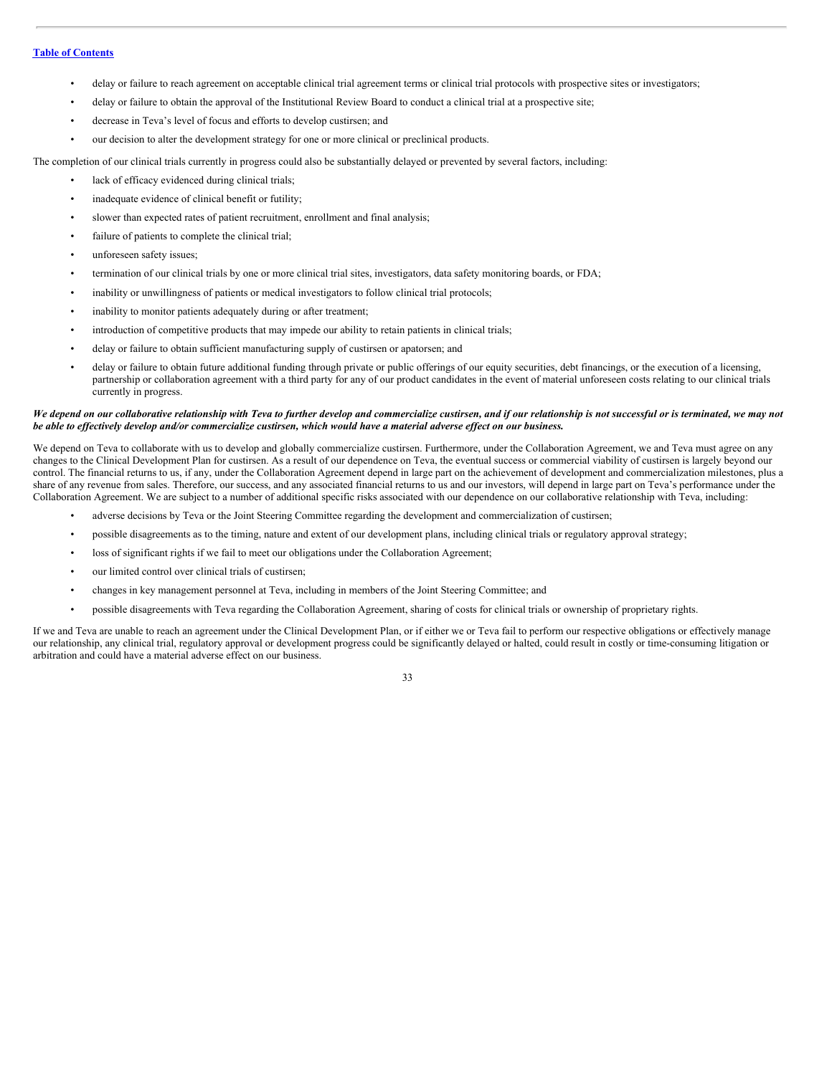- delay or failure to reach agreement on acceptable clinical trial agreement terms or clinical trial protocols with prospective sites or investigators;
- delay or failure to obtain the approval of the Institutional Review Board to conduct a clinical trial at a prospective site;
- decrease in Teva's level of focus and efforts to develop custirsen; and
- our decision to alter the development strategy for one or more clinical or preclinical products.

The completion of our clinical trials currently in progress could also be substantially delayed or prevented by several factors, including:

- lack of efficacy evidenced during clinical trials;
- inadequate evidence of clinical benefit or futility;
- slower than expected rates of patient recruitment, enrollment and final analysis;
- failure of patients to complete the clinical trial;
- unforeseen safety issues;
- termination of our clinical trials by one or more clinical trial sites, investigators, data safety monitoring boards, or FDA;
- inability or unwillingness of patients or medical investigators to follow clinical trial protocols;
- inability to monitor patients adequately during or after treatment;
- introduction of competitive products that may impede our ability to retain patients in clinical trials;
- delay or failure to obtain sufficient manufacturing supply of custirsen or apatorsen; and
- delay or failure to obtain future additional funding through private or public offerings of our equity securities, debt financings, or the execution of a licensing, partnership or collaboration agreement with a third party for any of our product candidates in the event of material unforeseen costs relating to our clinical trials currently in progress.

#### We depend on our collaborative relationship with Teva to further develop and commercialize custirsen, and if our relationship is not successful or is terminated, we may not be able to effectively develop and/or commercialize custirsen, which would have a material adverse effect on our business.

We depend on Teva to collaborate with us to develop and globally commercialize custirsen. Furthermore, under the Collaboration Agreement, we and Teva must agree on any changes to the Clinical Development Plan for custirsen. As a result of our dependence on Teva, the eventual success or commercial viability of custirsen is largely beyond our control. The financial returns to us, if any, under the Collaboration Agreement depend in large part on the achievement of development and commercialization milestones, plus a share of any revenue from sales. Therefore, our success, and any associated financial returns to us and our investors, will depend in large part on Teva's performance under the Collaboration Agreement. We are subject to a number of additional specific risks associated with our dependence on our collaborative relationship with Teva, including:

- adverse decisions by Teva or the Joint Steering Committee regarding the development and commercialization of custirsen;
- possible disagreements as to the timing, nature and extent of our development plans, including clinical trials or regulatory approval strategy;
- loss of significant rights if we fail to meet our obligations under the Collaboration Agreement;
- our limited control over clinical trials of custirsen;
- changes in key management personnel at Teva, including in members of the Joint Steering Committee; and
- possible disagreements with Teva regarding the Collaboration Agreement, sharing of costs for clinical trials or ownership of proprietary rights.

If we and Teva are unable to reach an agreement under the Clinical Development Plan, or if either we or Teva fail to perform our respective obligations or effectively manage our relationship, any clinical trial, regulatory approval or development progress could be significantly delayed or halted, could result in costly or time-consuming litigation or arbitration and could have a material adverse effect on our business.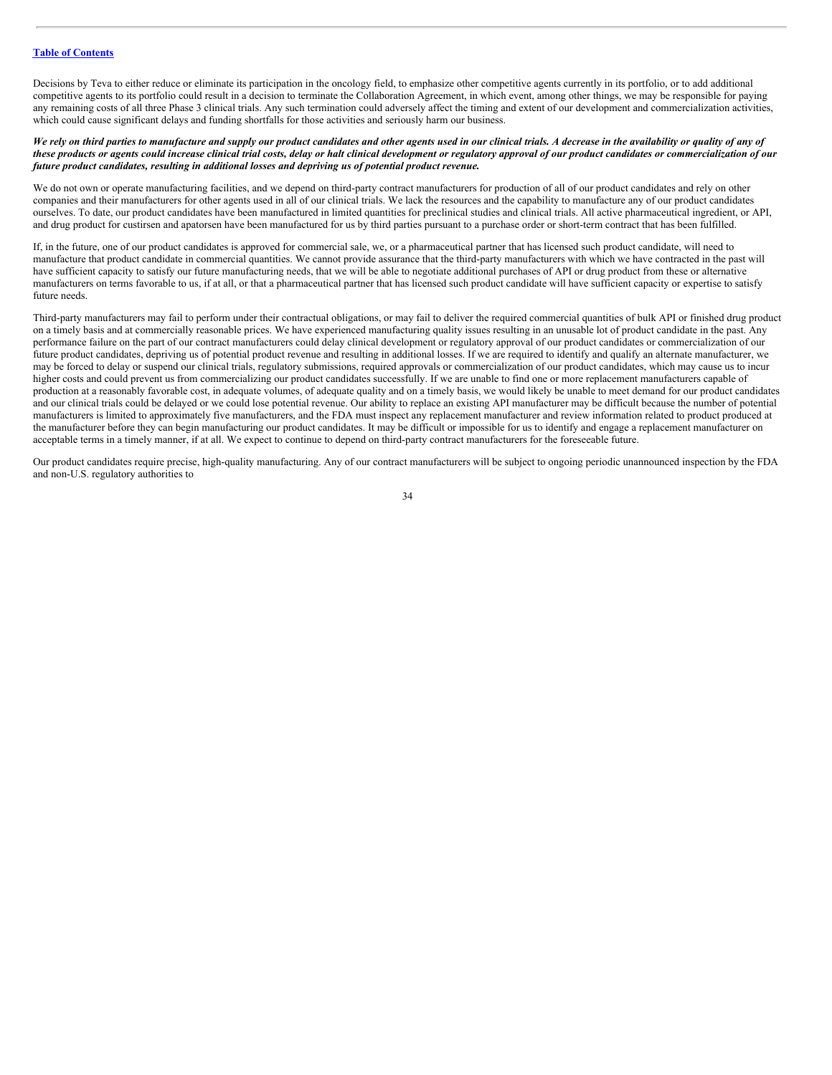Decisions by Teva to either reduce or eliminate its participation in the oncology field, to emphasize other competitive agents currently in its portfolio, or to add additional competitive agents to its portfolio could result in a decision to terminate the Collaboration Agreement, in which event, among other things, we may be responsible for paying any remaining costs of all three Phase 3 clinical trials. Any such termination could adversely affect the timing and extent of our development and commercialization activities, which could cause significant delays and funding shortfalls for those activities and seriously harm our business.

#### We rely on third parties to manufacture and supply our product candidates and other agents used in our clinical trials. A decrease in the availability or quality of any of these products or agents could increase clinical trial costs, delay or halt clinical development or regulatory approval of our product candidates or commercialization of our *future product candidates, resulting in additional losses and depriving us of potential product revenue.*

We do not own or operate manufacturing facilities, and we depend on third-party contract manufacturers for production of all of our product candidates and rely on other companies and their manufacturers for other agents used in all of our clinical trials. We lack the resources and the capability to manufacture any of our product candidates ourselves. To date, our product candidates have been manufactured in limited quantities for preclinical studies and clinical trials. All active pharmaceutical ingredient, or API, and drug product for custirsen and apatorsen have been manufactured for us by third parties pursuant to a purchase order or short-term contract that has been fulfilled.

If, in the future, one of our product candidates is approved for commercial sale, we, or a pharmaceutical partner that has licensed such product candidate, will need to manufacture that product candidate in commercial quantities. We cannot provide assurance that the third-party manufacturers with which we have contracted in the past will have sufficient capacity to satisfy our future manufacturing needs, that we will be able to negotiate additional purchases of API or drug product from these or alternative manufacturers on terms favorable to us, if at all, or that a pharmaceutical partner that has licensed such product candidate will have sufficient capacity or expertise to satisfy future needs.

Third-party manufacturers may fail to perform under their contractual obligations, or may fail to deliver the required commercial quantities of bulk API or finished drug product on a timely basis and at commercially reasonable prices. We have experienced manufacturing quality issues resulting in an unusable lot of product candidate in the past. Any performance failure on the part of our contract manufacturers could delay clinical development or regulatory approval of our product candidates or commercialization of our future product candidates, depriving us of potential product revenue and resulting in additional losses. If we are required to identify and qualify an alternate manufacturer, we may be forced to delay or suspend our clinical trials, regulatory submissions, required approvals or commercialization of our product candidates, which may cause us to incur higher costs and could prevent us from commercializing our product candidates successfully. If we are unable to find one or more replacement manufacturers capable of production at a reasonably favorable cost, in adequate volumes, of adequate quality and on a timely basis, we would likely be unable to meet demand for our product candidates and our clinical trials could be delayed or we could lose potential revenue. Our ability to replace an existing API manufacturer may be difficult because the number of potential manufacturers is limited to approximately five manufacturers, and the FDA must inspect any replacement manufacturer and review information related to product produced at the manufacturer before they can begin manufacturing our product candidates. It may be difficult or impossible for us to identify and engage a replacement manufacturer on acceptable terms in a timely manner, if at all. We expect to continue to depend on third-party contract manufacturers for the foreseeable future.

Our product candidates require precise, high-quality manufacturing. Any of our contract manufacturers will be subject to ongoing periodic unannounced inspection by the FDA and non-U.S. regulatory authorities to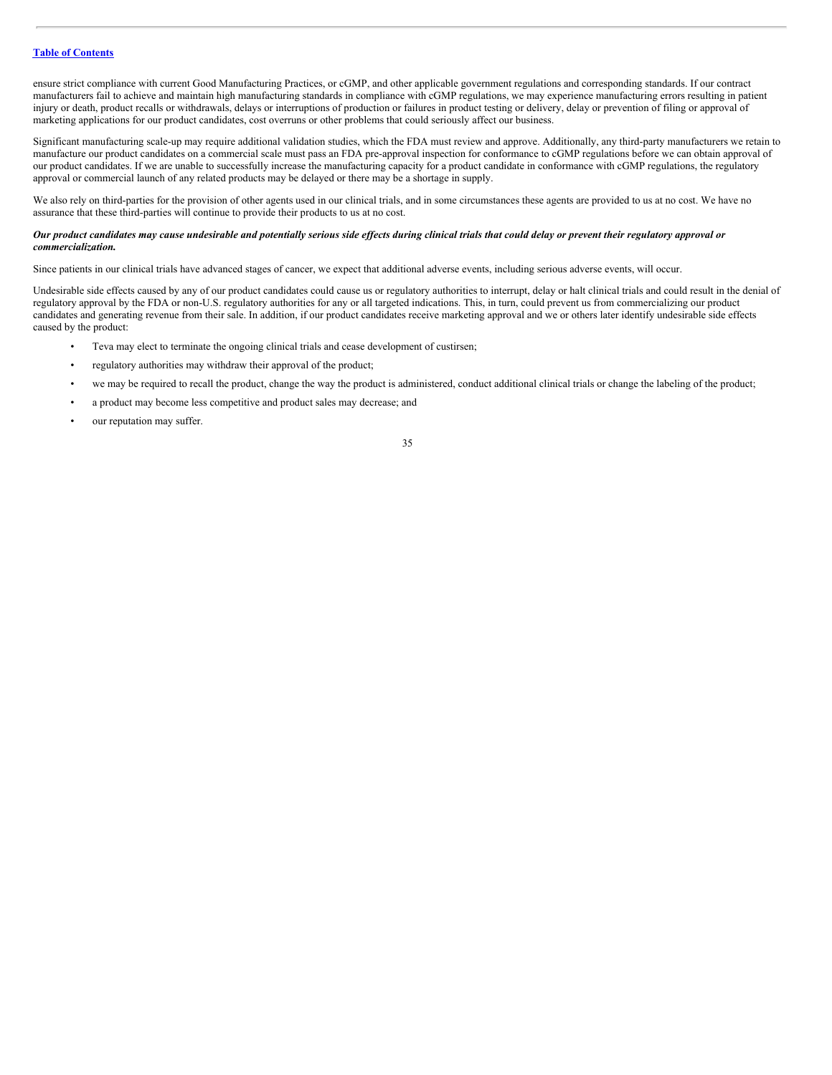ensure strict compliance with current Good Manufacturing Practices, or cGMP, and other applicable government regulations and corresponding standards. If our contract manufacturers fail to achieve and maintain high manufacturing standards in compliance with cGMP regulations, we may experience manufacturing errors resulting in patient injury or death, product recalls or withdrawals, delays or interruptions of production or failures in product testing or delivery, delay or prevention of filing or approval of marketing applications for our product candidates, cost overruns or other problems that could seriously affect our business.

Significant manufacturing scale-up may require additional validation studies, which the FDA must review and approve. Additionally, any third-party manufacturers we retain to manufacture our product candidates on a commercial scale must pass an FDA pre-approval inspection for conformance to cGMP regulations before we can obtain approval of our product candidates. If we are unable to successfully increase the manufacturing capacity for a product candidate in conformance with cGMP regulations, the regulatory approval or commercial launch of any related products may be delayed or there may be a shortage in supply.

We also rely on third-parties for the provision of other agents used in our clinical trials, and in some circumstances these agents are provided to us at no cost. We have no assurance that these third-parties will continue to provide their products to us at no cost.

# Our product candidates may cause undesirable and potentially serious side effects during clinical trials that could delay or prevent their regulatory approval or *commercialization.*

Since patients in our clinical trials have advanced stages of cancer, we expect that additional adverse events, including serious adverse events, will occur.

Undesirable side effects caused by any of our product candidates could cause us or regulatory authorities to interrupt, delay or halt clinical trials and could result in the denial of regulatory approval by the FDA or non-U.S. regulatory authorities for any or all targeted indications. This, in turn, could prevent us from commercializing our product candidates and generating revenue from their sale. In addition, if our product candidates receive marketing approval and we or others later identify undesirable side effects caused by the product:

- Teva may elect to terminate the ongoing clinical trials and cease development of custirsen;
- regulatory authorities may withdraw their approval of the product;
- we may be required to recall the product, change the way the product is administered, conduct additional clinical trials or change the labeling of the product;
- a product may become less competitive and product sales may decrease; and
- our reputation may suffer.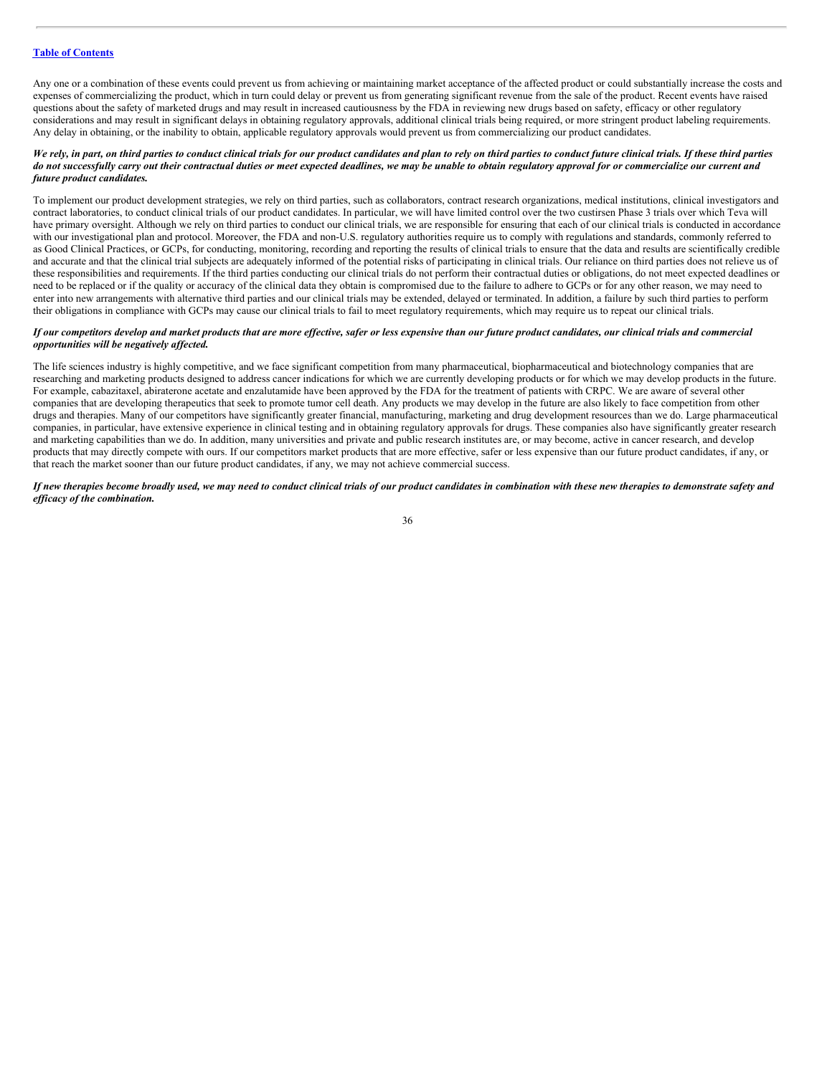Any one or a combination of these events could prevent us from achieving or maintaining market acceptance of the affected product or could substantially increase the costs and expenses of commercializing the product, which in turn could delay or prevent us from generating significant revenue from the sale of the product. Recent events have raised questions about the safety of marketed drugs and may result in increased cautiousness by the FDA in reviewing new drugs based on safety, efficacy or other regulatory considerations and may result in significant delays in obtaining regulatory approvals, additional clinical trials being required, or more stringent product labeling requirements. Any delay in obtaining, or the inability to obtain, applicable regulatory approvals would prevent us from commercializing our product candidates.

#### We rely, in part, on third parties to conduct clinical trials for our product candidates and plan to rely on third parties to conduct future clinical trials. If these third parties do not successfully carry out their contractual duties or meet expected deadlines, we may be unable to obtain regulatory approval for or commercialize our current and *future product candidates.*

To implement our product development strategies, we rely on third parties, such as collaborators, contract research organizations, medical institutions, clinical investigators and contract laboratories, to conduct clinical trials of our product candidates. In particular, we will have limited control over the two custirsen Phase 3 trials over which Teva will have primary oversight. Although we rely on third parties to conduct our clinical trials, we are responsible for ensuring that each of our clinical trials is conducted in accordance with our investigational plan and protocol. Moreover, the FDA and non-U.S. regulatory authorities require us to comply with regulations and standards, commonly referred to as Good Clinical Practices, or GCPs, for conducting, monitoring, recording and reporting the results of clinical trials to ensure that the data and results are scientifically credible and accurate and that the clinical trial subjects are adequately informed of the potential risks of participating in clinical trials. Our reliance on third parties does not relieve us of these responsibilities and requirements. If the third parties conducting our clinical trials do not perform their contractual duties or obligations, do not meet expected deadlines or need to be replaced or if the quality or accuracy of the clinical data they obtain is compromised due to the failure to adhere to GCPs or for any other reason, we may need to enter into new arrangements with alternative third parties and our clinical trials may be extended, delayed or terminated. In addition, a failure by such third parties to perform their obligations in compliance with GCPs may cause our clinical trials to fail to meet regulatory requirements, which may require us to repeat our clinical trials.

#### If our competitors develop and market products that are more effective, safer or less expensive than our future product candidates, our clinical trials and commercial *opportunities will be negatively af ected.*

The life sciences industry is highly competitive, and we face significant competition from many pharmaceutical, biopharmaceutical and biotechnology companies that are researching and marketing products designed to address cancer indications for which we are currently developing products or for which we may develop products in the future. For example, cabazitaxel, abiraterone acetate and enzalutamide have been approved by the FDA for the treatment of patients with CRPC. We are aware of several other companies that are developing therapeutics that seek to promote tumor cell death. Any products we may develop in the future are also likely to face competition from other drugs and therapies. Many of our competitors have significantly greater financial, manufacturing, marketing and drug development resources than we do. Large pharmaceutical companies, in particular, have extensive experience in clinical testing and in obtaining regulatory approvals for drugs. These companies also have significantly greater research and marketing capabilities than we do. In addition, many universities and private and public research institutes are, or may become, active in cancer research, and develop products that may directly compete with ours. If our competitors market products that are more effective, safer or less expensive than our future product candidates, if any, or that reach the market sooner than our future product candidates, if any, we may not achieve commercial success.

If new therapies become broadly used, we may need to conduct clinical trials of our product candidates in combination with these new therapies to demonstrate safety and *ef icacy of the combination.*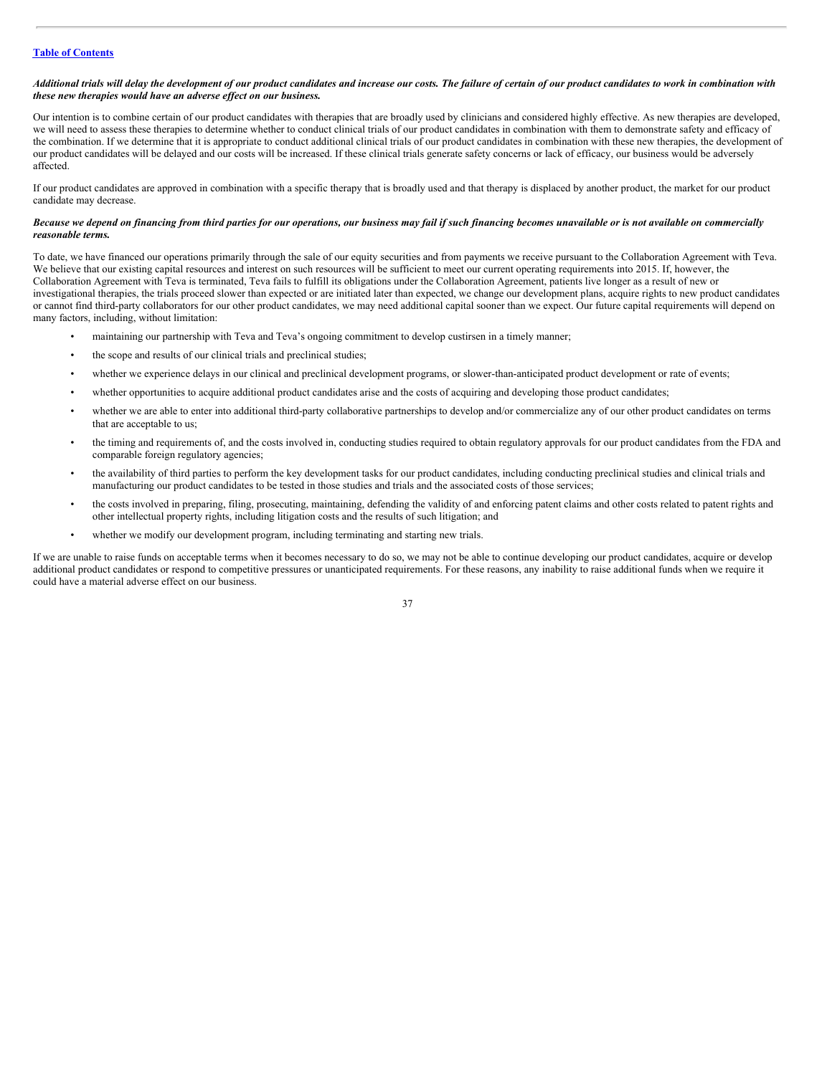#### Additional trials will delay the development of our product candidates and increase our costs. The failure of certain of our product candidates to work in combination with *these new therapies would have an adverse ef ect on our business.*

Our intention is to combine certain of our product candidates with therapies that are broadly used by clinicians and considered highly effective. As new therapies are developed, we will need to assess these therapies to determine whether to conduct clinical trials of our product candidates in combination with them to demonstrate safety and efficacy of the combination. If we determine that it is appropriate to conduct additional clinical trials of our product candidates in combination with these new therapies, the development of our product candidates will be delayed and our costs will be increased. If these clinical trials generate safety concerns or lack of efficacy, our business would be adversely affected.

If our product candidates are approved in combination with a specific therapy that is broadly used and that therapy is displaced by another product, the market for our product candidate may decrease.

# Because we depend on financing from third parties for our operations, our business may fail if such financing becomes unavailable or is not available on commercially *reasonable terms.*

To date, we have financed our operations primarily through the sale of our equity securities and from payments we receive pursuant to the Collaboration Agreement with Teva. We believe that our existing capital resources and interest on such resources will be sufficient to meet our current operating requirements into 2015. If, however, the Collaboration Agreement with Teva is terminated, Teva fails to fulfill its obligations under the Collaboration Agreement, patients live longer as a result of new or investigational therapies, the trials proceed slower than expected or are initiated later than expected, we change our development plans, acquire rights to new product candidates or cannot find third-party collaborators for our other product candidates, we may need additional capital sooner than we expect. Our future capital requirements will depend on many factors, including, without limitation:

- maintaining our partnership with Teva and Teva's ongoing commitment to develop custirsen in a timely manner;
- the scope and results of our clinical trials and preclinical studies;
- whether we experience delays in our clinical and preclinical development programs, or slower-than-anticipated product development or rate of events;
- whether opportunities to acquire additional product candidates arise and the costs of acquiring and developing those product candidates;
- whether we are able to enter into additional third-party collaborative partnerships to develop and/or commercialize any of our other product candidates on terms that are acceptable to us;
- the timing and requirements of, and the costs involved in, conducting studies required to obtain regulatory approvals for our product candidates from the FDA and comparable foreign regulatory agencies;
- the availability of third parties to perform the key development tasks for our product candidates, including conducting preclinical studies and clinical trials and manufacturing our product candidates to be tested in those studies and trials and the associated costs of those services;
- the costs involved in preparing, filing, prosecuting, maintaining, defending the validity of and enforcing patent claims and other costs related to patent rights and other intellectual property rights, including litigation costs and the results of such litigation; and
- whether we modify our development program, including terminating and starting new trials.

If we are unable to raise funds on acceptable terms when it becomes necessary to do so, we may not be able to continue developing our product candidates, acquire or develop additional product candidates or respond to competitive pressures or unanticipated requirements. For these reasons, any inability to raise additional funds when we require it could have a material adverse effect on our business.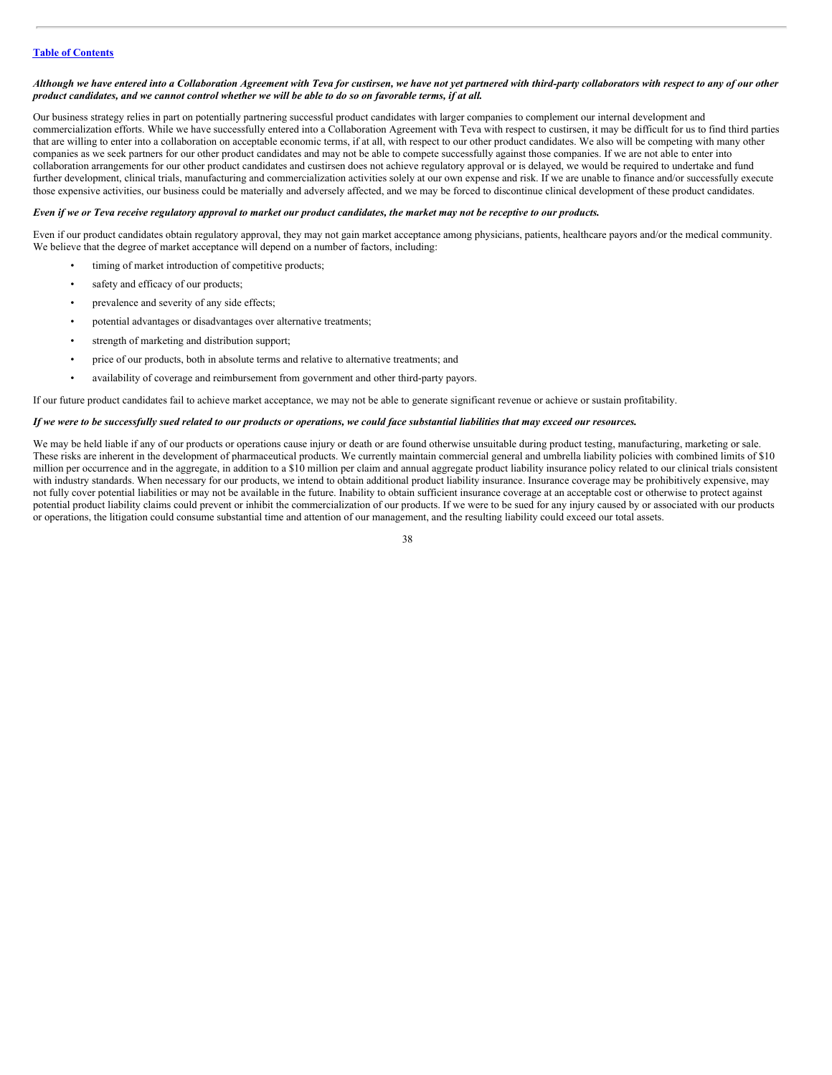## Although we have entered into a Collaboration Agreement with Teva for custirsen, we have not yet partnered with third-party collaborators with respect to any of our other product candidates, and we cannot control whether we will be able to do so on favorable terms, if at all.

Our business strategy relies in part on potentially partnering successful product candidates with larger companies to complement our internal development and commercialization efforts. While we have successfully entered into a Collaboration Agreement with Teva with respect to custirsen, it may be difficult for us to find third parties that are willing to enter into a collaboration on acceptable economic terms, if at all, with respect to our other product candidates. We also will be competing with many other companies as we seek partners for our other product candidates and may not be able to compete successfully against those companies. If we are not able to enter into collaboration arrangements for our other product candidates and custirsen does not achieve regulatory approval or is delayed, we would be required to undertake and fund further development, clinical trials, manufacturing and commercialization activities solely at our own expense and risk. If we are unable to finance and/or successfully execute those expensive activities, our business could be materially and adversely affected, and we may be forced to discontinue clinical development of these product candidates.

## Even if we or Teva receive regulatory approval to market our product candidates, the market may not be receptive to our products.

Even if our product candidates obtain regulatory approval, they may not gain market acceptance among physicians, patients, healthcare payors and/or the medical community. We believe that the degree of market acceptance will depend on a number of factors, including:

- timing of market introduction of competitive products;
- safety and efficacy of our products;
- prevalence and severity of any side effects;
- potential advantages or disadvantages over alternative treatments;
- strength of marketing and distribution support;
- price of our products, both in absolute terms and relative to alternative treatments; and
- availability of coverage and reimbursement from government and other third-party payors.

#### If our future product candidates fail to achieve market acceptance, we may not be able to generate significant revenue or achieve or sustain profitability.

#### If we were to be successfully sued related to our products or operations, we could face substantial liabilities that may exceed our resources.

We may be held liable if any of our products or operations cause injury or death or are found otherwise unsuitable during product testing, manufacturing, marketing or sale. These risks are inherent in the development of pharmaceutical products. We currently maintain commercial general and umbrella liability policies with combined limits of \$10 million per occurrence and in the aggregate, in addition to a \$10 million per claim and annual aggregate product liability insurance policy related to our clinical trials consistent with industry standards. When necessary for our products, we intend to obtain additional product liability insurance. Insurance coverage may be prohibitively expensive, may not fully cover potential liabilities or may not be available in the future. Inability to obtain sufficient insurance coverage at an acceptable cost or otherwise to protect against potential product liability claims could prevent or inhibit the commercialization of our products. If we were to be sued for any injury caused by or associated with our products or operations, the litigation could consume substantial time and attention of our management, and the resulting liability could exceed our total assets.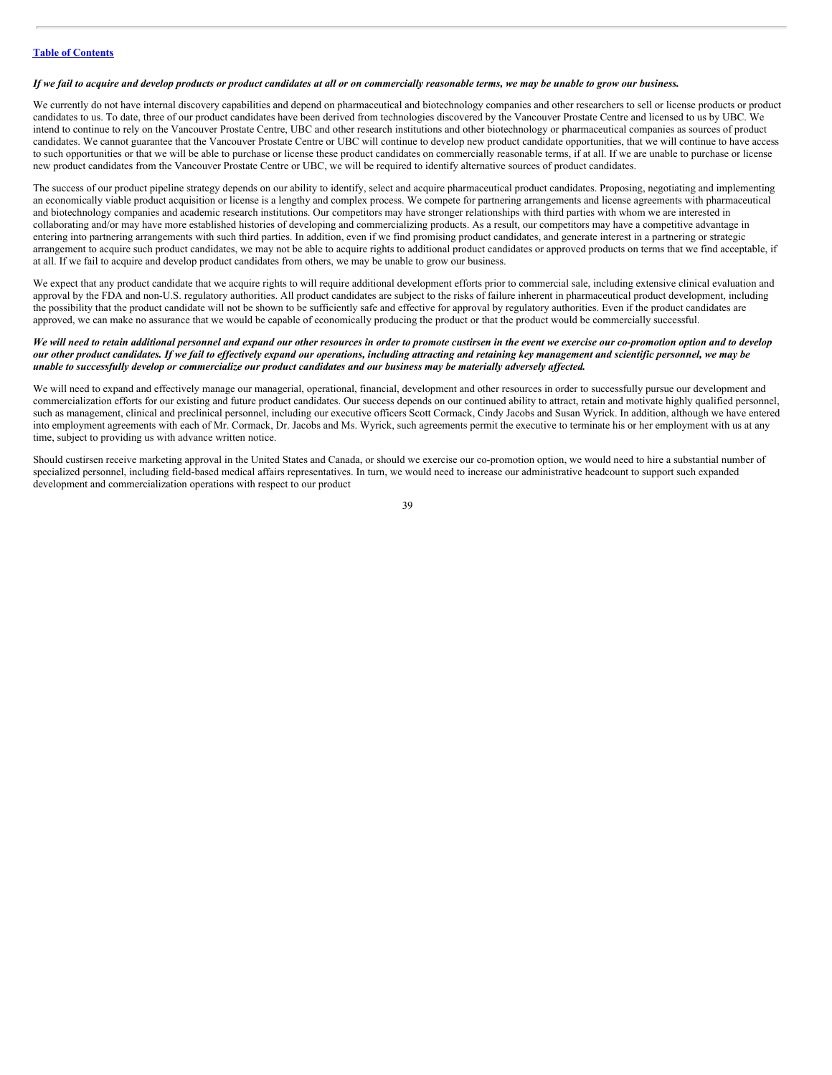#### If we fail to acquire and develop products or product candidates at all or on commercially reasonable terms, we may be unable to grow our business.

We currently do not have internal discovery capabilities and depend on pharmaceutical and biotechnology companies and other researchers to sell or license products or product candidates to us. To date, three of our product candidates have been derived from technologies discovered by the Vancouver Prostate Centre and licensed to us by UBC. We intend to continue to rely on the Vancouver Prostate Centre, UBC and other research institutions and other biotechnology or pharmaceutical companies as sources of product candidates. We cannot guarantee that the Vancouver Prostate Centre or UBC will continue to develop new product candidate opportunities, that we will continue to have access to such opportunities or that we will be able to purchase or license these product candidates on commercially reasonable terms, if at all. If we are unable to purchase or license new product candidates from the Vancouver Prostate Centre or UBC, we will be required to identify alternative sources of product candidates.

The success of our product pipeline strategy depends on our ability to identify, select and acquire pharmaceutical product candidates. Proposing, negotiating and implementing an economically viable product acquisition or license is a lengthy and complex process. We compete for partnering arrangements and license agreements with pharmaceutical and biotechnology companies and academic research institutions. Our competitors may have stronger relationships with third parties with whom we are interested in collaborating and/or may have more established histories of developing and commercializing products. As a result, our competitors may have a competitive advantage in entering into partnering arrangements with such third parties. In addition, even if we find promising product candidates, and generate interest in a partnering or strategic arrangement to acquire such product candidates, we may not be able to acquire rights to additional product candidates or approved products on terms that we find acceptable, if at all. If we fail to acquire and develop product candidates from others, we may be unable to grow our business.

We expect that any product candidate that we acquire rights to will require additional development efforts prior to commercial sale, including extensive clinical evaluation and approval by the FDA and non-U.S. regulatory authorities. All product candidates are subject to the risks of failure inherent in pharmaceutical product development, including the possibility that the product candidate will not be shown to be sufficiently safe and effective for approval by regulatory authorities. Even if the product candidates are approved, we can make no assurance that we would be capable of economically producing the product or that the product would be commercially successful.

# We will need to retain additional personnel and expand our other resources in order to promote custirsen in the event we exercise our co-promotion option and to develop our other product candidates. If we fail to effectively expand our operations, including attracting and retaining key management and scientific personnel, we may be unable to successfully develop or commercialize our product candidates and our business may be materially adversely affected.

We will need to expand and effectively manage our managerial, operational, financial, development and other resources in order to successfully pursue our development and commercialization efforts for our existing and future product candidates. Our success depends on our continued ability to attract, retain and motivate highly qualified personnel, such as management, clinical and preclinical personnel, including our executive officers Scott Cormack, Cindy Jacobs and Susan Wyrick. In addition, although we have entered into employment agreements with each of Mr. Cormack, Dr. Jacobs and Ms. Wyrick, such agreements permit the executive to terminate his or her employment with us at any time, subject to providing us with advance written notice.

Should custirsen receive marketing approval in the United States and Canada, or should we exercise our co-promotion option, we would need to hire a substantial number of specialized personnel, including field-based medical affairs representatives. In turn, we would need to increase our administrative headcount to support such expanded development and commercialization operations with respect to our product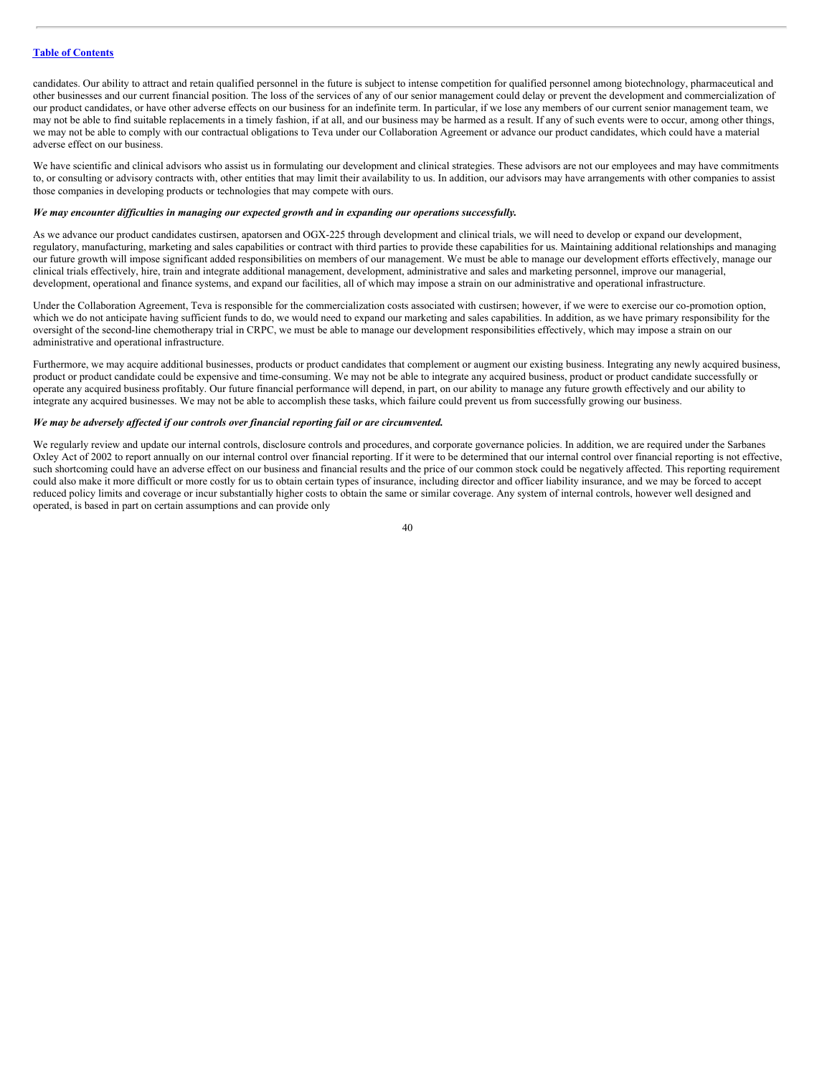candidates. Our ability to attract and retain qualified personnel in the future is subject to intense competition for qualified personnel among biotechnology, pharmaceutical and other businesses and our current financial position. The loss of the services of any of our senior management could delay or prevent the development and commercialization of our product candidates, or have other adverse effects on our business for an indefinite term. In particular, if we lose any members of our current senior management team, we may not be able to find suitable replacements in a timely fashion, if at all, and our business may be harmed as a result. If any of such events were to occur, among other things, we may not be able to comply with our contractual obligations to Teva under our Collaboration Agreement or advance our product candidates, which could have a material adverse effect on our business.

We have scientific and clinical advisors who assist us in formulating our development and clinical strategies. These advisors are not our employees and may have commitments to, or consulting or advisory contracts with, other entities that may limit their availability to us. In addition, our advisors may have arrangements with other companies to assist those companies in developing products or technologies that may compete with ours.

## *We may encounter dif iculties in managing our expected growth and in expanding our operations successfully.*

As we advance our product candidates custirsen, apatorsen and OGX-225 through development and clinical trials, we will need to develop or expand our development, regulatory, manufacturing, marketing and sales capabilities or contract with third parties to provide these capabilities for us. Maintaining additional relationships and managing our future growth will impose significant added responsibilities on members of our management. We must be able to manage our development efforts effectively, manage our clinical trials effectively, hire, train and integrate additional management, development, administrative and sales and marketing personnel, improve our managerial, development, operational and finance systems, and expand our facilities, all of which may impose a strain on our administrative and operational infrastructure.

Under the Collaboration Agreement, Teva is responsible for the commercialization costs associated with custirsen; however, if we were to exercise our co-promotion option, which we do not anticipate having sufficient funds to do, we would need to expand our marketing and sales capabilities. In addition, as we have primary responsibility for the oversight of the second-line chemotherapy trial in CRPC, we must be able to manage our development responsibilities effectively, which may impose a strain on our administrative and operational infrastructure.

Furthermore, we may acquire additional businesses, products or product candidates that complement or augment our existing business. Integrating any newly acquired business, product or product candidate could be expensive and time-consuming. We may not be able to integrate any acquired business, product or product candidate successfully or operate any acquired business profitably. Our future financial performance will depend, in part, on our ability to manage any future growth effectively and our ability to integrate any acquired businesses. We may not be able to accomplish these tasks, which failure could prevent us from successfully growing our business.

#### *We may be adversely af ected if our controls over financial reporting fail or are circumvented.*

We regularly review and update our internal controls, disclosure controls and procedures, and corporate governance policies. In addition, we are required under the Sarbanes Oxley Act of 2002 to report annually on our internal control over financial reporting. If it were to be determined that our internal control over financial reporting is not effective, such shortcoming could have an adverse effect on our business and financial results and the price of our common stock could be negatively affected. This reporting requirement could also make it more difficult or more costly for us to obtain certain types of insurance, including director and officer liability insurance, and we may be forced to accept reduced policy limits and coverage or incur substantially higher costs to obtain the same or similar coverage. Any system of internal controls, however well designed and operated, is based in part on certain assumptions and can provide only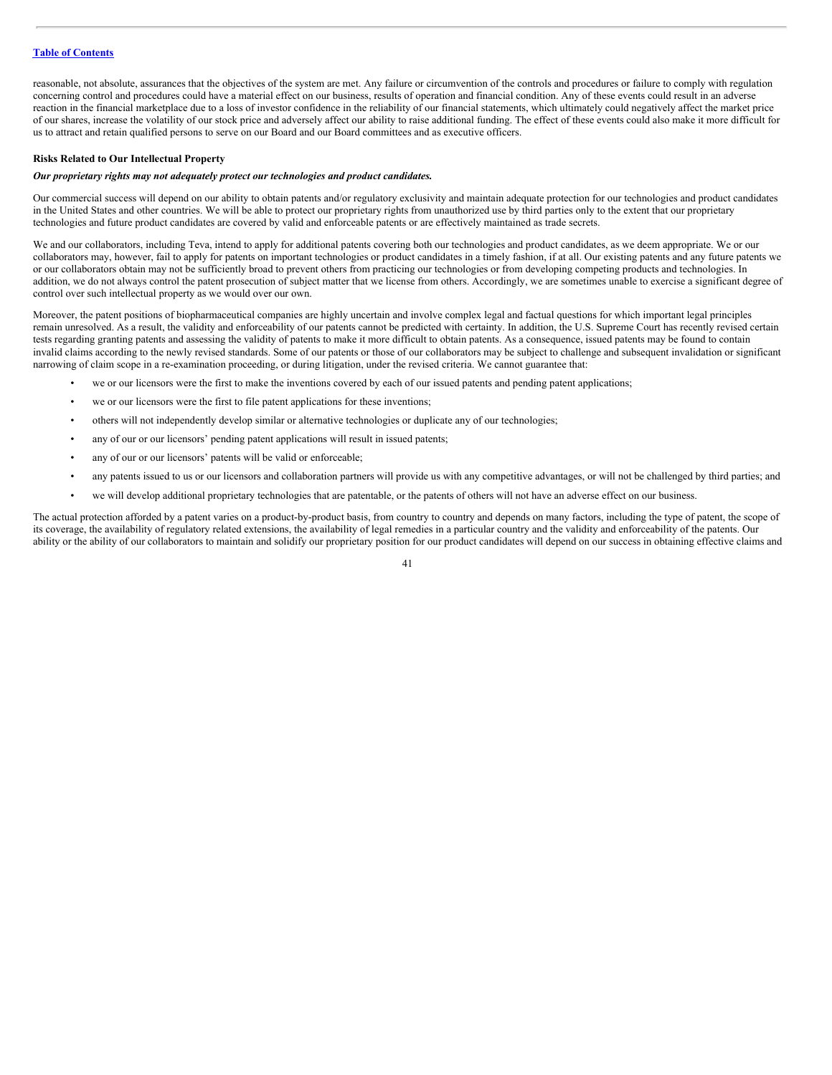reasonable, not absolute, assurances that the objectives of the system are met. Any failure or circumvention of the controls and procedures or failure to comply with regulation concerning control and procedures could have a material effect on our business, results of operation and financial condition. Any of these events could result in an adverse reaction in the financial marketplace due to a loss of investor confidence in the reliability of our financial statements, which ultimately could negatively affect the market price of our shares, increase the volatility of our stock price and adversely affect our ability to raise additional funding. The effect of these events could also make it more difficult for us to attract and retain qualified persons to serve on our Board and our Board committees and as executive officers.

#### **Risks Related to Our Intellectual Property**

# *Our proprietary rights may not adequately protect our technologies and product candidates.*

Our commercial success will depend on our ability to obtain patents and/or regulatory exclusivity and maintain adequate protection for our technologies and product candidates in the United States and other countries. We will be able to protect our proprietary rights from unauthorized use by third parties only to the extent that our proprietary technologies and future product candidates are covered by valid and enforceable patents or are effectively maintained as trade secrets.

We and our collaborators, including Teva, intend to apply for additional patents covering both our technologies and product candidates, as we deem appropriate. We or our collaborators may, however, fail to apply for patents on important technologies or product candidates in a timely fashion, if at all. Our existing patents and any future patents we or our collaborators obtain may not be sufficiently broad to prevent others from practicing our technologies or from developing competing products and technologies. In addition, we do not always control the patent prosecution of subject matter that we license from others. Accordingly, we are sometimes unable to exercise a significant degree of control over such intellectual property as we would over our own.

Moreover, the patent positions of biopharmaceutical companies are highly uncertain and involve complex legal and factual questions for which important legal principles remain unresolved. As a result, the validity and enforceability of our patents cannot be predicted with certainty. In addition, the U.S. Supreme Court has recently revised certain tests regarding granting patents and assessing the validity of patents to make it more difficult to obtain patents. As a consequence, issued patents may be found to contain invalid claims according to the newly revised standards. Some of our patents or those of our collaborators may be subject to challenge and subsequent invalidation or significant narrowing of claim scope in a re-examination proceeding, or during litigation, under the revised criteria. We cannot guarantee that:

- we or our licensors were the first to make the inventions covered by each of our issued patents and pending patent applications;
- we or our licensors were the first to file patent applications for these inventions;
- others will not independently develop similar or alternative technologies or duplicate any of our technologies;
- any of our or our licensors' pending patent applications will result in issued patents;
- any of our or our licensors' patents will be valid or enforceable;
- any patents issued to us or our licensors and collaboration partners will provide us with any competitive advantages, or will not be challenged by third parties; and
- we will develop additional proprietary technologies that are patentable, or the patents of others will not have an adverse effect on our business.

The actual protection afforded by a patent varies on a product-by-product basis, from country to country and depends on many factors, including the type of patent, the scope of its coverage, the availability of regulatory related extensions, the availability of legal remedies in a particular country and the validity and enforceability of the patents. Our ability or the ability of our collaborators to maintain and solidify our proprietary position for our product candidates will depend on our success in obtaining effective claims and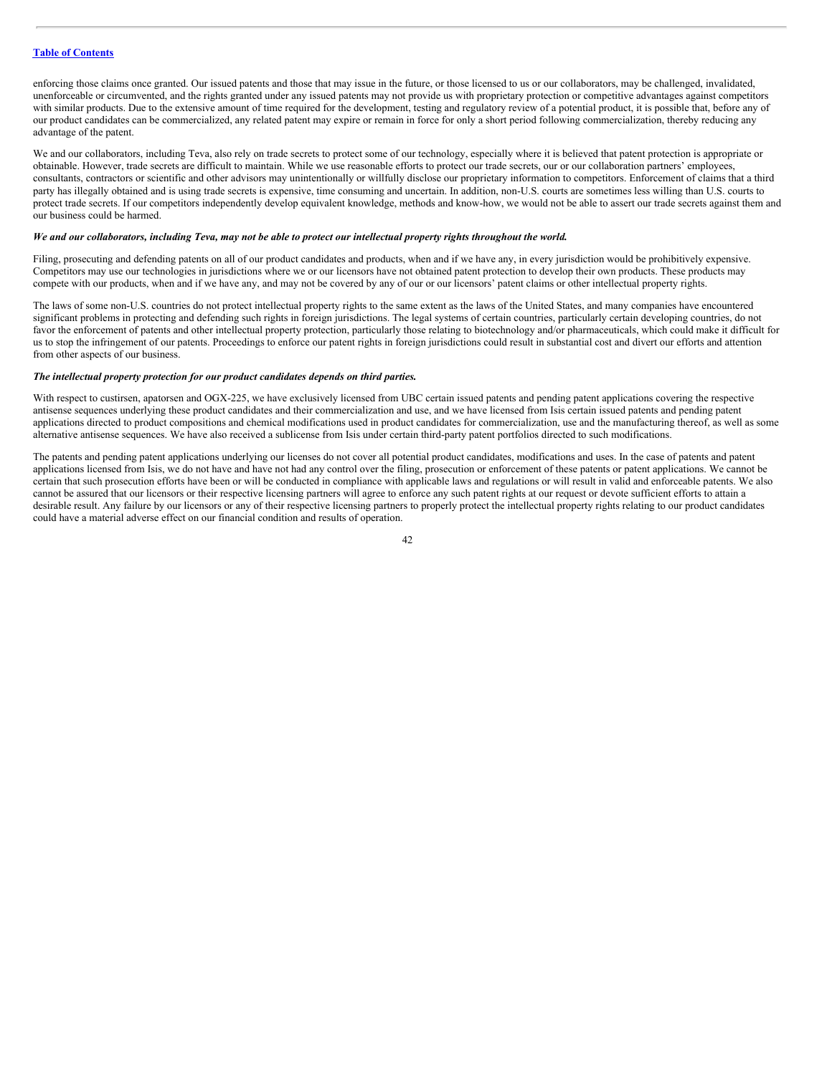enforcing those claims once granted. Our issued patents and those that may issue in the future, or those licensed to us or our collaborators, may be challenged, invalidated, unenforceable or circumvented, and the rights granted under any issued patents may not provide us with proprietary protection or competitive advantages against competitors with similar products. Due to the extensive amount of time required for the development, testing and regulatory review of a potential product, it is possible that, before any of our product candidates can be commercialized, any related patent may expire or remain in force for only a short period following commercialization, thereby reducing any advantage of the patent.

We and our collaborators, including Teva, also rely on trade secrets to protect some of our technology, especially where it is believed that patent protection is appropriate or obtainable. However, trade secrets are difficult to maintain. While we use reasonable efforts to protect our trade secrets, our or our collaboration partners' employees, consultants, contractors or scientific and other advisors may unintentionally or willfully disclose our proprietary information to competitors. Enforcement of claims that a third party has illegally obtained and is using trade secrets is expensive, time consuming and uncertain. In addition, non-U.S. courts are sometimes less willing than U.S. courts to protect trade secrets. If our competitors independently develop equivalent knowledge, methods and know-how, we would not be able to assert our trade secrets against them and our business could be harmed.

# We and our collaborators, including Teva, may not be able to protect our intellectual property rights throughout the world.

Filing, prosecuting and defending patents on all of our product candidates and products, when and if we have any, in every jurisdiction would be prohibitively expensive. Competitors may use our technologies in jurisdictions where we or our licensors have not obtained patent protection to develop their own products. These products may compete with our products, when and if we have any, and may not be covered by any of our or our licensors' patent claims or other intellectual property rights.

The laws of some non-U.S. countries do not protect intellectual property rights to the same extent as the laws of the United States, and many companies have encountered significant problems in protecting and defending such rights in foreign jurisdictions. The legal systems of certain countries, particularly certain developing countries, do not favor the enforcement of patents and other intellectual property protection, particularly those relating to biotechnology and/or pharmaceuticals, which could make it difficult for us to stop the infringement of our patents. Proceedings to enforce our patent rights in foreign jurisdictions could result in substantial cost and divert our efforts and attention from other aspects of our business.

#### *The intellectual property protection for our product candidates depends on third parties.*

With respect to custirsen, apatorsen and OGX-225, we have exclusively licensed from UBC certain issued patents and pending patent applications covering the respective antisense sequences underlying these product candidates and their commercialization and use, and we have licensed from Isis certain issued patents and pending patent applications directed to product compositions and chemical modifications used in product candidates for commercialization, use and the manufacturing thereof, as well as some alternative antisense sequences. We have also received a sublicense from Isis under certain third-party patent portfolios directed to such modifications.

The patents and pending patent applications underlying our licenses do not cover all potential product candidates, modifications and uses. In the case of patents and patent applications licensed from Isis, we do not have and have not had any control over the filing, prosecution or enforcement of these patents or patent applications. We cannot be certain that such prosecution efforts have been or will be conducted in compliance with applicable laws and regulations or will result in valid and enforceable patents. We also cannot be assured that our licensors or their respective licensing partners will agree to enforce any such patent rights at our request or devote sufficient efforts to attain a desirable result. Any failure by our licensors or any of their respective licensing partners to properly protect the intellectual property rights relating to our product candidates could have a material adverse effect on our financial condition and results of operation.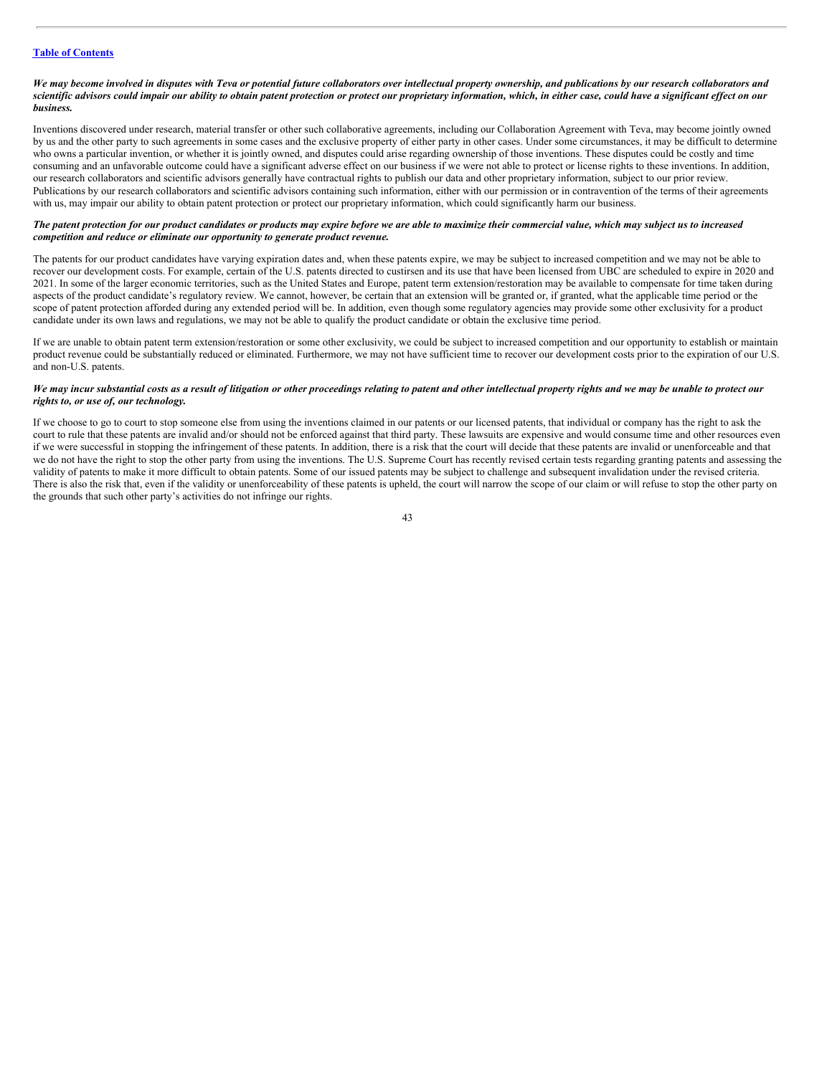#### We may become involved in disputes with Teva or potential future collaborators over intellectual property ownership, and publications by our research collaborators and scientific advisors could impair our ability to obtain patent protection or protect our proprietary information, which, in either case, could have a significant effect on our *business.*

Inventions discovered under research, material transfer or other such collaborative agreements, including our Collaboration Agreement with Teva, may become jointly owned by us and the other party to such agreements in some cases and the exclusive property of either party in other cases. Under some circumstances, it may be difficult to determine who owns a particular invention, or whether it is jointly owned, and disputes could arise regarding ownership of those inventions. These disputes could be costly and time consuming and an unfavorable outcome could have a significant adverse effect on our business if we were not able to protect or license rights to these inventions. In addition, our research collaborators and scientific advisors generally have contractual rights to publish our data and other proprietary information, subject to our prior review. Publications by our research collaborators and scientific advisors containing such information, either with our permission or in contravention of the terms of their agreements with us, may impair our ability to obtain patent protection or protect our proprietary information, which could significantly harm our business.

#### The patent protection for our product candidates or products may expire before we are able to maximize their commercial value, which may subject us to increased *competition and reduce or eliminate our opportunity to generate product revenue.*

The patents for our product candidates have varying expiration dates and, when these patents expire, we may be subject to increased competition and we may not be able to recover our development costs. For example, certain of the U.S. patents directed to custirsen and its use that have been licensed from UBC are scheduled to expire in 2020 and 2021. In some of the larger economic territories, such as the United States and Europe, patent term extension/restoration may be available to compensate for time taken during aspects of the product candidate's regulatory review. We cannot, however, be certain that an extension will be granted or, if granted, what the applicable time period or the scope of patent protection afforded during any extended period will be. In addition, even though some regulatory agencies may provide some other exclusivity for a product candidate under its own laws and regulations, we may not be able to qualify the product candidate or obtain the exclusive time period.

If we are unable to obtain patent term extension/restoration or some other exclusivity, we could be subject to increased competition and our opportunity to establish or maintain product revenue could be substantially reduced or eliminated. Furthermore, we may not have sufficient time to recover our development costs prior to the expiration of our U.S. and non-U.S. patents.

# We may incur substantial costs as a result of litigation or other proceedings relating to patent and other intellectual property rights and we may be unable to protect our *rights to, or use of, our technology.*

If we choose to go to court to stop someone else from using the inventions claimed in our patents or our licensed patents, that individual or company has the right to ask the court to rule that these patents are invalid and/or should not be enforced against that third party. These lawsuits are expensive and would consume time and other resources even if we were successful in stopping the infringement of these patents. In addition, there is a risk that the court will decide that these patents are invalid or unenforceable and that we do not have the right to stop the other party from using the inventions. The U.S. Supreme Court has recently revised certain tests regarding granting patents and assessing the validity of patents to make it more difficult to obtain patents. Some of our issued patents may be subject to challenge and subsequent invalidation under the revised criteria. There is also the risk that, even if the validity or unenforceability of these patents is upheld, the court will narrow the scope of our claim or will refuse to stop the other party on the grounds that such other party's activities do not infringe our rights.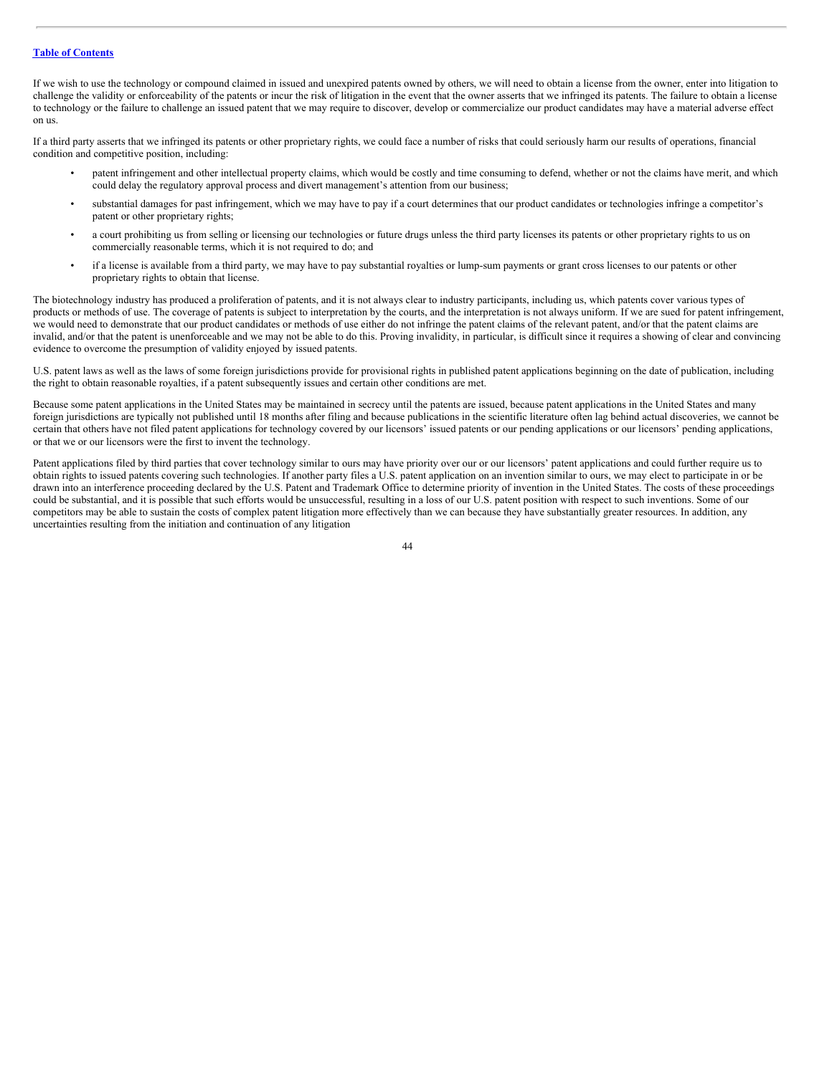If we wish to use the technology or compound claimed in issued and unexpired patents owned by others, we will need to obtain a license from the owner, enter into litigation to challenge the validity or enforceability of the patents or incur the risk of litigation in the event that the owner asserts that we infringed its patents. The failure to obtain a license to technology or the failure to challenge an issued patent that we may require to discover, develop or commercialize our product candidates may have a material adverse effect on us.

If a third party asserts that we infringed its patents or other proprietary rights, we could face a number of risks that could seriously harm our results of operations, financial condition and competitive position, including:

- patent infringement and other intellectual property claims, which would be costly and time consuming to defend, whether or not the claims have merit, and which could delay the regulatory approval process and divert management's attention from our business;
- substantial damages for past infringement, which we may have to pay if a court determines that our product candidates or technologies infringe a competitor's patent or other proprietary rights;
- a court prohibiting us from selling or licensing our technologies or future drugs unless the third party licenses its patents or other proprietary rights to us on commercially reasonable terms, which it is not required to do; and
- if a license is available from a third party, we may have to pay substantial royalties or lump-sum payments or grant cross licenses to our patents or other proprietary rights to obtain that license.

The biotechnology industry has produced a proliferation of patents, and it is not always clear to industry participants, including us, which patents cover various types of products or methods of use. The coverage of patents is subject to interpretation by the courts, and the interpretation is not always uniform. If we are sued for patent infringement, we would need to demonstrate that our product candidates or methods of use either do not infringe the patent claims of the relevant patent, and/or that the patent claims are invalid, and/or that the patent is unenforceable and we may not be able to do this. Proving invalidity, in particular, is difficult since it requires a showing of clear and convincing evidence to overcome the presumption of validity enjoyed by issued patents.

U.S. patent laws as well as the laws of some foreign jurisdictions provide for provisional rights in published patent applications beginning on the date of publication, including the right to obtain reasonable royalties, if a patent subsequently issues and certain other conditions are met.

Because some patent applications in the United States may be maintained in secrecy until the patents are issued, because patent applications in the United States and many foreign jurisdictions are typically not published until 18 months after filing and because publications in the scientific literature often lag behind actual discoveries, we cannot be certain that others have not filed patent applications for technology covered by our licensors' issued patents or our pending applications or our licensors' pending applications, or that we or our licensors were the first to invent the technology.

Patent applications filed by third parties that cover technology similar to ours may have priority over our or our licensors' patent applications and could further require us to obtain rights to issued patents covering such technologies. If another party files a U.S. patent application on an invention similar to ours, we may elect to participate in or be drawn into an interference proceeding declared by the U.S. Patent and Trademark Office to determine priority of invention in the United States. The costs of these proceedings could be substantial, and it is possible that such efforts would be unsuccessful, resulting in a loss of our U.S. patent position with respect to such inventions. Some of our competitors may be able to sustain the costs of complex patent litigation more effectively than we can because they have substantially greater resources. In addition, any uncertainties resulting from the initiation and continuation of any litigation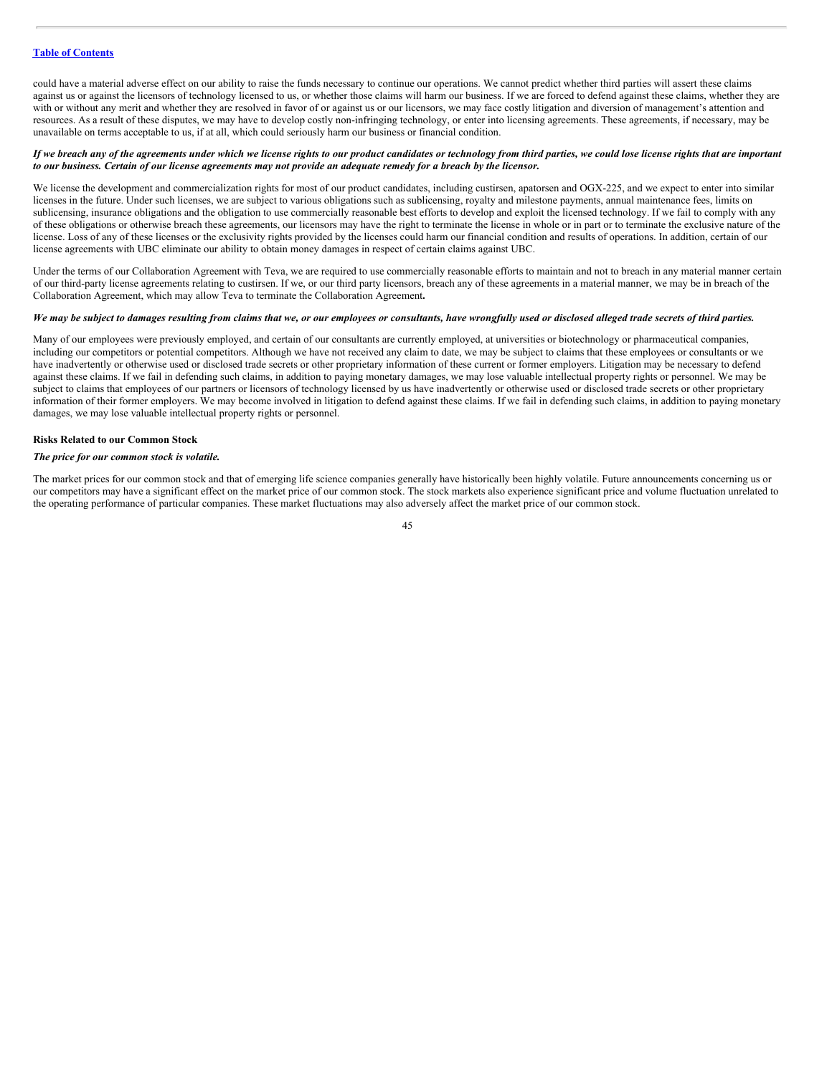could have a material adverse effect on our ability to raise the funds necessary to continue our operations. We cannot predict whether third parties will assert these claims against us or against the licensors of technology licensed to us, or whether those claims will harm our business. If we are forced to defend against these claims, whether they are with or without any merit and whether they are resolved in favor of or against us or our licensors, we may face costly litigation and diversion of management's attention and resources. As a result of these disputes, we may have to develop costly non-infringing technology, or enter into licensing agreements. These agreements, if necessary, may be unavailable on terms acceptable to us, if at all, which could seriously harm our business or financial condition.

#### If we breach any of the agreements under which we license rights to our product candidates or technology from third parties, we could lose license rights that are important to our business. Certain of our license agreements may not provide an adequate remedy for a breach by the licensor.

We license the development and commercialization rights for most of our product candidates, including custirsen, apatorsen and OGX-225, and we expect to enter into similar licenses in the future. Under such licenses, we are subject to various obligations such as sublicensing, royalty and milestone payments, annual maintenance fees, limits on sublicensing, insurance obligations and the obligation to use commercially reasonable best efforts to develop and exploit the licensed technology. If we fail to comply with any of these obligations or otherwise breach these agreements, our licensors may have the right to terminate the license in whole or in part or to terminate the exclusive nature of the license. Loss of any of these licenses or the exclusivity rights provided by the licenses could harm our financial condition and results of operations. In addition, certain of our license agreements with UBC eliminate our ability to obtain money damages in respect of certain claims against UBC.

Under the terms of our Collaboration Agreement with Teva, we are required to use commercially reasonable efforts to maintain and not to breach in any material manner certain of our third-party license agreements relating to custirsen. If we, or our third party licensors, breach any of these agreements in a material manner, we may be in breach of the Collaboration Agreement, which may allow Teva to terminate the Collaboration Agreement**.**

#### We may be subject to damages resulting from claims that we, or our employees or consultants, have wrongfully used or disclosed alleged trade secrets of third parties.

Many of our employees were previously employed, and certain of our consultants are currently employed, at universities or biotechnology or pharmaceutical companies, including our competitors or potential competitors. Although we have not received any claim to date, we may be subject to claims that these employees or consultants or we have inadvertently or otherwise used or disclosed trade secrets or other proprietary information of these current or former employers. Litigation may be necessary to defend against these claims. If we fail in defending such claims, in addition to paying monetary damages, we may lose valuable intellectual property rights or personnel. We may be subject to claims that employees of our partners or licensors of technology licensed by us have inadvertently or otherwise used or disclosed trade secrets or other proprietary information of their former employers. We may become involved in litigation to defend against these claims. If we fail in defending such claims, in addition to paying monetary damages, we may lose valuable intellectual property rights or personnel.

#### **Risks Related to our Common Stock**

# *The price for our common stock is volatile.*

The market prices for our common stock and that of emerging life science companies generally have historically been highly volatile. Future announcements concerning us or our competitors may have a significant effect on the market price of our common stock. The stock markets also experience significant price and volume fluctuation unrelated to the operating performance of particular companies. These market fluctuations may also adversely affect the market price of our common stock.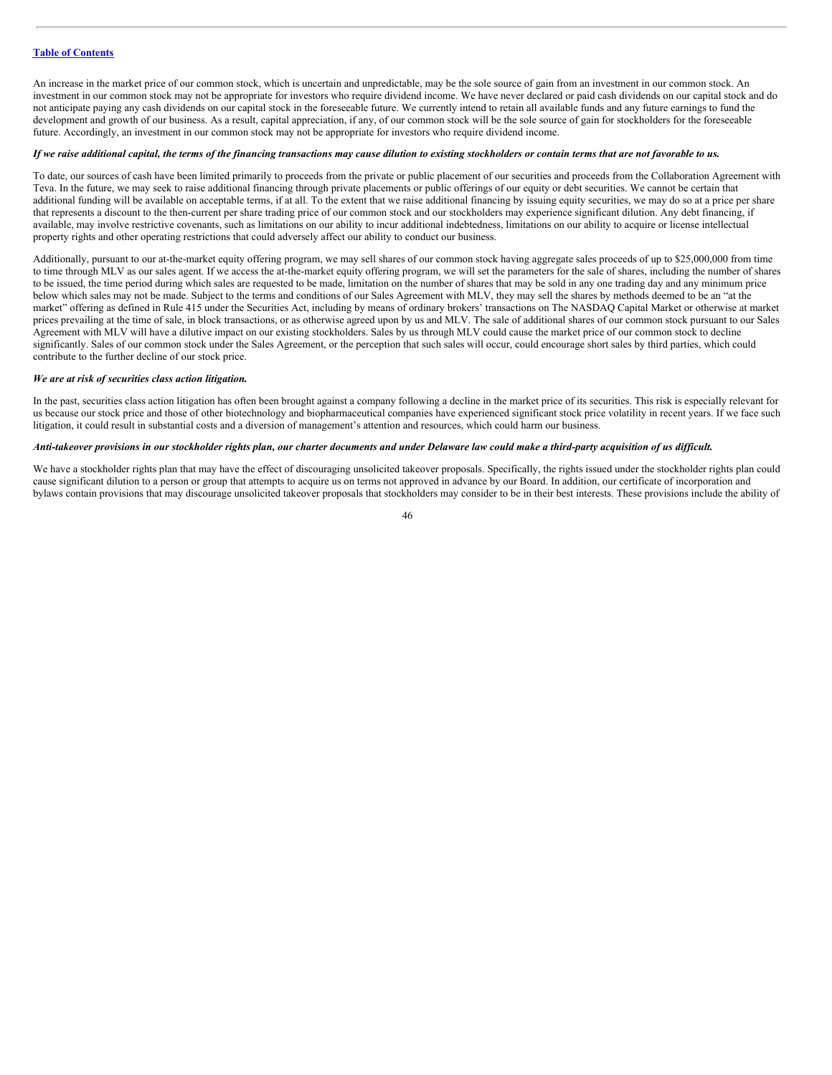An increase in the market price of our common stock, which is uncertain and unpredictable, may be the sole source of gain from an investment in our common stock. An investment in our common stock may not be appropriate for investors who require dividend income. We have never declared or paid cash dividends on our capital stock and do not anticipate paying any cash dividends on our capital stock in the foreseeable future. We currently intend to retain all available funds and any future earnings to fund the development and growth of our business. As a result, capital appreciation, if any, of our common stock will be the sole source of gain for stockholders for the foreseeable future. Accordingly, an investment in our common stock may not be appropriate for investors who require dividend income.

#### If we raise additional capital, the terms of the financing transactions may cause dilution to existing stockholders or contain terms that are not favorable to us.

To date, our sources of cash have been limited primarily to proceeds from the private or public placement of our securities and proceeds from the Collaboration Agreement with Teva. In the future, we may seek to raise additional financing through private placements or public offerings of our equity or debt securities. We cannot be certain that additional funding will be available on acceptable terms, if at all. To the extent that we raise additional financing by issuing equity securities, we may do so at a price per share that represents a discount to the then-current per share trading price of our common stock and our stockholders may experience significant dilution. Any debt financing, if available, may involve restrictive covenants, such as limitations on our ability to incur additional indebtedness, limitations on our ability to acquire or license intellectual property rights and other operating restrictions that could adversely affect our ability to conduct our business.

Additionally, pursuant to our at-the-market equity offering program, we may sell shares of our common stock having aggregate sales proceeds of up to \$25,000,000 from time to time through MLV as our sales agent. If we access the at-the-market equity offering program, we will set the parameters for the sale of shares, including the number of shares to be issued, the time period during which sales are requested to be made, limitation on the number of shares that may be sold in any one trading day and any minimum price below which sales may not be made. Subject to the terms and conditions of our Sales Agreement with MLV, they may sell the shares by methods deemed to be an "at the market" offering as defined in Rule 415 under the Securities Act, including by means of ordinary brokers' transactions on The NASDAQ Capital Market or otherwise at market prices prevailing at the time of sale, in block transactions, or as otherwise agreed upon by us and MLV. The sale of additional shares of our common stock pursuant to our Sales Agreement with MLV will have a dilutive impact on our existing stockholders. Sales by us through MLV could cause the market price of our common stock to decline significantly. Sales of our common stock under the Sales Agreement, or the perception that such sales will occur, could encourage short sales by third parties, which could contribute to the further decline of our stock price.

#### *We are at risk of securities class action litigation.*

In the past, securities class action litigation has often been brought against a company following a decline in the market price of its securities. This risk is especially relevant for us because our stock price and those of other biotechnology and biopharmaceutical companies have experienced significant stock price volatility in recent years. If we face such litigation, it could result in substantial costs and a diversion of management's attention and resources, which could harm our business.

#### Anti-takeover provisions in our stockholder rights plan, our charter documents and under Delaware law could make a third-party acquisition of us difficult.

We have a stockholder rights plan that may have the effect of discouraging unsolicited takeover proposals. Specifically, the rights issued under the stockholder rights plan could cause significant dilution to a person or group that attempts to acquire us on terms not approved in advance by our Board. In addition, our certificate of incorporation and bylaws contain provisions that may discourage unsolicited takeover proposals that stockholders may consider to be in their best interests. These provisions include the ability of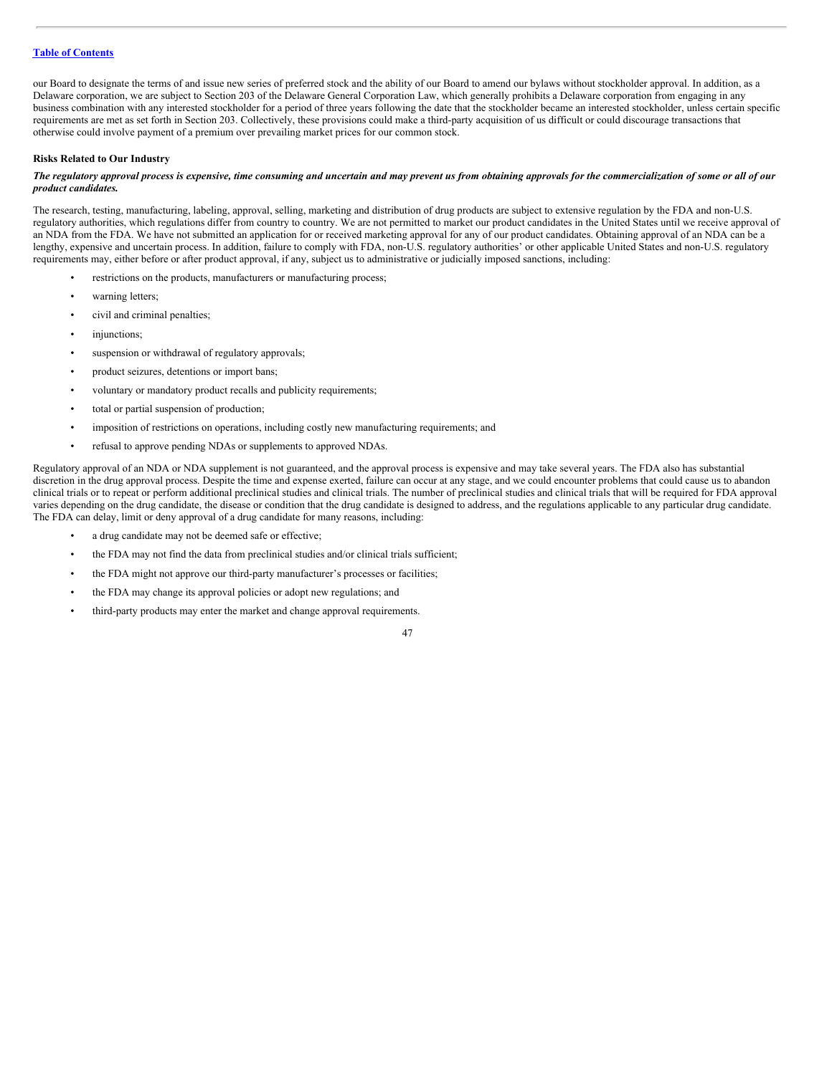our Board to designate the terms of and issue new series of preferred stock and the ability of our Board to amend our bylaws without stockholder approval. In addition, as a Delaware corporation, we are subject to Section 203 of the Delaware General Corporation Law, which generally prohibits a Delaware corporation from engaging in any business combination with any interested stockholder for a period of three years following the date that the stockholder became an interested stockholder, unless certain specific requirements are met as set forth in Section 203. Collectively, these provisions could make a third-party acquisition of us difficult or could discourage transactions that otherwise could involve payment of a premium over prevailing market prices for our common stock.

#### **Risks Related to Our Industry**

#### The regulatory approval process is expensive, time consuming and uncertain and may prevent us from obtaining approvals for the commercialization of some or all of our *product candidates.*

The research, testing, manufacturing, labeling, approval, selling, marketing and distribution of drug products are subject to extensive regulation by the FDA and non-U.S. regulatory authorities, which regulations differ from country to country. We are not permitted to market our product candidates in the United States until we receive approval of an NDA from the FDA. We have not submitted an application for or received marketing approval for any of our product candidates. Obtaining approval of an NDA can be a lengthy, expensive and uncertain process. In addition, failure to comply with FDA, non-U.S. regulatory authorities' or other applicable United States and non-U.S. regulatory requirements may, either before or after product approval, if any, subject us to administrative or judicially imposed sanctions, including:

- restrictions on the products, manufacturers or manufacturing process;
- warning letters;
- civil and criminal penalties;
- injunctions;
- suspension or withdrawal of regulatory approvals;
- product seizures, detentions or import bans;
- voluntary or mandatory product recalls and publicity requirements;
- total or partial suspension of production;
- imposition of restrictions on operations, including costly new manufacturing requirements; and
- refusal to approve pending NDAs or supplements to approved NDAs.

Regulatory approval of an NDA or NDA supplement is not guaranteed, and the approval process is expensive and may take several years. The FDA also has substantial discretion in the drug approval process. Despite the time and expense exerted, failure can occur at any stage, and we could encounter problems that could cause us to abandon clinical trials or to repeat or perform additional preclinical studies and clinical trials. The number of preclinical studies and clinical trials that will be required for FDA approval varies depending on the drug candidate, the disease or condition that the drug candidate is designed to address, and the regulations applicable to any particular drug candidate. The FDA can delay, limit or deny approval of a drug candidate for many reasons, including:

- a drug candidate may not be deemed safe or effective;
- the FDA may not find the data from preclinical studies and/or clinical trials sufficient;
- the FDA might not approve our third-party manufacturer's processes or facilities;
- the FDA may change its approval policies or adopt new regulations; and
- third-party products may enter the market and change approval requirements.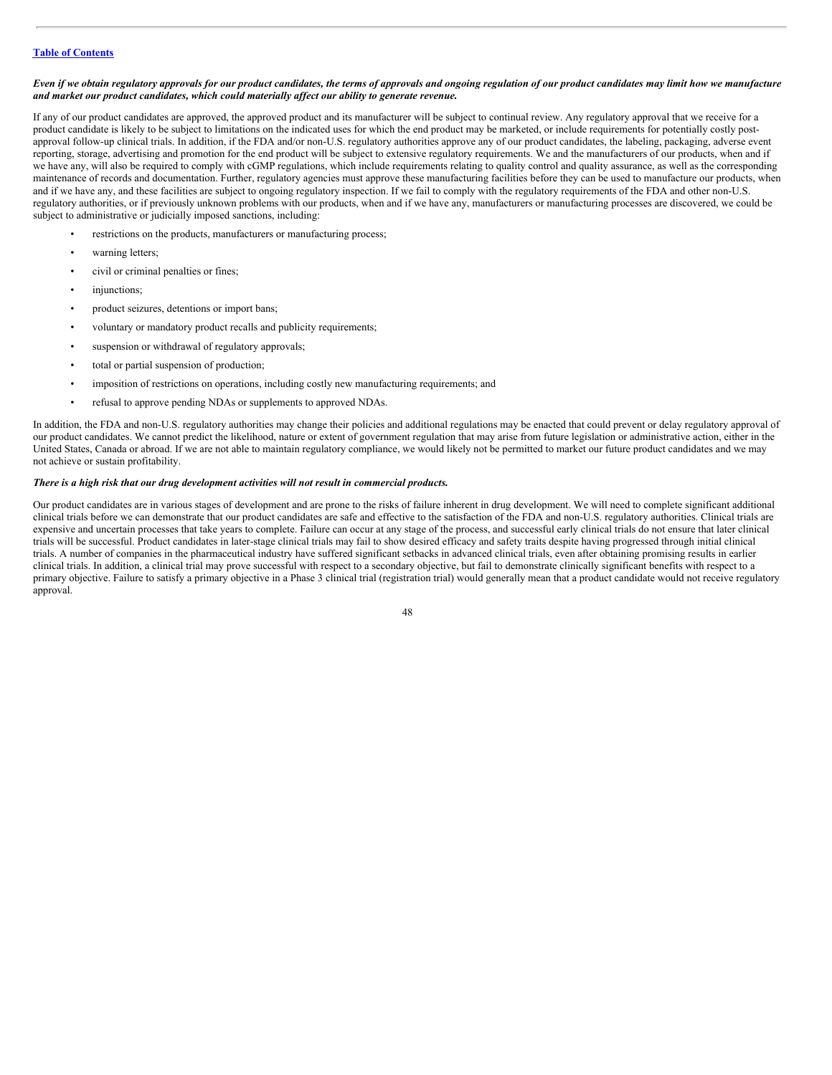#### Even if we obtain regulatory approvals for our product candidates, the terms of approvals and ongoing regulation of our product candidates may limit how we manufacture *and market our product candidates, which could materially af ect our ability to generate revenue.*

If any of our product candidates are approved, the approved product and its manufacturer will be subject to continual review. Any regulatory approval that we receive for a product candidate is likely to be subject to limitations on the indicated uses for which the end product may be marketed, or include requirements for potentially costly postapproval follow-up clinical trials. In addition, if the FDA and/or non-U.S. regulatory authorities approve any of our product candidates, the labeling, packaging, adverse event reporting, storage, advertising and promotion for the end product will be subject to extensive regulatory requirements. We and the manufacturers of our products, when and if we have any, will also be required to comply with cGMP regulations, which include requirements relating to quality control and quality assurance, as well as the corresponding maintenance of records and documentation. Further, regulatory agencies must approve these manufacturing facilities before they can be used to manufacture our products, when and if we have any, and these facilities are subject to ongoing regulatory inspection. If we fail to comply with the regulatory requirements of the FDA and other non-U.S. regulatory authorities, or if previously unknown problems with our products, when and if we have any, manufacturers or manufacturing processes are discovered, we could be subject to administrative or judicially imposed sanctions, including:

- restrictions on the products, manufacturers or manufacturing process;
- warning letters;
- civil or criminal penalties or fines;
- injunctions;
- product seizures, detentions or import bans;
- voluntary or mandatory product recalls and publicity requirements;
- suspension or withdrawal of regulatory approvals;
- total or partial suspension of production;
- imposition of restrictions on operations, including costly new manufacturing requirements; and
- refusal to approve pending NDAs or supplements to approved NDAs.

In addition, the FDA and non-U.S. regulatory authorities may change their policies and additional regulations may be enacted that could prevent or delay regulatory approval of our product candidates. We cannot predict the likelihood, nature or extent of government regulation that may arise from future legislation or administrative action, either in the United States, Canada or abroad. If we are not able to maintain regulatory compliance, we would likely not be permitted to market our future product candidates and we may not achieve or sustain profitability.

#### *There is a high risk that our drug development activities will not result in commercial products.*

Our product candidates are in various stages of development and are prone to the risks of failure inherent in drug development. We will need to complete significant additional clinical trials before we can demonstrate that our product candidates are safe and effective to the satisfaction of the FDA and non-U.S. regulatory authorities. Clinical trials are expensive and uncertain processes that take years to complete. Failure can occur at any stage of the process, and successful early clinical trials do not ensure that later clinical trials will be successful. Product candidates in later-stage clinical trials may fail to show desired efficacy and safety traits despite having progressed through initial clinical trials. A number of companies in the pharmaceutical industry have suffered significant setbacks in advanced clinical trials, even after obtaining promising results in earlier clinical trials. In addition, a clinical trial may prove successful with respect to a secondary objective, but fail to demonstrate clinically significant benefits with respect to a primary objective. Failure to satisfy a primary objective in a Phase 3 clinical trial (registration trial) would generally mean that a product candidate would not receive regulatory approval.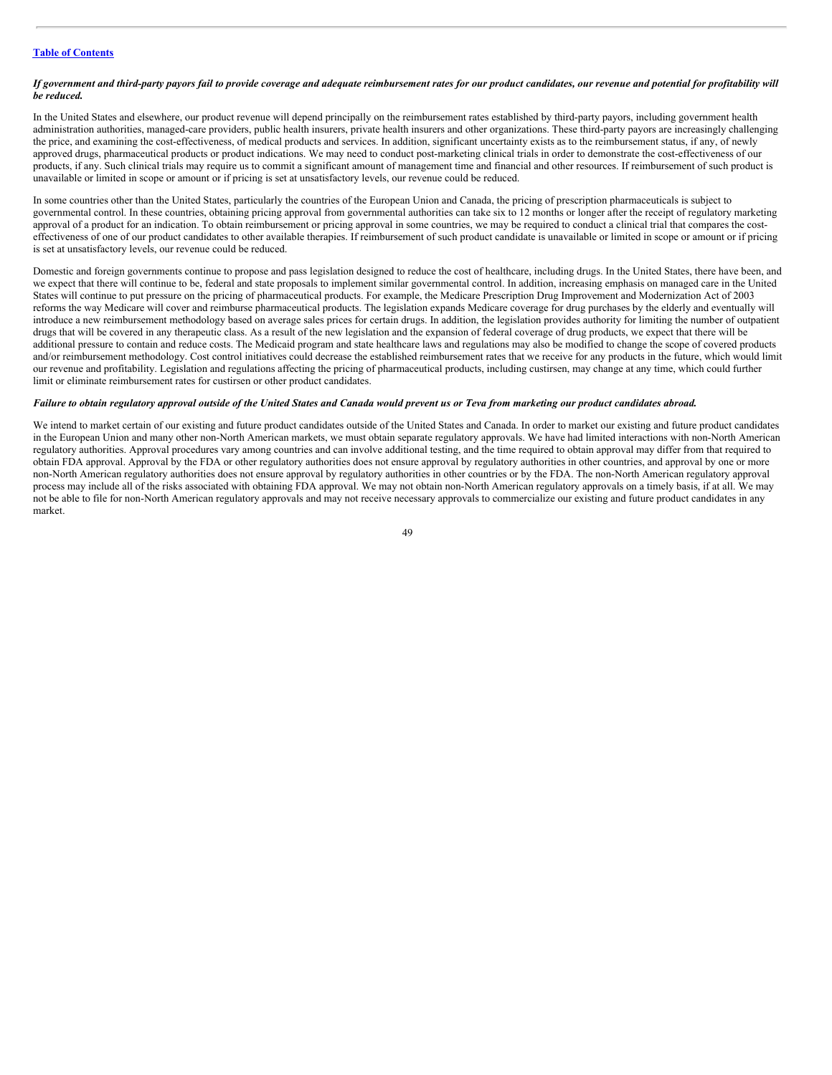#### If government and third-party payors fail to provide coverage and adequate reimbursement rates for our product candidates, our revenue and potential for profitability will *be reduced.*

In the United States and elsewhere, our product revenue will depend principally on the reimbursement rates established by third-party payors, including government health administration authorities, managed-care providers, public health insurers, private health insurers and other organizations. These third-party payors are increasingly challenging the price, and examining the cost-effectiveness, of medical products and services. In addition, significant uncertainty exists as to the reimbursement status, if any, of newly approved drugs, pharmaceutical products or product indications. We may need to conduct post-marketing clinical trials in order to demonstrate the cost-effectiveness of our products, if any. Such clinical trials may require us to commit a significant amount of management time and financial and other resources. If reimbursement of such product is unavailable or limited in scope or amount or if pricing is set at unsatisfactory levels, our revenue could be reduced.

In some countries other than the United States, particularly the countries of the European Union and Canada, the pricing of prescription pharmaceuticals is subject to governmental control. In these countries, obtaining pricing approval from governmental authorities can take six to 12 months or longer after the receipt of regulatory marketing approval of a product for an indication. To obtain reimbursement or pricing approval in some countries, we may be required to conduct a clinical trial that compares the costeffectiveness of one of our product candidates to other available therapies. If reimbursement of such product candidate is unavailable or limited in scope or amount or if pricing is set at unsatisfactory levels, our revenue could be reduced.

Domestic and foreign governments continue to propose and pass legislation designed to reduce the cost of healthcare, including drugs. In the United States, there have been, and we expect that there will continue to be, federal and state proposals to implement similar governmental control. In addition, increasing emphasis on managed care in the United States will continue to put pressure on the pricing of pharmaceutical products. For example, the Medicare Prescription Drug Improvement and Modernization Act of 2003 reforms the way Medicare will cover and reimburse pharmaceutical products. The legislation expands Medicare coverage for drug purchases by the elderly and eventually will introduce a new reimbursement methodology based on average sales prices for certain drugs. In addition, the legislation provides authority for limiting the number of outpatient drugs that will be covered in any therapeutic class. As a result of the new legislation and the expansion of federal coverage of drug products, we expect that there will be additional pressure to contain and reduce costs. The Medicaid program and state healthcare laws and regulations may also be modified to change the scope of covered products and/or reimbursement methodology. Cost control initiatives could decrease the established reimbursement rates that we receive for any products in the future, which would limit our revenue and profitability. Legislation and regulations affecting the pricing of pharmaceutical products, including custirsen, may change at any time, which could further limit or eliminate reimbursement rates for custirsen or other product candidates.

#### Failure to obtain regulatory approval outside of the United States and Canada would prevent us or Teva from marketing our product candidates abroad.

We intend to market certain of our existing and future product candidates outside of the United States and Canada. In order to market our existing and future product candidates in the European Union and many other non-North American markets, we must obtain separate regulatory approvals. We have had limited interactions with non-North American regulatory authorities. Approval procedures vary among countries and can involve additional testing, and the time required to obtain approval may differ from that required to obtain FDA approval. Approval by the FDA or other regulatory authorities does not ensure approval by regulatory authorities in other countries, and approval by one or more non-North American regulatory authorities does not ensure approval by regulatory authorities in other countries or by the FDA. The non-North American regulatory approval process may include all of the risks associated with obtaining FDA approval. We may not obtain non-North American regulatory approvals on a timely basis, if at all. We may not be able to file for non-North American regulatory approvals and may not receive necessary approvals to commercialize our existing and future product candidates in any market.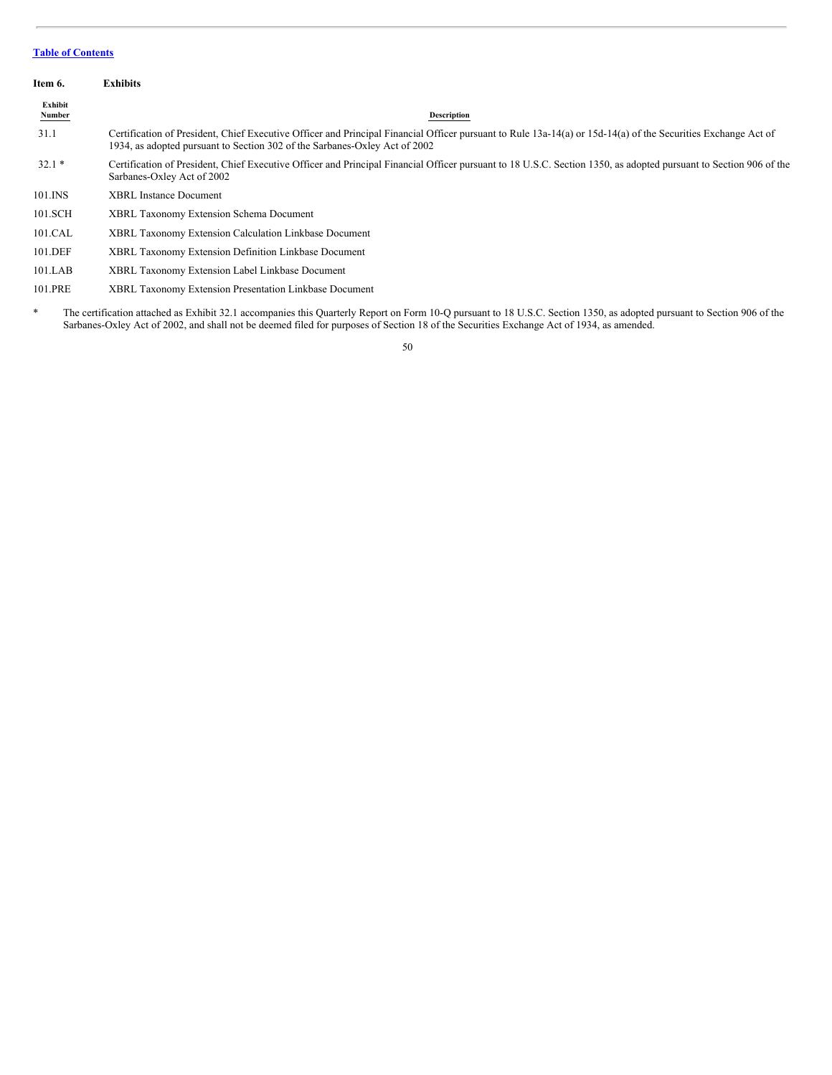<span id="page-49-0"></span>

| Item 6.                  | <b>Exhibits</b>                                                                                                                                                                                                                                                                                                     |
|--------------------------|---------------------------------------------------------------------------------------------------------------------------------------------------------------------------------------------------------------------------------------------------------------------------------------------------------------------|
| Exhibit<br><b>Number</b> | <b>Description</b>                                                                                                                                                                                                                                                                                                  |
| 31.1                     | Certification of President, Chief Executive Officer and Principal Financial Officer pursuant to Rule 13a-14(a) or 15d-14(a) of the Securities Exchange Act of<br>1934, as adopted pursuant to Section 302 of the Sarbanes-Oxley Act of 2002                                                                         |
| $32.1*$                  | Certification of President, Chief Executive Officer and Principal Financial Officer pursuant to 18 U.S.C. Section 1350, as adopted pursuant to Section 906 of the<br>Sarbanes-Oxley Act of 2002                                                                                                                     |
| 101.INS                  | <b>XBRL Instance Document</b>                                                                                                                                                                                                                                                                                       |
| 101.SCH                  | <b>XBRL Taxonomy Extension Schema Document</b>                                                                                                                                                                                                                                                                      |
| 101.CAL                  | <b>XBRL Taxonomy Extension Calculation Linkbase Document</b>                                                                                                                                                                                                                                                        |
| 101.DEF                  | <b>XBRL Taxonomy Extension Definition Linkbase Document</b>                                                                                                                                                                                                                                                         |
| 101.LAB                  | XBRL Taxonomy Extension Label Linkbase Document                                                                                                                                                                                                                                                                     |
| 101.PRE                  | <b>XBRL Taxonomy Extension Presentation Linkbase Document</b>                                                                                                                                                                                                                                                       |
| $\ast$                   | The certification attached as Exhibit 32.1 accompanies this Quarterly Report on Form 10-Q pursuant to 18 U.S.C. Section 1350, as adopted pursuant to Section 906 of the<br>Sarbanes-Oxley Act of 2002, and shall not be deemed filed for purposes of Section 18 of the Securities Exchange Act of 1934, as amended. |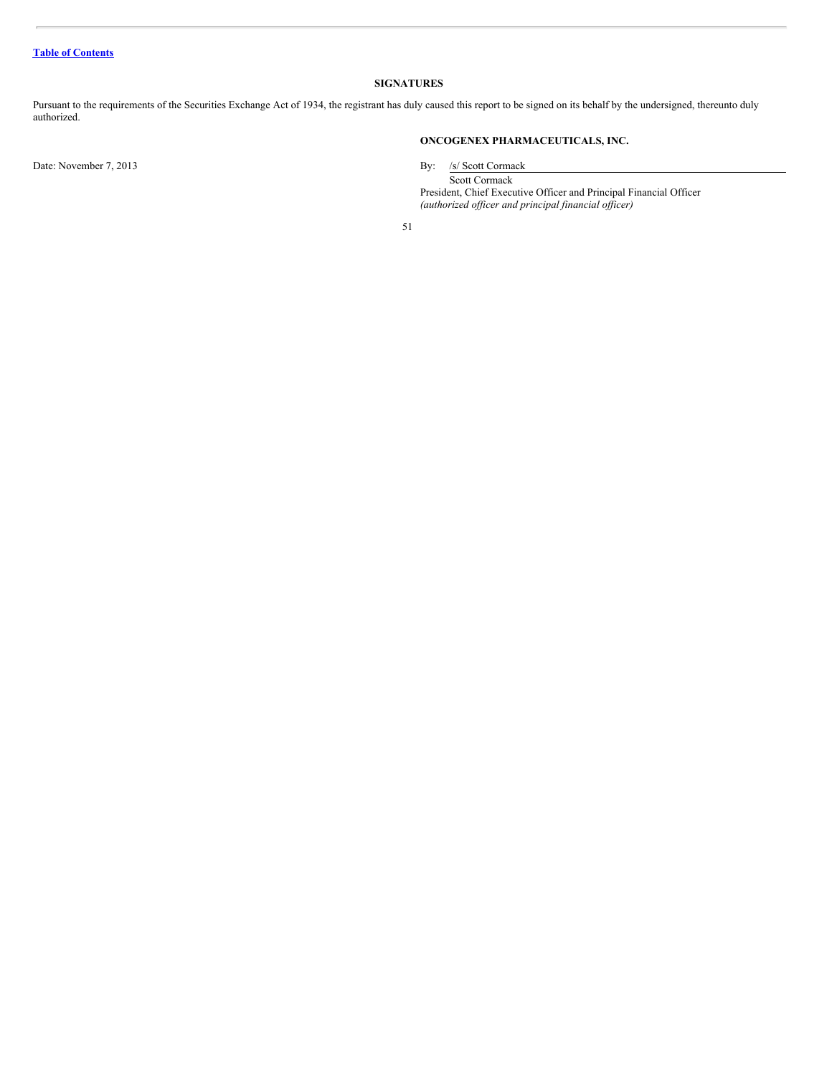# <span id="page-50-0"></span>**SIGNATURES**

Pursuant to the requirements of the Securities Exchange Act of 1934, the registrant has duly caused this report to be signed on its behalf by the undersigned, thereunto duly authorized.

Date: November 7, 2013 By: /s/ Scott Cormack

# **ONCOGENEX PHARMACEUTICALS, INC.**

Scott Cormack President, Chief Executive Officer and Principal Financial Officer *(authorized of icer and principal financial of icer)*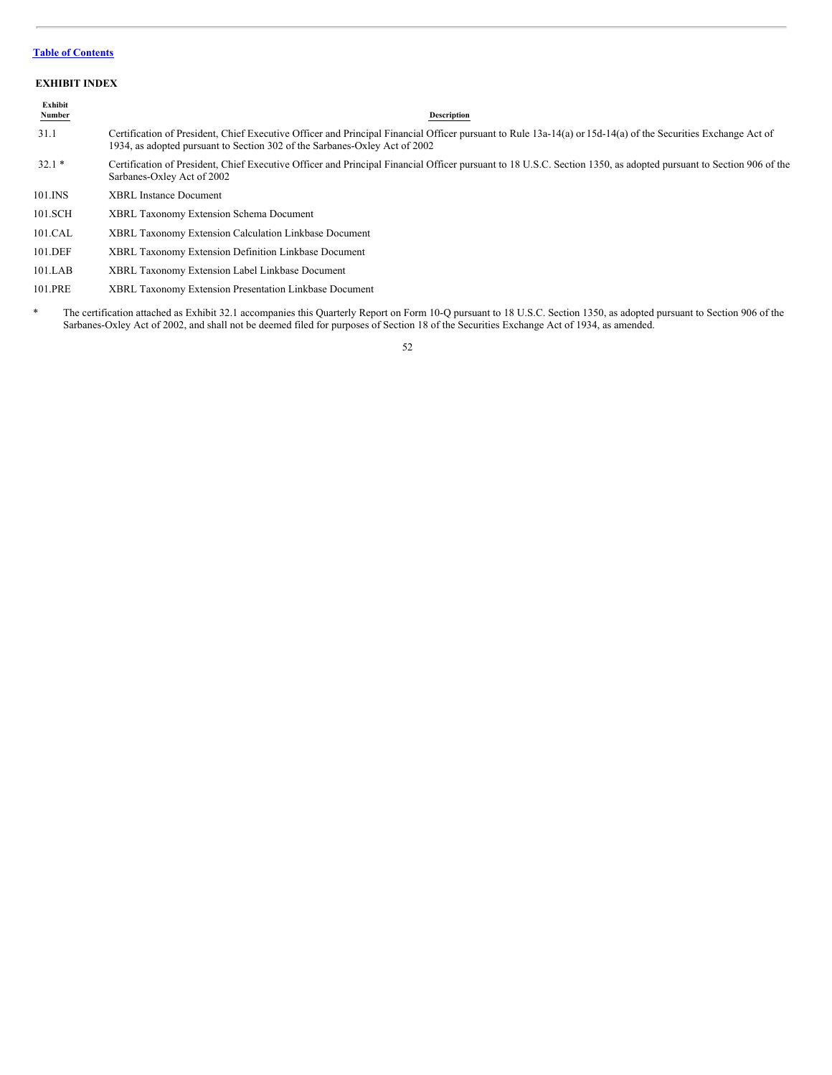# <span id="page-51-0"></span>**EXHIBIT INDEX**

| Exhibit<br><b>Number</b> | <b>Description</b>                                                                                                                                                                                                                          |
|--------------------------|---------------------------------------------------------------------------------------------------------------------------------------------------------------------------------------------------------------------------------------------|
| 31.1                     | Certification of President, Chief Executive Officer and Principal Financial Officer pursuant to Rule 13a-14(a) or 15d-14(a) of the Securities Exchange Act of<br>1934, as adopted pursuant to Section 302 of the Sarbanes-Oxley Act of 2002 |
| $32.1*$                  | Certification of President, Chief Executive Officer and Principal Financial Officer pursuant to 18 U.S.C. Section 1350, as adopted pursuant to Section 906 of the<br>Sarbanes-Oxley Act of 2002                                             |
| 101.INS                  | <b>XBRL</b> Instance Document                                                                                                                                                                                                               |
| 101.SCH                  | <b>XBRL Taxonomy Extension Schema Document</b>                                                                                                                                                                                              |
| 101.CAL                  | XBRL Taxonomy Extension Calculation Linkbase Document                                                                                                                                                                                       |

- 101.DEF XBRL Taxonomy Extension Definition Linkbase Document
- 101.LAB XBRL Taxonomy Extension Label Linkbase Document
- 101.PRE XBRL Taxonomy Extension Presentation Linkbase Document
- \* The certification attached as Exhibit 32.1 accompanies this Quarterly Report on Form 10-Q pursuant to 18 U.S.C. Section 1350, as adopted pursuant to Section 906 of the Sarbanes-Oxley Act of 2002, and shall not be deemed filed for purposes of Section 18 of the Securities Exchange Act of 1934, as amended.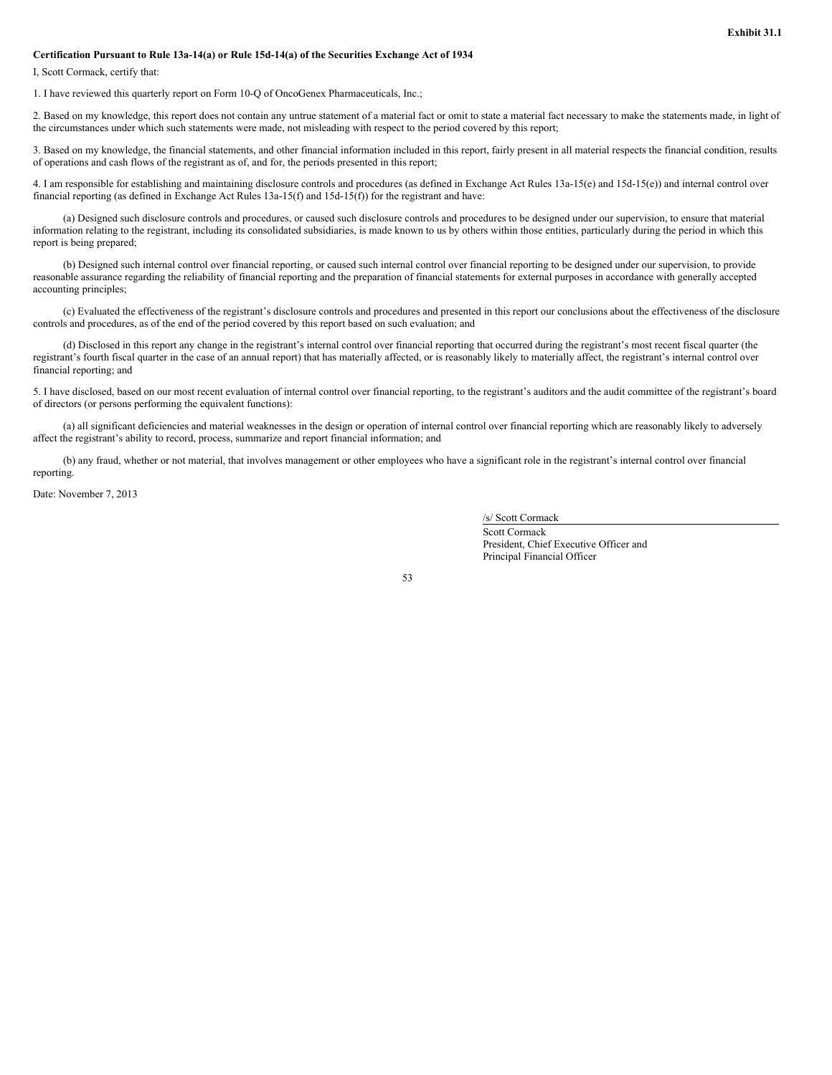#### **Certification Pursuant to Rule 13a-14(a) or Rule 15d-14(a) of the Securities Exchange Act of 1934**

I, Scott Cormack, certify that:

1. I have reviewed this quarterly report on Form 10-Q of OncoGenex Pharmaceuticals, Inc.;

2. Based on my knowledge, this report does not contain any untrue statement of a material fact or omit to state a material fact necessary to make the statements made, in light of the circumstances under which such statements were made, not misleading with respect to the period covered by this report;

3. Based on my knowledge, the financial statements, and other financial information included in this report, fairly present in all material respects the financial condition, results of operations and cash flows of the registrant as of, and for, the periods presented in this report;

4. I am responsible for establishing and maintaining disclosure controls and procedures (as defined in Exchange Act Rules 13a-15(e) and 15d-15(e)) and internal control over financial reporting (as defined in Exchange Act Rules 13a-15(f) and 15d-15(f)) for the registrant and have:

(a) Designed such disclosure controls and procedures, or caused such disclosure controls and procedures to be designed under our supervision, to ensure that material information relating to the registrant, including its consolidated subsidiaries, is made known to us by others within those entities, particularly during the period in which this report is being prepared;

(b) Designed such internal control over financial reporting, or caused such internal control over financial reporting to be designed under our supervision, to provide reasonable assurance regarding the reliability of financial reporting and the preparation of financial statements for external purposes in accordance with generally accepted accounting principles;

(c) Evaluated the effectiveness of the registrant's disclosure controls and procedures and presented in this report our conclusions about the effectiveness of the disclosure controls and procedures, as of the end of the period covered by this report based on such evaluation; and

(d) Disclosed in this report any change in the registrant's internal control over financial reporting that occurred during the registrant's most recent fiscal quarter (the registrant's fourth fiscal quarter in the case of an annual report) that has materially affected, or is reasonably likely to materially affect, the registrant's internal control over financial reporting; and

5. I have disclosed, based on our most recent evaluation of internal control over financial reporting, to the registrant's auditors and the audit committee of the registrant's board of directors (or persons performing the equivalent functions):

(a) all significant deficiencies and material weaknesses in the design or operation of internal control over financial reporting which are reasonably likely to adversely affect the registrant's ability to record, process, summarize and report financial information; and

(b) any fraud, whether or not material, that involves management or other employees who have a significant role in the registrant's internal control over financial reporting.

Date: November 7, 2013

/s/ Scott Cormack

Scott Cormack President, Chief Executive Officer and Principal Financial Officer